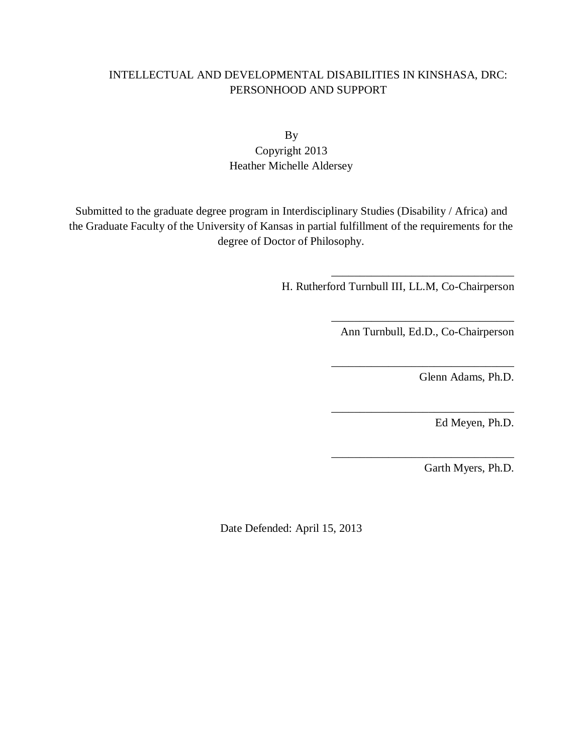# INTELLECTUAL AND DEVELOPMENTAL DISABILITIES IN KINSHASA, DRC: PERSONHOOD AND SUPPORT

# By Copyright 2013 Heather Michelle Aldersey

Submitted to the graduate degree program in Interdisciplinary Studies (Disability / Africa) and the Graduate Faculty of the University of Kansas in partial fulfillment of the requirements for the degree of Doctor of Philosophy.

H. Rutherford Turnbull III, LL.M, Co-Chairperson

\_\_\_\_\_\_\_\_\_\_\_\_\_\_\_\_\_\_\_\_\_\_\_\_\_\_\_\_\_\_\_\_ Ann Turnbull, Ed.D., Co-Chairperson

\_\_\_\_\_\_\_\_\_\_\_\_\_\_\_\_\_\_\_\_\_\_\_\_\_\_\_\_\_\_\_\_

\_\_\_\_\_\_\_\_\_\_\_\_\_\_\_\_\_\_\_\_\_\_\_\_\_\_\_\_\_\_\_\_

\_\_\_\_\_\_\_\_\_\_\_\_\_\_\_\_\_\_\_\_\_\_\_\_\_\_\_\_\_\_\_\_

\_\_\_\_\_\_\_\_\_\_\_\_\_\_\_\_\_\_\_\_\_\_\_\_\_\_\_\_\_\_\_\_

Glenn Adams, Ph.D.

Ed Meyen, Ph.D.

Garth Myers, Ph.D.

Date Defended: April 15, 2013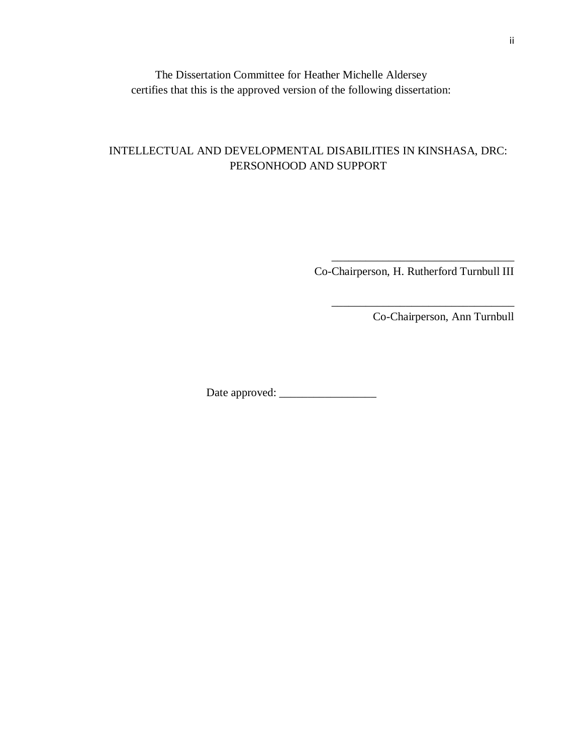The Dissertation Committee for Heather Michelle Aldersey certifies that this is the approved version of the following dissertation:

# INTELLECTUAL AND DEVELOPMENTAL DISABILITIES IN KINSHASA, DRC: PERSONHOOD AND SUPPORT

 $\overline{\phantom{a}}$  ,  $\overline{\phantom{a}}$  ,  $\overline{\phantom{a}}$  ,  $\overline{\phantom{a}}$  ,  $\overline{\phantom{a}}$  ,  $\overline{\phantom{a}}$  ,  $\overline{\phantom{a}}$  ,  $\overline{\phantom{a}}$  ,  $\overline{\phantom{a}}$  ,  $\overline{\phantom{a}}$  ,  $\overline{\phantom{a}}$  ,  $\overline{\phantom{a}}$  ,  $\overline{\phantom{a}}$  ,  $\overline{\phantom{a}}$  ,  $\overline{\phantom{a}}$  ,  $\overline{\phantom{a}}$ Co-Chairperson, H. Rutherford Turnbull III

 $\overline{\phantom{a}}$  ,  $\overline{\phantom{a}}$  ,  $\overline{\phantom{a}}$  ,  $\overline{\phantom{a}}$  ,  $\overline{\phantom{a}}$  ,  $\overline{\phantom{a}}$  ,  $\overline{\phantom{a}}$  ,  $\overline{\phantom{a}}$  ,  $\overline{\phantom{a}}$  ,  $\overline{\phantom{a}}$  ,  $\overline{\phantom{a}}$  ,  $\overline{\phantom{a}}$  ,  $\overline{\phantom{a}}$  ,  $\overline{\phantom{a}}$  ,  $\overline{\phantom{a}}$  ,  $\overline{\phantom{a}}$ 

Co-Chairperson, Ann Turnbull

Date approved: \_\_\_\_\_\_\_\_\_\_\_\_\_\_\_\_\_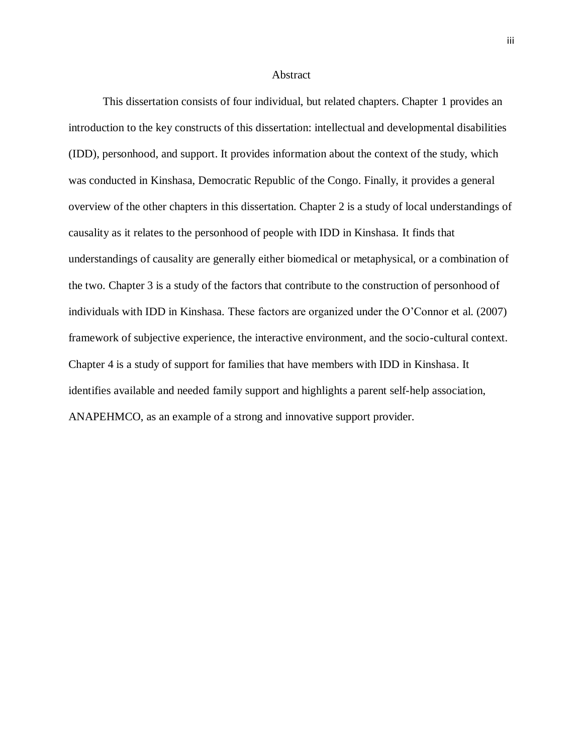### Abstract

This dissertation consists of four individual, but related chapters. Chapter 1 provides an introduction to the key constructs of this dissertation: intellectual and developmental disabilities (IDD), personhood, and support. It provides information about the context of the study, which was conducted in Kinshasa, Democratic Republic of the Congo. Finally, it provides a general overview of the other chapters in this dissertation. Chapter 2 is a study of local understandings of causality as it relates to the personhood of people with IDD in Kinshasa. It finds that understandings of causality are generally either biomedical or metaphysical, or a combination of the two. Chapter 3 is a study of the factors that contribute to the construction of personhood of individuals with IDD in Kinshasa. These factors are organized under the O'Connor et al. (2007) framework of subjective experience, the interactive environment, and the socio-cultural context. Chapter 4 is a study of support for families that have members with IDD in Kinshasa. It identifies available and needed family support and highlights a parent self-help association, ANAPEHMCO, as an example of a strong and innovative support provider.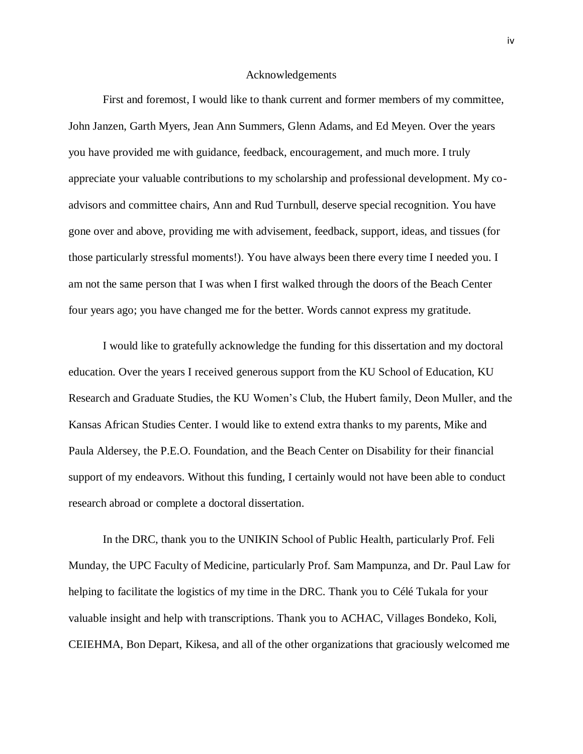### Acknowledgements

First and foremost, I would like to thank current and former members of my committee, John Janzen, Garth Myers, Jean Ann Summers, Glenn Adams, and Ed Meyen. Over the years you have provided me with guidance, feedback, encouragement, and much more. I truly appreciate your valuable contributions to my scholarship and professional development. My coadvisors and committee chairs, Ann and Rud Turnbull, deserve special recognition. You have gone over and above, providing me with advisement, feedback, support, ideas, and tissues (for those particularly stressful moments!). You have always been there every time I needed you. I am not the same person that I was when I first walked through the doors of the Beach Center four years ago; you have changed me for the better. Words cannot express my gratitude.

I would like to gratefully acknowledge the funding for this dissertation and my doctoral education. Over the years I received generous support from the KU School of Education, KU Research and Graduate Studies, the KU Women's Club, the Hubert family, Deon Muller, and the Kansas African Studies Center. I would like to extend extra thanks to my parents, Mike and Paula Aldersey, the P.E.O. Foundation, and the Beach Center on Disability for their financial support of my endeavors. Without this funding, I certainly would not have been able to conduct research abroad or complete a doctoral dissertation.

In the DRC, thank you to the UNIKIN School of Public Health, particularly Prof. Feli Munday, the UPC Faculty of Medicine, particularly Prof. Sam Mampunza, and Dr. Paul Law for helping to facilitate the logistics of my time in the DRC. Thank you to Célé Tukala for your valuable insight and help with transcriptions. Thank you to ACHAC, Villages Bondeko, Koli, CEIEHMA, Bon Depart, Kikesa, and all of the other organizations that graciously welcomed me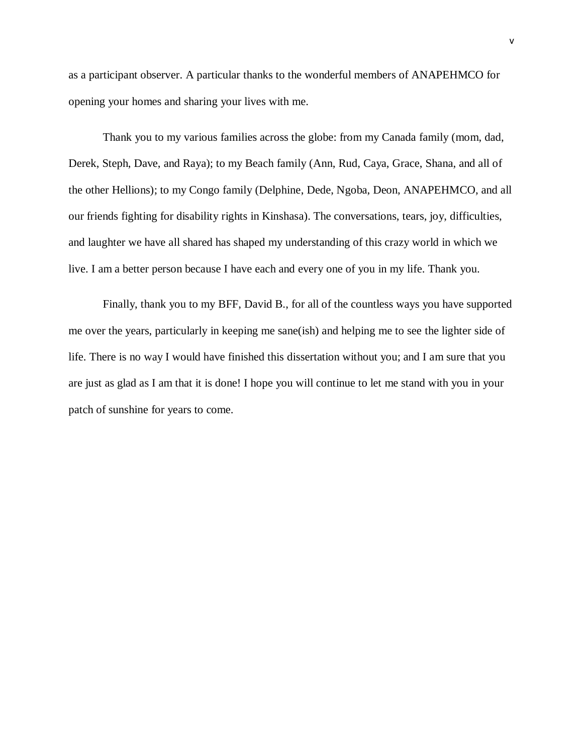as a participant observer. A particular thanks to the wonderful members of ANAPEHMCO for opening your homes and sharing your lives with me.

Thank you to my various families across the globe: from my Canada family (mom, dad, Derek, Steph, Dave, and Raya); to my Beach family (Ann, Rud, Caya, Grace, Shana, and all of the other Hellions); to my Congo family (Delphine, Dede, Ngoba, Deon, ANAPEHMCO, and all our friends fighting for disability rights in Kinshasa). The conversations, tears, joy, difficulties, and laughter we have all shared has shaped my understanding of this crazy world in which we live. I am a better person because I have each and every one of you in my life. Thank you.

Finally, thank you to my BFF, David B., for all of the countless ways you have supported me over the years, particularly in keeping me sane(ish) and helping me to see the lighter side of life. There is no way I would have finished this dissertation without you; and I am sure that you are just as glad as I am that it is done! I hope you will continue to let me stand with you in your patch of sunshine for years to come.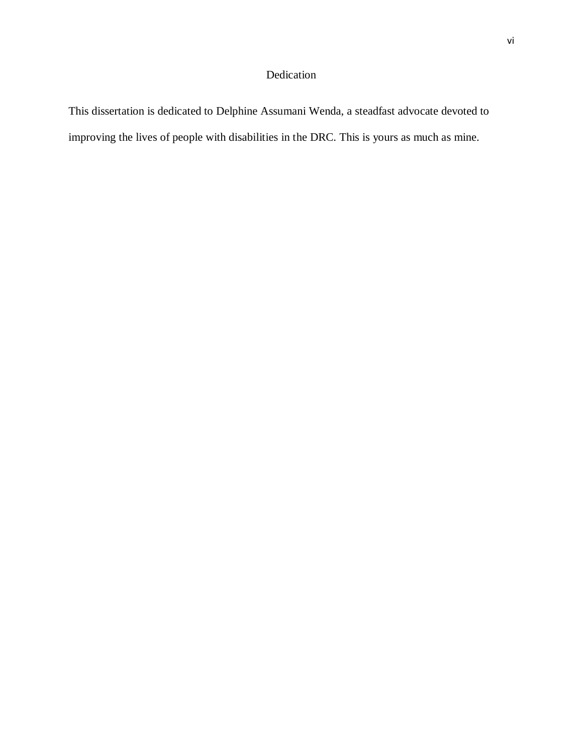# Dedication

This dissertation is dedicated to Delphine Assumani Wenda, a steadfast advocate devoted to improving the lives of people with disabilities in the DRC. This is yours as much as mine.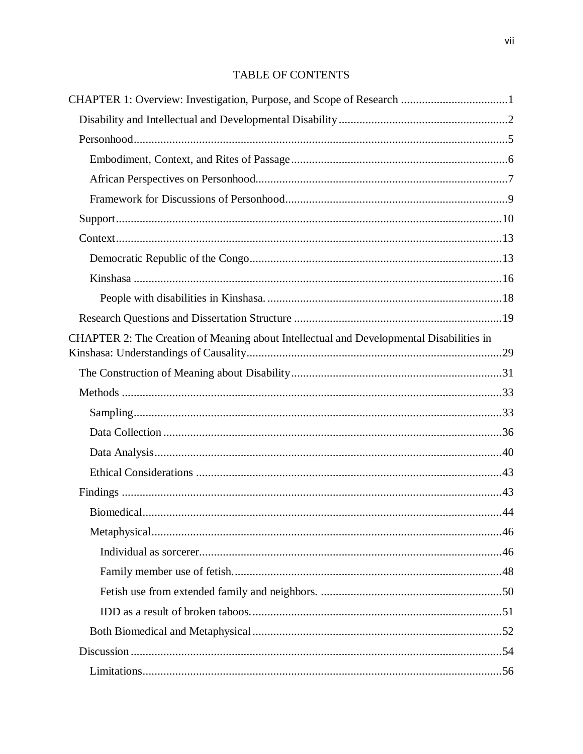# **TABLE OF CONTENTS**

| CHAPTER 2: The Creation of Meaning about Intellectual and Developmental Disabilities in |  |
|-----------------------------------------------------------------------------------------|--|
|                                                                                         |  |
|                                                                                         |  |
|                                                                                         |  |
|                                                                                         |  |
|                                                                                         |  |
|                                                                                         |  |
|                                                                                         |  |
|                                                                                         |  |
|                                                                                         |  |
|                                                                                         |  |
|                                                                                         |  |
|                                                                                         |  |
|                                                                                         |  |
|                                                                                         |  |
|                                                                                         |  |
|                                                                                         |  |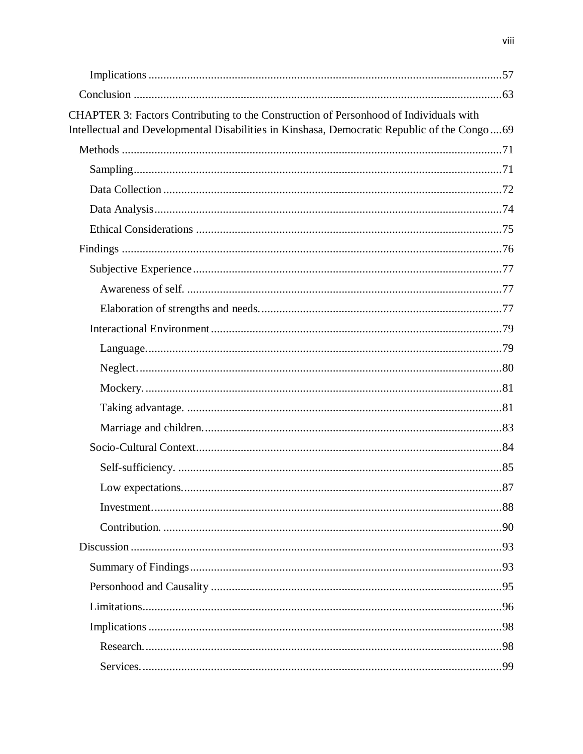| CHAPTER 3: Factors Contributing to the Construction of Personhood of Individuals with<br>Intellectual and Developmental Disabilities in Kinshasa, Democratic Republic of the Congo69 |  |
|--------------------------------------------------------------------------------------------------------------------------------------------------------------------------------------|--|
|                                                                                                                                                                                      |  |
|                                                                                                                                                                                      |  |
|                                                                                                                                                                                      |  |
|                                                                                                                                                                                      |  |
|                                                                                                                                                                                      |  |
|                                                                                                                                                                                      |  |
|                                                                                                                                                                                      |  |
|                                                                                                                                                                                      |  |
|                                                                                                                                                                                      |  |
|                                                                                                                                                                                      |  |
|                                                                                                                                                                                      |  |
|                                                                                                                                                                                      |  |
|                                                                                                                                                                                      |  |
|                                                                                                                                                                                      |  |
|                                                                                                                                                                                      |  |
|                                                                                                                                                                                      |  |
|                                                                                                                                                                                      |  |
|                                                                                                                                                                                      |  |
|                                                                                                                                                                                      |  |
|                                                                                                                                                                                      |  |
|                                                                                                                                                                                      |  |
|                                                                                                                                                                                      |  |
|                                                                                                                                                                                      |  |
|                                                                                                                                                                                      |  |
|                                                                                                                                                                                      |  |
|                                                                                                                                                                                      |  |
|                                                                                                                                                                                      |  |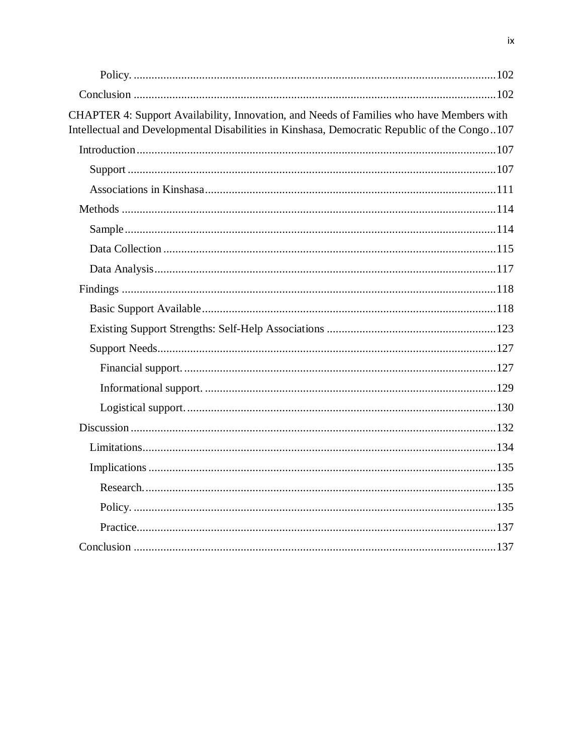| CHAPTER 4: Support Availability, Innovation, and Needs of Families who have Members with<br>Intellectual and Developmental Disabilities in Kinshasa, Democratic Republic of the Congo107 |  |
|------------------------------------------------------------------------------------------------------------------------------------------------------------------------------------------|--|
|                                                                                                                                                                                          |  |
|                                                                                                                                                                                          |  |
|                                                                                                                                                                                          |  |
|                                                                                                                                                                                          |  |
|                                                                                                                                                                                          |  |
|                                                                                                                                                                                          |  |
|                                                                                                                                                                                          |  |
|                                                                                                                                                                                          |  |
|                                                                                                                                                                                          |  |
|                                                                                                                                                                                          |  |
|                                                                                                                                                                                          |  |
|                                                                                                                                                                                          |  |
|                                                                                                                                                                                          |  |
|                                                                                                                                                                                          |  |
|                                                                                                                                                                                          |  |
|                                                                                                                                                                                          |  |
|                                                                                                                                                                                          |  |
|                                                                                                                                                                                          |  |
|                                                                                                                                                                                          |  |
|                                                                                                                                                                                          |  |
|                                                                                                                                                                                          |  |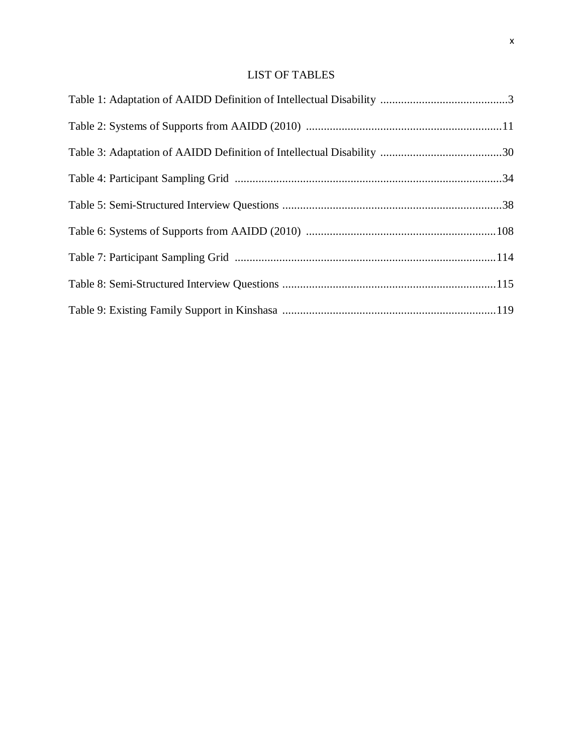# LIST OF TABLES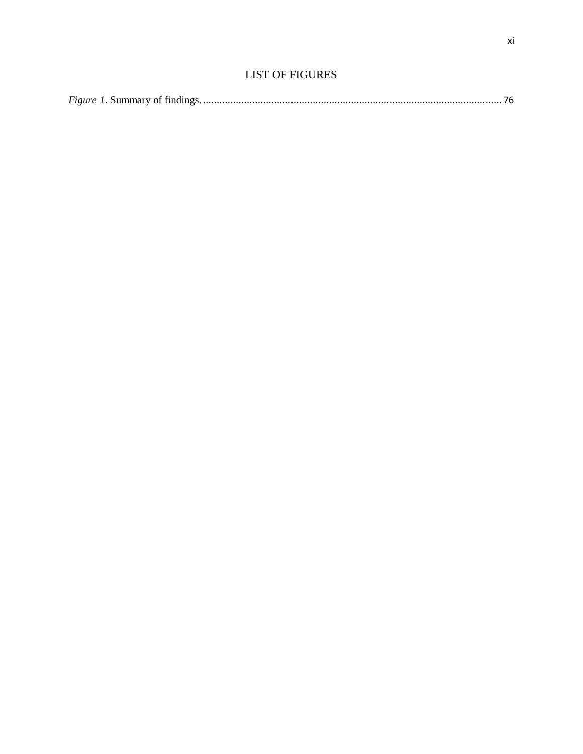|--|--|--|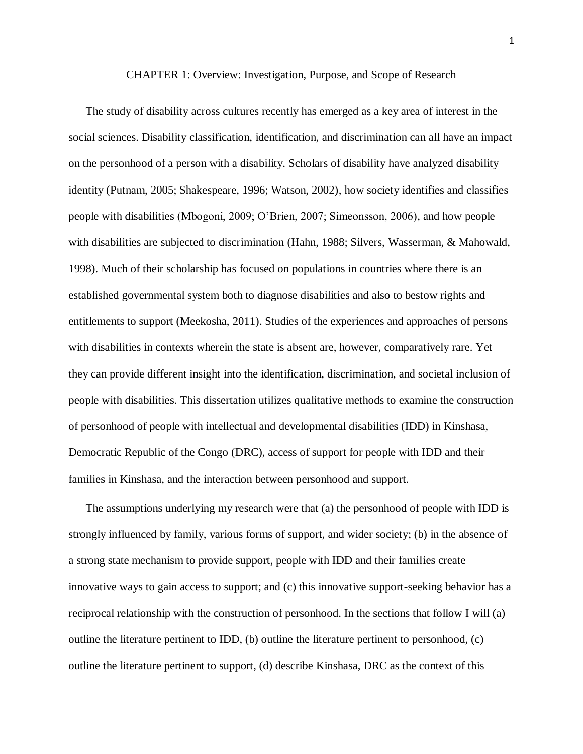CHAPTER 1: Overview: Investigation, Purpose, and Scope of Research

<span id="page-11-0"></span>The study of disability across cultures recently has emerged as a key area of interest in the social sciences. Disability classification, identification, and discrimination can all have an impact on the personhood of a person with a disability. Scholars of disability have analyzed disability identity (Putnam, 2005; Shakespeare, 1996; Watson, 2002), how society identifies and classifies people with disabilities (Mbogoni, 2009; O'Brien, 2007; Simeonsson, 2006), and how people with disabilities are subjected to discrimination (Hahn, 1988; Silvers, Wasserman, & Mahowald, 1998). Much of their scholarship has focused on populations in countries where there is an established governmental system both to diagnose disabilities and also to bestow rights and entitlements to support (Meekosha, 2011). Studies of the experiences and approaches of persons with disabilities in contexts wherein the state is absent are, however, comparatively rare. Yet they can provide different insight into the identification, discrimination, and societal inclusion of people with disabilities. This dissertation utilizes qualitative methods to examine the construction of personhood of people with intellectual and developmental disabilities (IDD) in Kinshasa, Democratic Republic of the Congo (DRC), access of support for people with IDD and their families in Kinshasa, and the interaction between personhood and support.

The assumptions underlying my research were that (a) the personhood of people with IDD is strongly influenced by family, various forms of support, and wider society; (b) in the absence of a strong state mechanism to provide support, people with IDD and their families create innovative ways to gain access to support; and (c) this innovative support-seeking behavior has a reciprocal relationship with the construction of personhood. In the sections that follow I will (a) outline the literature pertinent to IDD, (b) outline the literature pertinent to personhood, (c) outline the literature pertinent to support, (d) describe Kinshasa, DRC as the context of this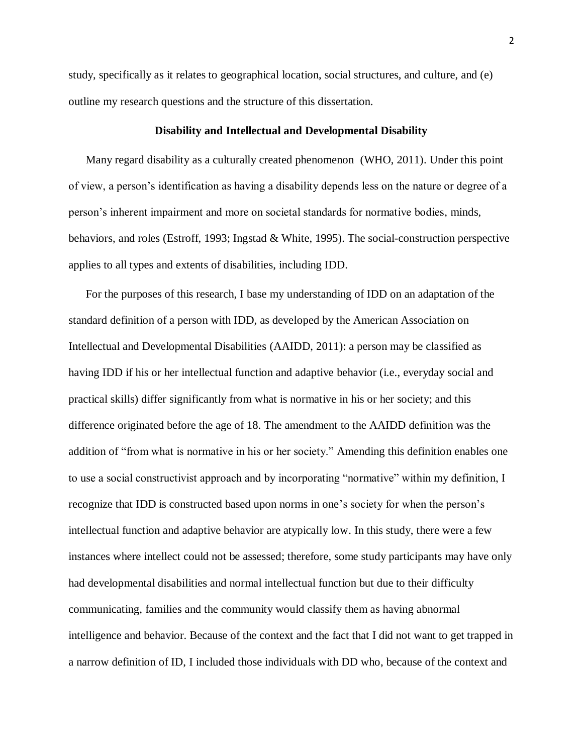study, specifically as it relates to geographical location, social structures, and culture, and (e) outline my research questions and the structure of this dissertation.

### **Disability and Intellectual and Developmental Disability**

<span id="page-12-0"></span>Many regard disability as a culturally created phenomenon (WHO, 2011). Under this point of view, a person's identification as having a disability depends less on the nature or degree of a person's inherent impairment and more on societal standards for normative bodies, minds, behaviors, and roles (Estroff, 1993; Ingstad & White, 1995). The social-construction perspective applies to all types and extents of disabilities, including IDD.

For the purposes of this research, I base my understanding of IDD on an adaptation of the standard definition of a person with IDD, as developed by the American Association on Intellectual and Developmental Disabilities (AAIDD, 2011): a person may be classified as having IDD if his or her intellectual function and adaptive behavior (i.e., everyday social and practical skills) differ significantly from what is normative in his or her society; and this difference originated before the age of 18. The amendment to the AAIDD definition was the addition of "from what is normative in his or her society." Amending this definition enables one to use a social constructivist approach and by incorporating "normative" within my definition, I recognize that IDD is constructed based upon norms in one's society for when the person's intellectual function and adaptive behavior are atypically low. In this study, there were a few instances where intellect could not be assessed; therefore, some study participants may have only had developmental disabilities and normal intellectual function but due to their difficulty communicating, families and the community would classify them as having abnormal intelligence and behavior. Because of the context and the fact that I did not want to get trapped in a narrow definition of ID, I included those individuals with DD who, because of the context and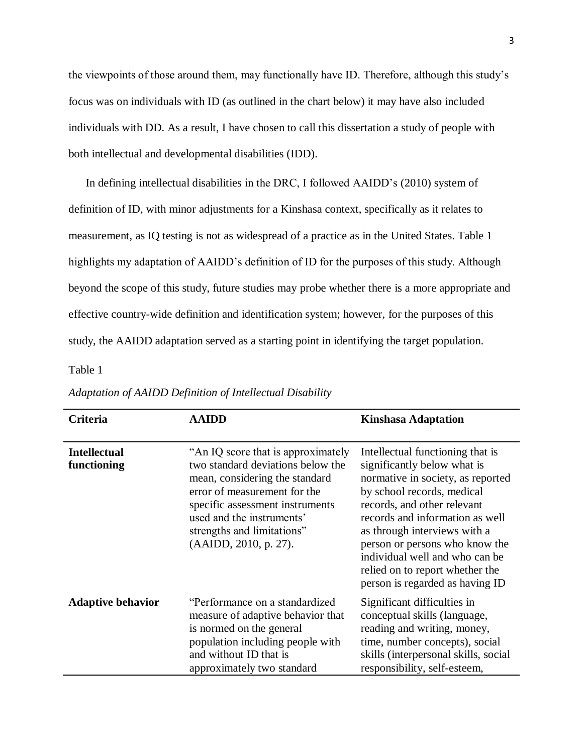the viewpoints of those around them, may functionally have ID. Therefore, although this study's focus was on individuals with ID (as outlined in the chart below) it may have also included individuals with DD. As a result, I have chosen to call this dissertation a study of people with both intellectual and developmental disabilities (IDD).

In defining intellectual disabilities in the DRC, I followed AAIDD's (2010) system of definition of ID, with minor adjustments for a Kinshasa context, specifically as it relates to measurement, as IQ testing is not as widespread of a practice as in the United States. Table 1 highlights my adaptation of AAIDD's definition of ID for the purposes of this study. Although beyond the scope of this study, future studies may probe whether there is a more appropriate and effective country-wide definition and identification system; however, for the purposes of this study, the AAIDD adaptation served as a starting point in identifying the target population.

# <span id="page-13-0"></span>Table 1

| Criteria                           | <b>AAIDD</b>                                                                                                                                                                                                                                                      | <b>Kinshasa Adaptation</b>                                                                                                                                                                                                                                                                                                                                                     |
|------------------------------------|-------------------------------------------------------------------------------------------------------------------------------------------------------------------------------------------------------------------------------------------------------------------|--------------------------------------------------------------------------------------------------------------------------------------------------------------------------------------------------------------------------------------------------------------------------------------------------------------------------------------------------------------------------------|
| <b>Intellectual</b><br>functioning | "An IQ score that is approximately"<br>two standard deviations below the<br>mean, considering the standard<br>error of measurement for the<br>specific assessment instruments<br>used and the instruments'<br>strengths and limitations"<br>(AAIDD, 2010, p. 27). | Intellectual functioning that is<br>significantly below what is<br>normative in society, as reported<br>by school records, medical<br>records, and other relevant<br>records and information as well<br>as through interviews with a<br>person or persons who know the<br>individual well and who can be<br>relied on to report whether the<br>person is regarded as having ID |
| <b>Adaptive behavior</b>           | "Performance on a standardized<br>measure of adaptive behavior that<br>is normed on the general<br>population including people with<br>and without ID that is<br>approximately two standard                                                                       | Significant difficulties in<br>conceptual skills (language,<br>reading and writing, money,<br>time, number concepts), social<br>skills (interpersonal skills, social<br>responsibility, self-esteem,                                                                                                                                                                           |

*Adaptation of AAIDD Definition of Intellectual Disability*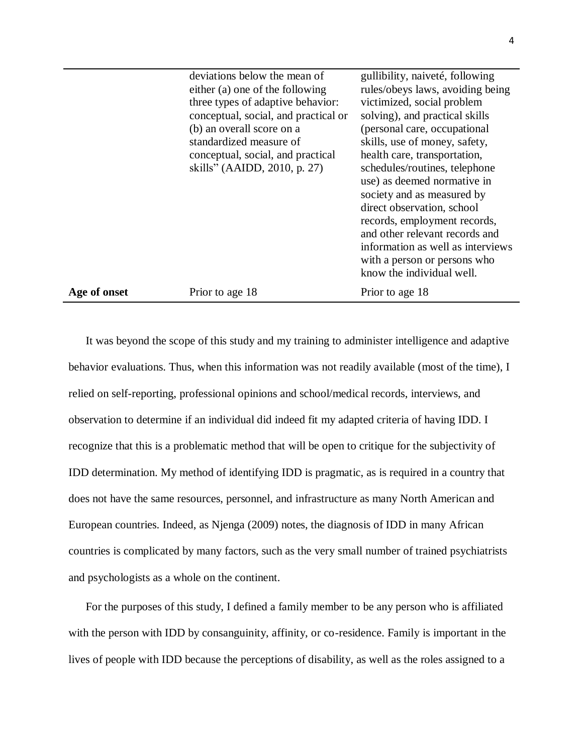|              | deviations below the mean of<br>either (a) one of the following<br>three types of adaptive behavior:<br>conceptual, social, and practical or<br>(b) an overall score on a<br>standardized measure of<br>conceptual, social, and practical<br>skills" (AAIDD, 2010, p. 27) | gullibility, naiveté, following<br>rules/obeys laws, avoiding being<br>victimized, social problem<br>solving), and practical skills<br>(personal care, occupational<br>skills, use of money, safety,<br>health care, transportation,<br>schedules/routines, telephone<br>use) as deemed normative in<br>society and as measured by<br>direct observation, school<br>records, employment records,<br>and other relevant records and<br>information as well as interviews<br>with a person or persons who<br>know the individual well. |
|--------------|---------------------------------------------------------------------------------------------------------------------------------------------------------------------------------------------------------------------------------------------------------------------------|--------------------------------------------------------------------------------------------------------------------------------------------------------------------------------------------------------------------------------------------------------------------------------------------------------------------------------------------------------------------------------------------------------------------------------------------------------------------------------------------------------------------------------------|
| Age of onset | Prior to age 18                                                                                                                                                                                                                                                           | Prior to age 18                                                                                                                                                                                                                                                                                                                                                                                                                                                                                                                      |

It was beyond the scope of this study and my training to administer intelligence and adaptive behavior evaluations. Thus, when this information was not readily available (most of the time), I relied on self-reporting, professional opinions and school/medical records, interviews, and observation to determine if an individual did indeed fit my adapted criteria of having IDD. I recognize that this is a problematic method that will be open to critique for the subjectivity of IDD determination. My method of identifying IDD is pragmatic, as is required in a country that does not have the same resources, personnel, and infrastructure as many North American and European countries. Indeed, as Njenga (2009) notes, the diagnosis of IDD in many African countries is complicated by many factors, such as the very small number of trained psychiatrists and psychologists as a whole on the continent.

For the purposes of this study, I defined a family member to be any person who is affiliated with the person with IDD by consanguinity, affinity, or co-residence. Family is important in the lives of people with IDD because the perceptions of disability, as well as the roles assigned to a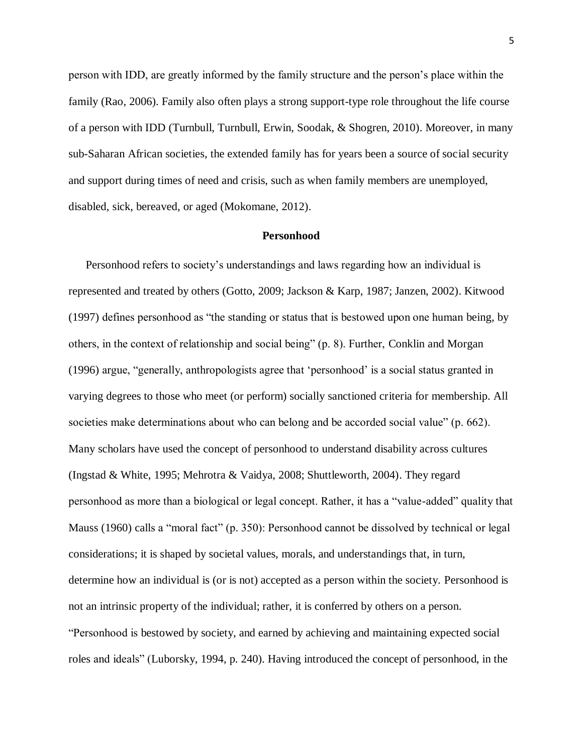person with IDD, are greatly informed by the family structure and the person's place within the family (Rao, 2006). Family also often plays a strong support-type role throughout the life course of a person with IDD (Turnbull, Turnbull, Erwin, Soodak, & Shogren, 2010). Moreover, in many sub-Saharan African societies, the extended family has for years been a source of social security and support during times of need and crisis, such as when family members are unemployed, disabled, sick, bereaved, or aged (Mokomane, 2012).

### **Personhood**

<span id="page-15-0"></span>Personhood refers to society's understandings and laws regarding how an individual is represented and treated by others (Gotto, 2009; Jackson & Karp, 1987; Janzen, 2002). Kitwood (1997) defines personhood as "the standing or status that is bestowed upon one human being, by others, in the context of relationship and social being" (p. 8). Further, Conklin and Morgan (1996) argue, "generally, anthropologists agree that 'personhood' is a social status granted in varying degrees to those who meet (or perform) socially sanctioned criteria for membership. All societies make determinations about who can belong and be accorded social value" (p. 662). Many scholars have used the concept of personhood to understand disability across cultures (Ingstad & White, 1995; Mehrotra & Vaidya, 2008; Shuttleworth, 2004). They regard personhood as more than a biological or legal concept. Rather, it has a "value-added" quality that Mauss (1960) calls a "moral fact" (p. 350): Personhood cannot be dissolved by technical or legal considerations; it is shaped by societal values, morals, and understandings that, in turn, determine how an individual is (or is not) accepted as a person within the society. Personhood is not an intrinsic property of the individual; rather, it is conferred by others on a person. "Personhood is bestowed by society, and earned by achieving and maintaining expected social roles and ideals" (Luborsky, 1994, p. 240). Having introduced the concept of personhood, in the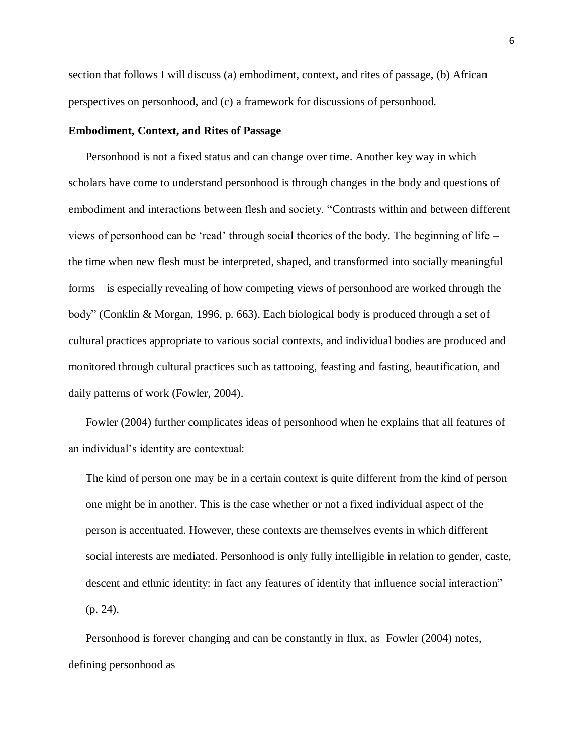section that follows I will discuss (a) embodiment, context, and rites of passage, (b) African perspectives on personhood, and (c) a framework for discussions of personhood.

### <span id="page-16-0"></span>**Embodiment, Context, and Rites of Passage**

Personhood is not a fixed status and can change over time. Another key way in which scholars have come to understand personhood is through changes in the body and questions of embodiment and interactions between flesh and society. "Contrasts within and between different views of personhood can be 'read' through social theories of the body. The beginning of life – the time when new flesh must be interpreted, shaped, and transformed into socially meaningful forms – is especially revealing of how competing views of personhood are worked through the body" (Conklin & Morgan, 1996, p. 663). Each biological body is produced through a set of cultural practices appropriate to various social contexts, and individual bodies are produced and monitored through cultural practices such as tattooing, feasting and fasting, beautification, and daily patterns of work (Fowler, 2004).

Fowler (2004) further complicates ideas of personhood when he explains that all features of an individual's identity are contextual:

The kind of person one may be in a certain context is quite different from the kind of person one might be in another. This is the case whether or not a fixed individual aspect of the person is accentuated. However, these contexts are themselves events in which different social interests are mediated. Personhood is only fully intelligible in relation to gender, caste, descent and ethnic identity: in fact any features of identity that influence social interaction" (p. 24).

Personhood is forever changing and can be constantly in flux, as Fowler (2004) notes, defining personhood as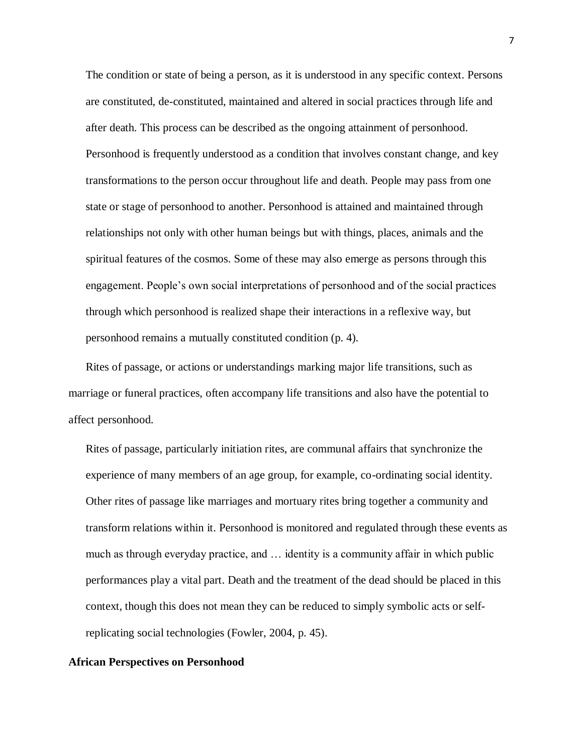The condition or state of being a person, as it is understood in any specific context. Persons are constituted, de-constituted, maintained and altered in social practices through life and after death. This process can be described as the ongoing attainment of personhood. Personhood is frequently understood as a condition that involves constant change, and key transformations to the person occur throughout life and death. People may pass from one state or stage of personhood to another. Personhood is attained and maintained through relationships not only with other human beings but with things, places, animals and the spiritual features of the cosmos. Some of these may also emerge as persons through this engagement. People's own social interpretations of personhood and of the social practices through which personhood is realized shape their interactions in a reflexive way, but personhood remains a mutually constituted condition (p. 4).

Rites of passage, or actions or understandings marking major life transitions, such as marriage or funeral practices, often accompany life transitions and also have the potential to affect personhood.

Rites of passage, particularly initiation rites, are communal affairs that synchronize the experience of many members of an age group, for example, co-ordinating social identity. Other rites of passage like marriages and mortuary rites bring together a community and transform relations within it. Personhood is monitored and regulated through these events as much as through everyday practice, and … identity is a community affair in which public performances play a vital part. Death and the treatment of the dead should be placed in this context, though this does not mean they can be reduced to simply symbolic acts or selfreplicating social technologies (Fowler, 2004, p. 45).

## <span id="page-17-0"></span>**African Perspectives on Personhood**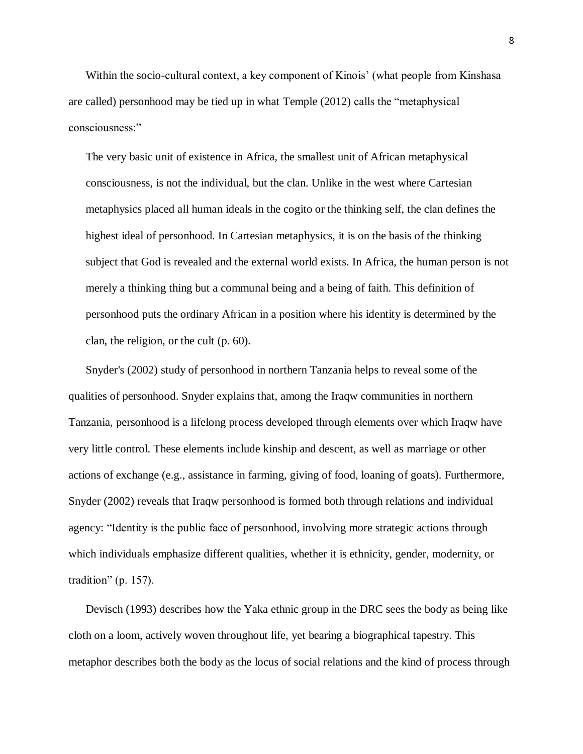Within the socio-cultural context, a key component of Kinois' (what people from Kinshasa are called) personhood may be tied up in what Temple (2012) calls the "metaphysical consciousness:"

The very basic unit of existence in Africa, the smallest unit of African metaphysical consciousness, is not the individual, but the clan. Unlike in the west where Cartesian metaphysics placed all human ideals in the cogito or the thinking self, the clan defines the highest ideal of personhood. In Cartesian metaphysics, it is on the basis of the thinking subject that God is revealed and the external world exists. In Africa, the human person is not merely a thinking thing but a communal being and a being of faith. This definition of personhood puts the ordinary African in a position where his identity is determined by the clan, the religion, or the cult (p. 60).

Snyder's (2002) study of personhood in northern Tanzania helps to reveal some of the qualities of personhood. Snyder explains that, among the Iraqw communities in northern Tanzania, personhood is a lifelong process developed through elements over which Iraqw have very little control. These elements include kinship and descent, as well as marriage or other actions of exchange (e.g., assistance in farming, giving of food, loaning of goats). Furthermore, Snyder (2002) reveals that Iraqw personhood is formed both through relations and individual agency: "Identity is the public face of personhood, involving more strategic actions through which individuals emphasize different qualities, whether it is ethnicity, gender, modernity, or tradition" (p. 157).

Devisch (1993) describes how the Yaka ethnic group in the DRC sees the body as being like cloth on a loom, actively woven throughout life, yet bearing a biographical tapestry. This metaphor describes both the body as the locus of social relations and the kind of process through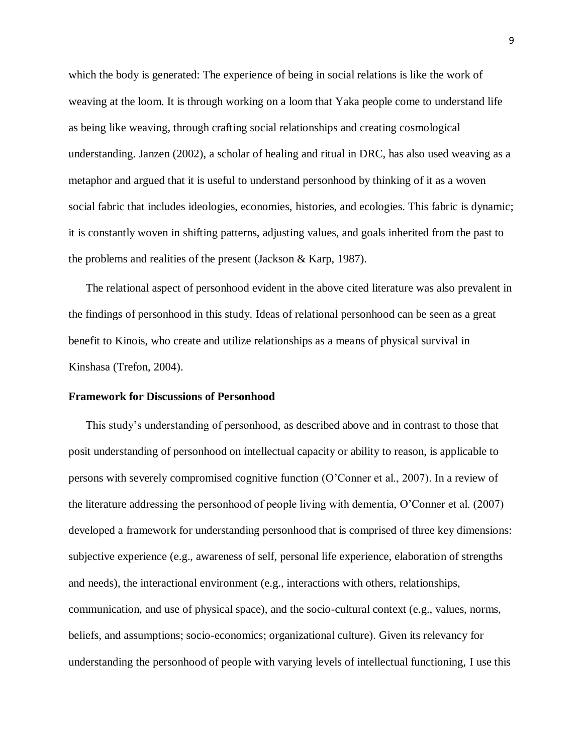which the body is generated: The experience of being in social relations is like the work of weaving at the loom. It is through working on a loom that Yaka people come to understand life as being like weaving, through crafting social relationships and creating cosmological understanding. Janzen (2002), a scholar of healing and ritual in DRC, has also used weaving as a metaphor and argued that it is useful to understand personhood by thinking of it as a woven social fabric that includes ideologies, economies, histories, and ecologies. This fabric is dynamic; it is constantly woven in shifting patterns, adjusting values, and goals inherited from the past to the problems and realities of the present (Jackson & Karp, 1987).

The relational aspect of personhood evident in the above cited literature was also prevalent in the findings of personhood in this study. Ideas of relational personhood can be seen as a great benefit to Kinois, who create and utilize relationships as a means of physical survival in Kinshasa (Trefon, 2004).

#### <span id="page-19-0"></span>**Framework for Discussions of Personhood**

This study's understanding of personhood, as described above and in contrast to those that posit understanding of personhood on intellectual capacity or ability to reason, is applicable to persons with severely compromised cognitive function (O'Conner et al., 2007). In a review of the literature addressing the personhood of people living with dementia, O'Conner et al. (2007) developed a framework for understanding personhood that is comprised of three key dimensions: subjective experience (e.g., awareness of self, personal life experience, elaboration of strengths and needs), the interactional environment (e.g., interactions with others, relationships, communication, and use of physical space), and the socio-cultural context (e.g., values, norms, beliefs, and assumptions; socio-economics; organizational culture). Given its relevancy for understanding the personhood of people with varying levels of intellectual functioning, I use this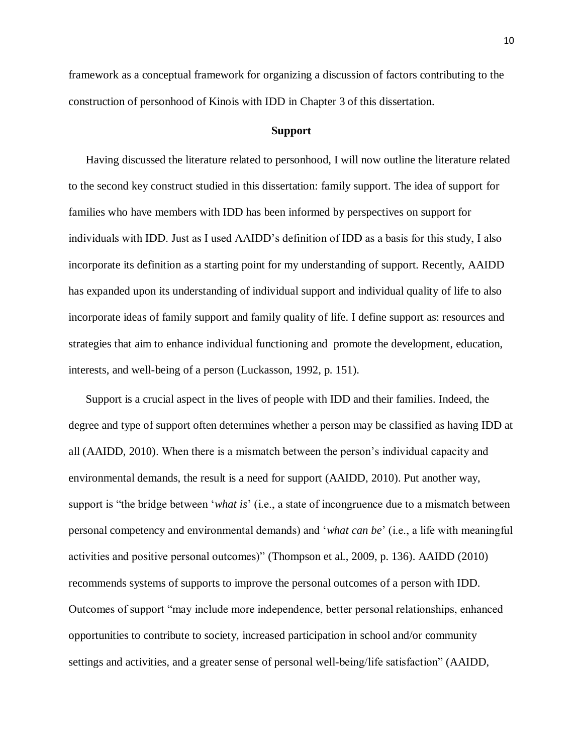framework as a conceptual framework for organizing a discussion of factors contributing to the construction of personhood of Kinois with IDD in Chapter 3 of this dissertation.

### **Support**

<span id="page-20-0"></span>Having discussed the literature related to personhood, I will now outline the literature related to the second key construct studied in this dissertation: family support. The idea of support for families who have members with IDD has been informed by perspectives on support for individuals with IDD. Just as I used AAIDD's definition of IDD as a basis for this study, I also incorporate its definition as a starting point for my understanding of support. Recently, AAIDD has expanded upon its understanding of individual support and individual quality of life to also incorporate ideas of family support and family quality of life. I define support as: resources and strategies that aim to enhance individual functioning and promote the development, education, interests, and well-being of a person (Luckasson, 1992, p. 151).

Support is a crucial aspect in the lives of people with IDD and their families. Indeed, the degree and type of support often determines whether a person may be classified as having IDD at all (AAIDD, 2010). When there is a mismatch between the person's individual capacity and environmental demands, the result is a need for support (AAIDD, 2010). Put another way, support is "the bridge between '*what is*' (i.e., a state of incongruence due to a mismatch between personal competency and environmental demands) and '*what can be*' (i.e., a life with meaningful activities and positive personal outcomes)" (Thompson et al., 2009, p. 136). AAIDD (2010) recommends systems of supports to improve the personal outcomes of a person with IDD. Outcomes of support "may include more independence, better personal relationships, enhanced opportunities to contribute to society, increased participation in school and/or community settings and activities, and a greater sense of personal well-being/life satisfaction" (AAIDD,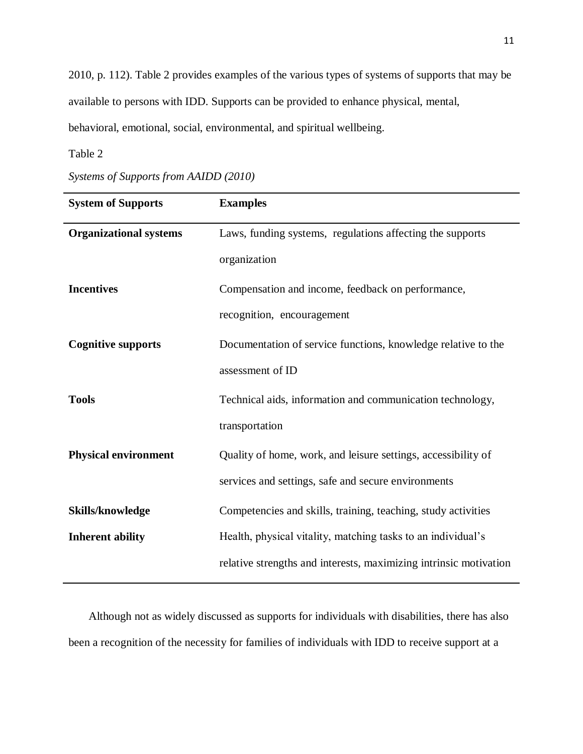2010, p. 112). Table 2 provides examples of the various types of systems of supports that may be available to persons with IDD. Supports can be provided to enhance physical, mental, behavioral, emotional, social, environmental, and spiritual wellbeing.

# <span id="page-21-0"></span>Table 2

| <b>System of Supports</b>     | <b>Examples</b>                                                   |
|-------------------------------|-------------------------------------------------------------------|
| <b>Organizational systems</b> | Laws, funding systems, regulations affecting the supports         |
|                               | organization                                                      |
| <b>Incentives</b>             | Compensation and income, feedback on performance,                 |
|                               | recognition, encouragement                                        |
| <b>Cognitive supports</b>     | Documentation of service functions, knowledge relative to the     |
|                               | assessment of ID                                                  |
| <b>Tools</b>                  | Technical aids, information and communication technology,         |
|                               | transportation                                                    |
| <b>Physical environment</b>   | Quality of home, work, and leisure settings, accessibility of     |
|                               | services and settings, safe and secure environments               |
| Skills/knowledge              | Competencies and skills, training, teaching, study activities     |
| <b>Inherent ability</b>       | Health, physical vitality, matching tasks to an individual's      |
|                               | relative strengths and interests, maximizing intrinsic motivation |

Although not as widely discussed as supports for individuals with disabilities, there has also been a recognition of the necessity for families of individuals with IDD to receive support at a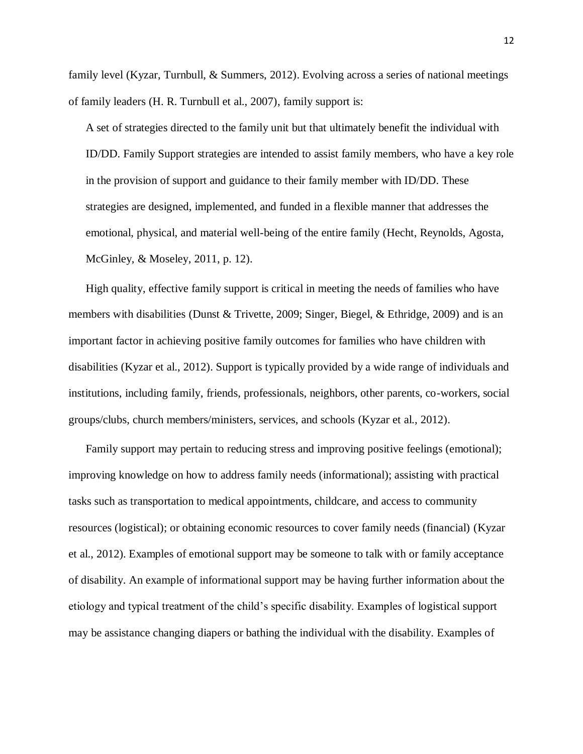family level (Kyzar, Turnbull, & Summers, 2012). Evolving across a series of national meetings of family leaders (H. R. Turnbull et al., 2007), family support is:

A set of strategies directed to the family unit but that ultimately benefit the individual with ID/DD. Family Support strategies are intended to assist family members, who have a key role in the provision of support and guidance to their family member with ID/DD. These strategies are designed, implemented, and funded in a flexible manner that addresses the emotional, physical, and material well-being of the entire family (Hecht, Reynolds, Agosta, McGinley, & Moseley, 2011, p. 12).

High quality, effective family support is critical in meeting the needs of families who have members with disabilities (Dunst & Trivette, 2009; Singer, Biegel, & Ethridge, 2009) and is an important factor in achieving positive family outcomes for families who have children with disabilities (Kyzar et al., 2012). Support is typically provided by a wide range of individuals and institutions, including family, friends, professionals, neighbors, other parents, co-workers, social groups/clubs, church members/ministers, services, and schools (Kyzar et al., 2012).

Family support may pertain to reducing stress and improving positive feelings (emotional); improving knowledge on how to address family needs (informational); assisting with practical tasks such as transportation to medical appointments, childcare, and access to community resources (logistical); or obtaining economic resources to cover family needs (financial) (Kyzar et al., 2012). Examples of emotional support may be someone to talk with or family acceptance of disability. An example of informational support may be having further information about the etiology and typical treatment of the child's specific disability. Examples of logistical support may be assistance changing diapers or bathing the individual with the disability. Examples of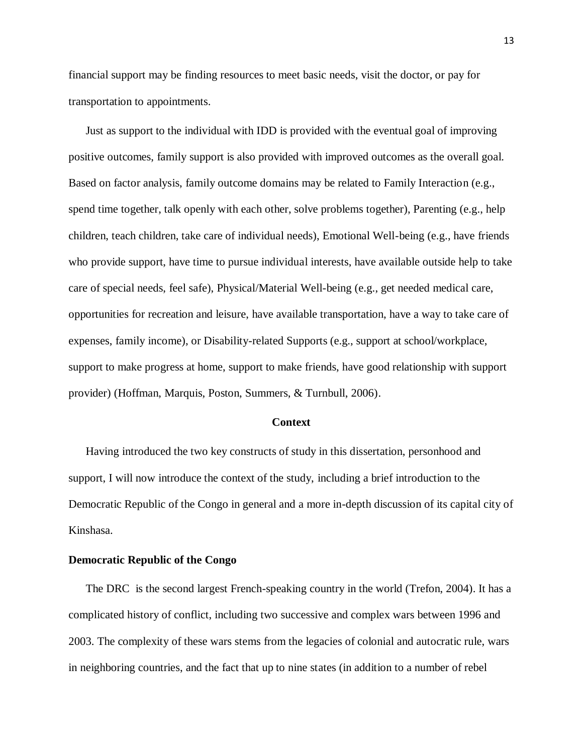financial support may be finding resources to meet basic needs, visit the doctor, or pay for transportation to appointments.

Just as support to the individual with IDD is provided with the eventual goal of improving positive outcomes, family support is also provided with improved outcomes as the overall goal. Based on factor analysis, family outcome domains may be related to Family Interaction (e.g., spend time together, talk openly with each other, solve problems together), Parenting (e.g., help children, teach children, take care of individual needs), Emotional Well-being (e.g., have friends who provide support, have time to pursue individual interests, have available outside help to take care of special needs, feel safe), Physical/Material Well-being (e.g., get needed medical care, opportunities for recreation and leisure, have available transportation, have a way to take care of expenses, family income), or Disability-related Supports (e.g., support at school/workplace, support to make progress at home, support to make friends, have good relationship with support provider) (Hoffman, Marquis, Poston, Summers, & Turnbull, 2006).

#### **Context**

<span id="page-23-0"></span>Having introduced the two key constructs of study in this dissertation, personhood and support, I will now introduce the context of the study, including a brief introduction to the Democratic Republic of the Congo in general and a more in-depth discussion of its capital city of Kinshasa.

### <span id="page-23-1"></span>**Democratic Republic of the Congo**

The DRC is the second largest French-speaking country in the world (Trefon, 2004). It has a complicated history of conflict, including two successive and complex wars between 1996 and 2003. The complexity of these wars stems from the legacies of colonial and autocratic rule, wars in neighboring countries, and the fact that up to nine states (in addition to a number of rebel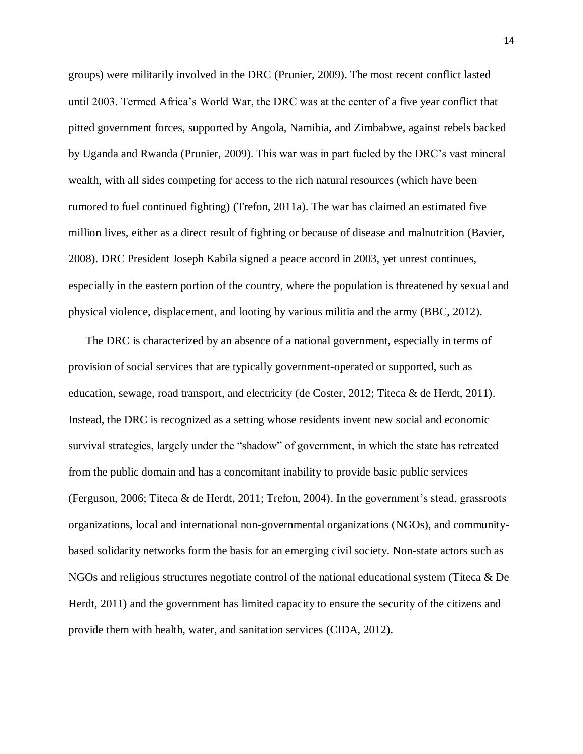groups) were militarily involved in the DRC (Prunier, 2009). The most recent conflict lasted until 2003. Termed Africa's World War, the DRC was at the center of a five year conflict that pitted government forces, supported by Angola, Namibia, and Zimbabwe, against rebels backed by Uganda and Rwanda (Prunier, 2009). This war was in part fueled by the DRC's vast mineral wealth, with all sides competing for access to the rich natural resources (which have been rumored to fuel continued fighting) (Trefon, 2011a). The war has claimed an estimated five million lives, either as a direct result of fighting or because of disease and malnutrition (Bavier, 2008). DRC President Joseph Kabila signed a peace accord in 2003, yet unrest continues, especially in the eastern portion of the country, where the population is threatened by sexual and physical violence, displacement, and looting by various militia and the army (BBC, 2012).

The DRC is characterized by an absence of a national government, especially in terms of provision of social services that are typically government-operated or supported, such as education, sewage, road transport, and electricity (de Coster, 2012; Titeca & de Herdt, 2011). Instead, the DRC is recognized as a setting whose residents invent new social and economic survival strategies, largely under the "shadow" of government, in which the state has retreated from the public domain and has a concomitant inability to provide basic public services (Ferguson, 2006; Titeca & de Herdt, 2011; Trefon, 2004). In the government's stead, grassroots organizations, local and international non-governmental organizations (NGOs), and communitybased solidarity networks form the basis for an emerging civil society. Non-state actors such as NGOs and religious structures negotiate control of the national educational system (Titeca & De Herdt, 2011) and the government has limited capacity to ensure the security of the citizens and provide them with health, water, and sanitation services (CIDA, 2012).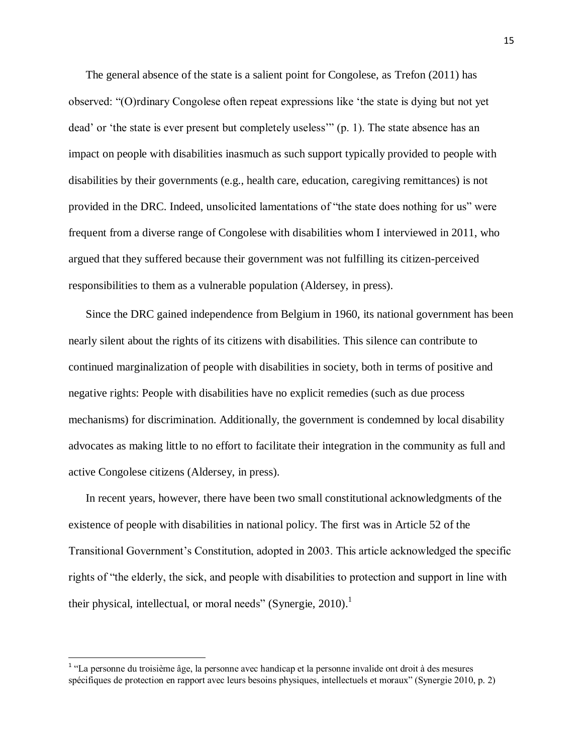The general absence of the state is a salient point for Congolese, as Trefon (2011) has observed: "(O)rdinary Congolese often repeat expressions like 'the state is dying but not yet dead' or 'the state is ever present but completely useless'" (p. 1). The state absence has an impact on people with disabilities inasmuch as such support typically provided to people with disabilities by their governments (e.g., health care, education, caregiving remittances) is not provided in the DRC. Indeed, unsolicited lamentations of "the state does nothing for us" were frequent from a diverse range of Congolese with disabilities whom I interviewed in 2011, who argued that they suffered because their government was not fulfilling its citizen-perceived responsibilities to them as a vulnerable population (Aldersey, in press).

Since the DRC gained independence from Belgium in 1960, its national government has been nearly silent about the rights of its citizens with disabilities. This silence can contribute to continued marginalization of people with disabilities in society, both in terms of positive and negative rights: People with disabilities have no explicit remedies (such as due process mechanisms) for discrimination. Additionally, the government is condemned by local disability advocates as making little to no effort to facilitate their integration in the community as full and active Congolese citizens (Aldersey, in press).

In recent years, however, there have been two small constitutional acknowledgments of the existence of people with disabilities in national policy. The first was in Article 52 of the Transitional Government's Constitution, adopted in 2003. This article acknowledged the specific rights of "the elderly, the sick, and people with disabilities to protection and support in line with their physical, intellectual, or moral needs" (Synergie, 2010).<sup>1</sup>

 1 "La personne du troisième âge, la personne avec handicap et la personne invalide ont droit à des mesures spécifiques de protection en rapport avec leurs besoins physiques, intellectuels et moraux" (Synergie 2010, p. 2)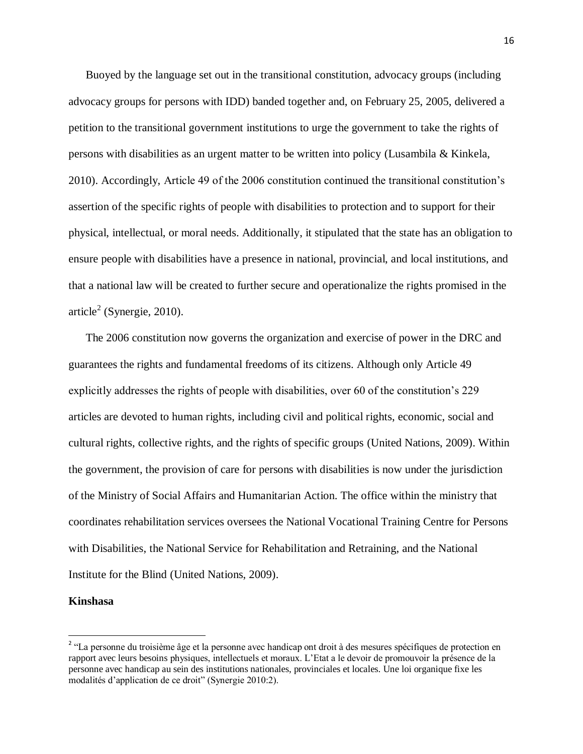Buoyed by the language set out in the transitional constitution, advocacy groups (including advocacy groups for persons with IDD) banded together and, on February 25, 2005, delivered a petition to the transitional government institutions to urge the government to take the rights of persons with disabilities as an urgent matter to be written into policy (Lusambila & Kinkela, 2010). Accordingly, Article 49 of the 2006 constitution continued the transitional constitution's assertion of the specific rights of people with disabilities to protection and to support for their physical, intellectual, or moral needs. Additionally, it stipulated that the state has an obligation to ensure people with disabilities have a presence in national, provincial, and local institutions, and that a national law will be created to further secure and operationalize the rights promised in the article<sup>2</sup> (Synergie, 2010).

The 2006 constitution now governs the organization and exercise of power in the DRC and guarantees the rights and fundamental freedoms of its citizens. Although only Article 49 explicitly addresses the rights of people with disabilities, over 60 of the constitution's 229 articles are devoted to human rights, including civil and political rights, economic, social and cultural rights, collective rights, and the rights of specific groups (United Nations, 2009). Within the government, the provision of care for persons with disabilities is now under the jurisdiction of the Ministry of Social Affairs and Humanitarian Action. The office within the ministry that coordinates rehabilitation services oversees the National Vocational Training Centre for Persons with Disabilities, the National Service for Rehabilitation and Retraining, and the National Institute for the Blind (United Nations, 2009).

#### <span id="page-26-0"></span>**Kinshasa**

 $\overline{\phantom{a}}$ 

<sup>&</sup>lt;sup>2</sup> "La personne du troisième âge et la personne avec handicap ont droit à des mesures spécifiques de protection en rapport avec leurs besoins physiques, intellectuels et moraux. L'Etat a le devoir de promouvoir la présence de la personne avec handicap au sein des institutions nationales, provinciales et locales. Une loi organique fixe les modalités d'application de ce droit" (Synergie 2010:2).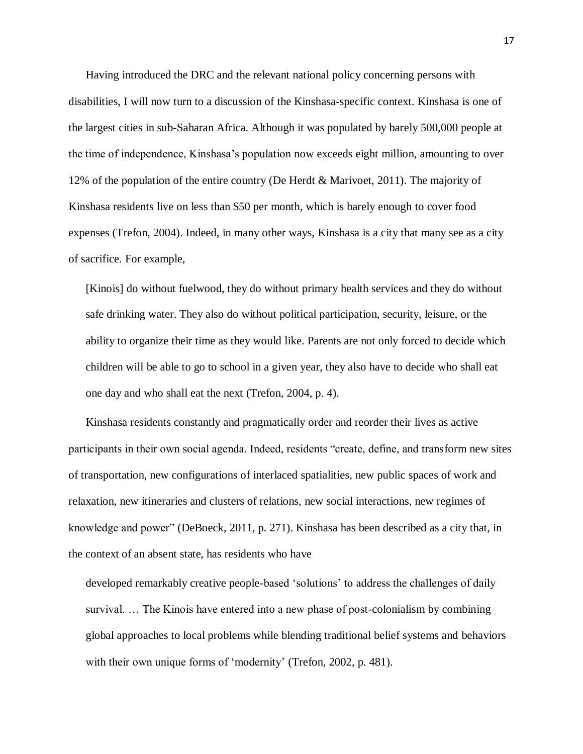Having introduced the DRC and the relevant national policy concerning persons with disabilities, I will now turn to a discussion of the Kinshasa-specific context. Kinshasa is one of the largest cities in sub-Saharan Africa. Although it was populated by barely 500,000 people at the time of independence, Kinshasa's population now exceeds eight million, amounting to over 12% of the population of the entire country (De Herdt & Marivoet, 2011). The majority of Kinshasa residents live on less than \$50 per month, which is barely enough to cover food expenses (Trefon, 2004). Indeed, in many other ways, Kinshasa is a city that many see as a city of sacrifice. For example,

[Kinois] do without fuelwood, they do without primary health services and they do without safe drinking water. They also do without political participation, security, leisure, or the ability to organize their time as they would like. Parents are not only forced to decide which children will be able to go to school in a given year, they also have to decide who shall eat one day and who shall eat the next (Trefon, 2004, p. 4).

Kinshasa residents constantly and pragmatically order and reorder their lives as active participants in their own social agenda. Indeed, residents "create, define, and transform new sites of transportation, new configurations of interlaced spatialities, new public spaces of work and relaxation, new itineraries and clusters of relations, new social interactions, new regimes of knowledge and power" (DeBoeck, 2011, p. 271). Kinshasa has been described as a city that, in the context of an absent state, has residents who have

developed remarkably creative people-based 'solutions' to address the challenges of daily survival. … The Kinois have entered into a new phase of post-colonialism by combining global approaches to local problems while blending traditional belief systems and behaviors with their own unique forms of 'modernity' (Trefon, 2002, p. 481).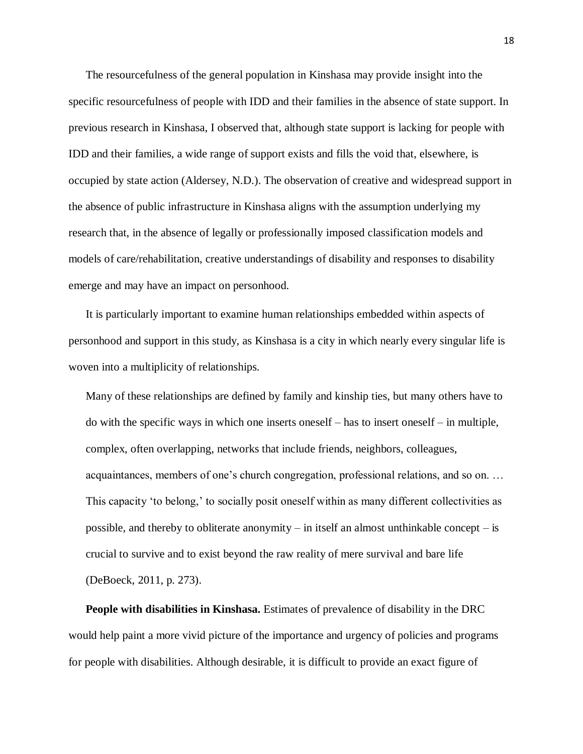The resourcefulness of the general population in Kinshasa may provide insight into the specific resourcefulness of people with IDD and their families in the absence of state support. In previous research in Kinshasa, I observed that, although state support is lacking for people with IDD and their families, a wide range of support exists and fills the void that, elsewhere, is occupied by state action (Aldersey, N.D.). The observation of creative and widespread support in the absence of public infrastructure in Kinshasa aligns with the assumption underlying my research that, in the absence of legally or professionally imposed classification models and models of care/rehabilitation, creative understandings of disability and responses to disability emerge and may have an impact on personhood.

It is particularly important to examine human relationships embedded within aspects of personhood and support in this study, as Kinshasa is a city in which nearly every singular life is woven into a multiplicity of relationships.

Many of these relationships are defined by family and kinship ties, but many others have to do with the specific ways in which one inserts oneself – has to insert oneself – in multiple, complex, often overlapping, networks that include friends, neighbors, colleagues, acquaintances, members of one's church congregation, professional relations, and so on. … This capacity 'to belong,' to socially posit oneself within as many different collectivities as possible, and thereby to obliterate anonymity – in itself an almost unthinkable concept – is crucial to survive and to exist beyond the raw reality of mere survival and bare life (DeBoeck, 2011, p. 273).

<span id="page-28-0"></span>**People with disabilities in Kinshasa.** Estimates of prevalence of disability in the DRC would help paint a more vivid picture of the importance and urgency of policies and programs for people with disabilities. Although desirable, it is difficult to provide an exact figure of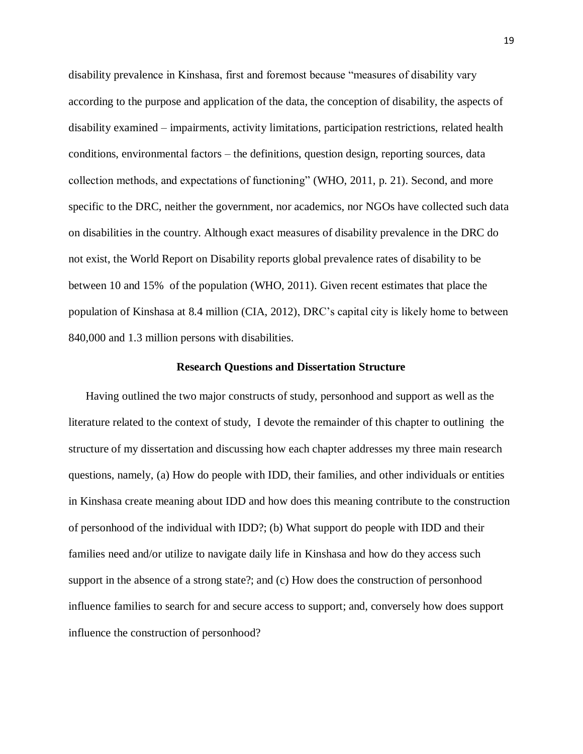disability prevalence in Kinshasa, first and foremost because "measures of disability vary according to the purpose and application of the data, the conception of disability, the aspects of disability examined – impairments, activity limitations, participation restrictions, related health conditions, environmental factors – the definitions, question design, reporting sources, data collection methods, and expectations of functioning" (WHO, 2011, p. 21). Second, and more specific to the DRC, neither the government, nor academics, nor NGOs have collected such data on disabilities in the country. Although exact measures of disability prevalence in the DRC do not exist, the World Report on Disability reports global prevalence rates of disability to be between 10 and 15% of the population (WHO, 2011). Given recent estimates that place the population of Kinshasa at 8.4 million (CIA, 2012), DRC's capital city is likely home to between 840,000 and 1.3 million persons with disabilities.

### **Research Questions and Dissertation Structure**

<span id="page-29-0"></span>Having outlined the two major constructs of study, personhood and support as well as the literature related to the context of study, I devote the remainder of this chapter to outlining the structure of my dissertation and discussing how each chapter addresses my three main research questions, namely, (a) How do people with IDD, their families, and other individuals or entities in Kinshasa create meaning about IDD and how does this meaning contribute to the construction of personhood of the individual with IDD?; (b) What support do people with IDD and their families need and/or utilize to navigate daily life in Kinshasa and how do they access such support in the absence of a strong state?; and (c) How does the construction of personhood influence families to search for and secure access to support; and, conversely how does support influence the construction of personhood?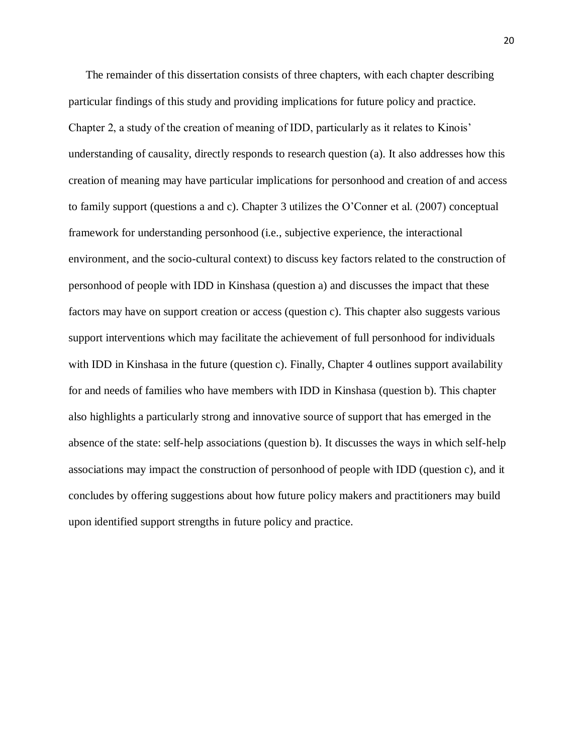The remainder of this dissertation consists of three chapters, with each chapter describing particular findings of this study and providing implications for future policy and practice. Chapter 2, a study of the creation of meaning of IDD, particularly as it relates to Kinois' understanding of causality, directly responds to research question (a). It also addresses how this creation of meaning may have particular implications for personhood and creation of and access to family support (questions a and c). Chapter 3 utilizes the O'Conner et al. (2007) conceptual framework for understanding personhood (i.e., subjective experience, the interactional environment, and the socio-cultural context) to discuss key factors related to the construction of personhood of people with IDD in Kinshasa (question a) and discusses the impact that these factors may have on support creation or access (question c). This chapter also suggests various support interventions which may facilitate the achievement of full personhood for individuals with IDD in Kinshasa in the future (question c). Finally, Chapter 4 outlines support availability for and needs of families who have members with IDD in Kinshasa (question b). This chapter also highlights a particularly strong and innovative source of support that has emerged in the absence of the state: self-help associations (question b). It discusses the ways in which self-help associations may impact the construction of personhood of people with IDD (question c), and it concludes by offering suggestions about how future policy makers and practitioners may build upon identified support strengths in future policy and practice.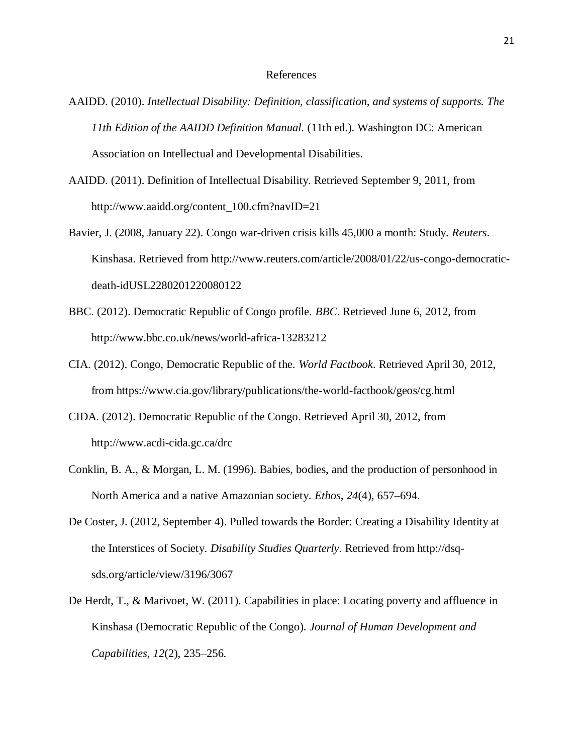#### References

- AAIDD. (2010). *Intellectual Disability: Definition, classification, and systems of supports. The 11th Edition of the AAIDD Definition Manual.* (11th ed.). Washington DC: American Association on Intellectual and Developmental Disabilities.
- AAIDD. (2011). Definition of Intellectual Disability. Retrieved September 9, 2011, from http://www.aaidd.org/content\_100.cfm?navID=21
- Bavier, J. (2008, January 22). Congo war-driven crisis kills 45,000 a month: Study. *Reuters*. Kinshasa. Retrieved from http://www.reuters.com/article/2008/01/22/us-congo-democraticdeath-idUSL2280201220080122
- BBC. (2012). Democratic Republic of Congo profile. *BBC*. Retrieved June 6, 2012, from http://www.bbc.co.uk/news/world-africa-13283212
- CIA. (2012). Congo, Democratic Republic of the. *World Factbook*. Retrieved April 30, 2012, from https://www.cia.gov/library/publications/the-world-factbook/geos/cg.html
- CIDA. (2012). Democratic Republic of the Congo. Retrieved April 30, 2012, from http://www.acdi-cida.gc.ca/drc
- Conklin, B. A., & Morgan, L. M. (1996). Babies, bodies, and the production of personhood in North America and a native Amazonian society. *Ethos*, *24*(4), 657–694.
- De Coster, J. (2012, September 4). Pulled towards the Border: Creating a Disability Identity at the Interstices of Society. *Disability Studies Quarterly*. Retrieved from http://dsqsds.org/article/view/3196/3067
- De Herdt, T., & Marivoet, W. (2011). Capabilities in place: Locating poverty and affluence in Kinshasa (Democratic Republic of the Congo). *Journal of Human Development and Capabilities*, *12*(2), 235–256.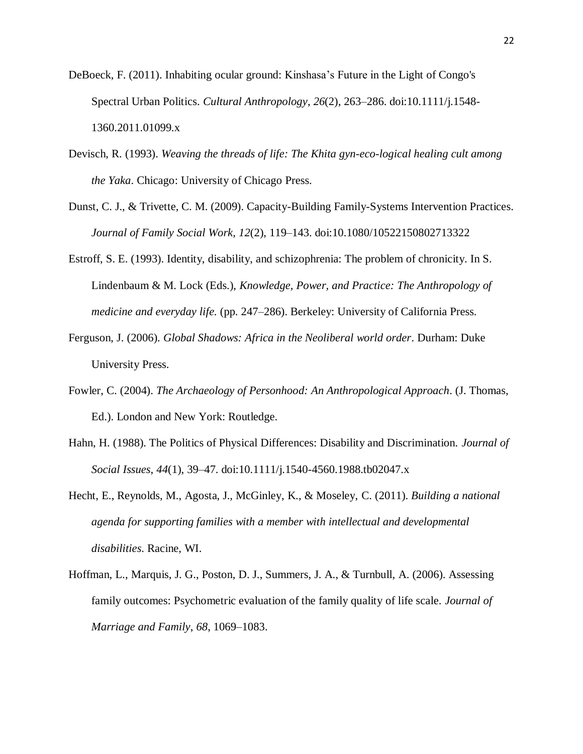- DeBoeck, F. (2011). Inhabiting ocular ground: Kinshasa's Future in the Light of Congo's Spectral Urban Politics. *Cultural Anthropology*, *26*(2), 263–286. doi:10.1111/j.1548- 1360.2011.01099.x
- Devisch, R. (1993). *Weaving the threads of life: The Khita gyn-eco-logical healing cult among the Yaka*. Chicago: University of Chicago Press.
- Dunst, C. J., & Trivette, C. M. (2009). Capacity-Building Family-Systems Intervention Practices. *Journal of Family Social Work*, *12*(2), 119–143. doi:10.1080/10522150802713322
- Estroff, S. E. (1993). Identity, disability, and schizophrenia: The problem of chronicity. In S. Lindenbaum & M. Lock (Eds.), *Knowledge, Power, and Practice: The Anthropology of medicine and everyday life.* (pp. 247–286). Berkeley: University of California Press.
- Ferguson, J. (2006). *Global Shadows: Africa in the Neoliberal world order*. Durham: Duke University Press.
- Fowler, C. (2004). *The Archaeology of Personhood: An Anthropological Approach*. (J. Thomas, Ed.). London and New York: Routledge.
- Hahn, H. (1988). The Politics of Physical Differences: Disability and Discrimination. *Journal of Social Issues*, *44*(1), 39–47. doi:10.1111/j.1540-4560.1988.tb02047.x
- Hecht, E., Reynolds, M., Agosta, J., McGinley, K., & Moseley, C. (2011). *Building a national agenda for supporting families with a member with intellectual and developmental disabilities*. Racine, WI.
- Hoffman, L., Marquis, J. G., Poston, D. J., Summers, J. A., & Turnbull, A. (2006). Assessing family outcomes: Psychometric evaluation of the family quality of life scale. *Journal of Marriage and Family*, *68*, 1069–1083.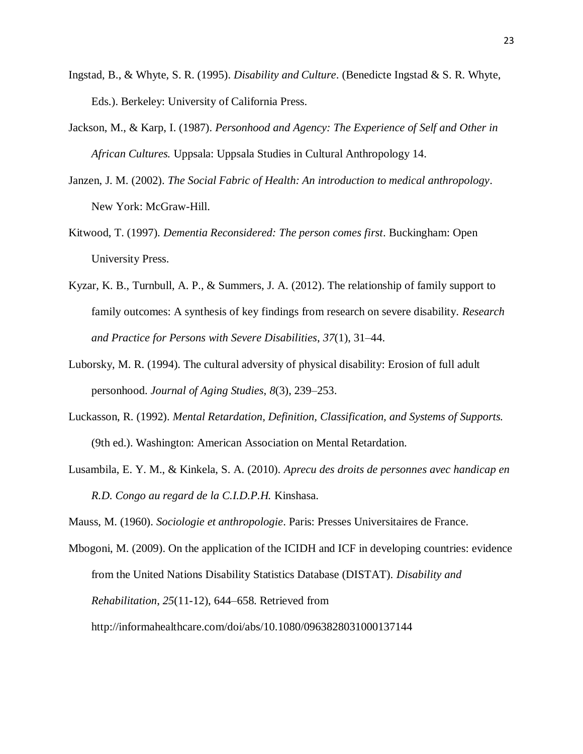- Ingstad, B., & Whyte, S. R. (1995). *Disability and Culture*. (Benedicte Ingstad & S. R. Whyte, Eds.). Berkeley: University of California Press.
- Jackson, M., & Karp, I. (1987). *Personhood and Agency: The Experience of Self and Other in African Cultures.* Uppsala: Uppsala Studies in Cultural Anthropology 14.
- Janzen, J. M. (2002). *The Social Fabric of Health: An introduction to medical anthropology*. New York: McGraw-Hill.
- Kitwood, T. (1997). *Dementia Reconsidered: The person comes first*. Buckingham: Open University Press.
- Kyzar, K. B., Turnbull, A. P., & Summers, J. A. (2012). The relationship of family support to family outcomes: A synthesis of key findings from research on severe disability. *Research and Practice for Persons with Severe Disabilities*, *37*(1), 31–44.
- Luborsky, M. R. (1994). The cultural adversity of physical disability: Erosion of full adult personhood. *Journal of Aging Studies*, *8*(3), 239–253.
- Luckasson, R. (1992). *Mental Retardation, Definition, Classification, and Systems of Supports.* (9th ed.). Washington: American Association on Mental Retardation.
- Lusambila, E. Y. M., & Kinkela, S. A. (2010). *Aprecu des droits de personnes avec handicap en R.D. Congo au regard de la C.I.D.P.H.* Kinshasa.

Mauss, M. (1960). *Sociologie et anthropologie*. Paris: Presses Universitaires de France.

Mbogoni, M. (2009). On the application of the ICIDH and ICF in developing countries: evidence from the United Nations Disability Statistics Database (DISTAT). *Disability and Rehabilitation*, *25*(11-12), 644–658. Retrieved from http://informahealthcare.com/doi/abs/10.1080/0963828031000137144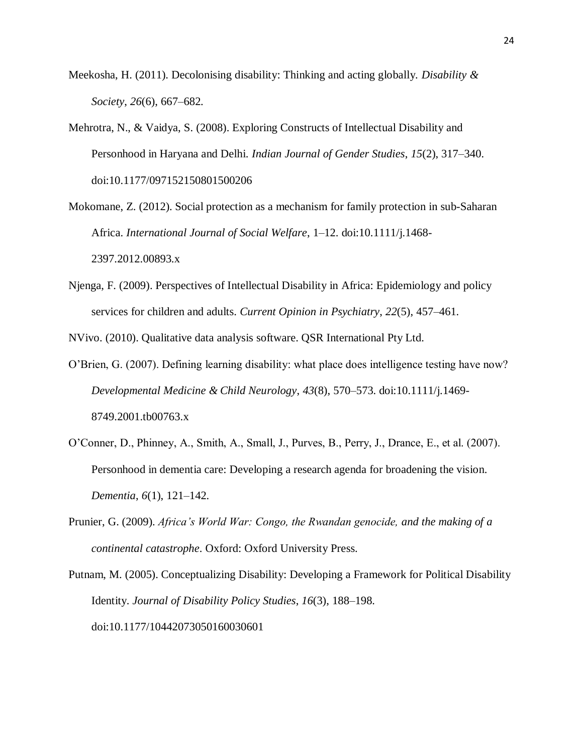- Meekosha, H. (2011). Decolonising disability: Thinking and acting globally. *Disability & Society*, *26*(6), 667–682.
- Mehrotra, N., & Vaidya, S. (2008). Exploring Constructs of Intellectual Disability and Personhood in Haryana and Delhi. *Indian Journal of Gender Studies*, *15*(2), 317–340. doi:10.1177/097152150801500206

Mokomane, Z. (2012). Social protection as a mechanism for family protection in sub-Saharan Africa. *International Journal of Social Welfare*, 1–12. doi:10.1111/j.1468- 2397.2012.00893.x

Njenga, F. (2009). Perspectives of Intellectual Disability in Africa: Epidemiology and policy services for children and adults. *Current Opinion in Psychiatry*, *22*(5), 457–461.

NVivo. (2010). Qualitative data analysis software. QSR International Pty Ltd.

- O'Brien, G. (2007). Defining learning disability: what place does intelligence testing have now? *Developmental Medicine & Child Neurology*, *43*(8), 570–573. doi:10.1111/j.1469- 8749.2001.tb00763.x
- O'Conner, D., Phinney, A., Smith, A., Small, J., Purves, B., Perry, J., Drance, E., et al. (2007). Personhood in dementia care: Developing a research agenda for broadening the vision. *Dementia*, *6*(1), 121–142.
- Prunier, G. (2009). *Africa's World War: Congo, the Rwandan genocide, and the making of a continental catastrophe*. Oxford: Oxford University Press.

Putnam, M. (2005). Conceptualizing Disability: Developing a Framework for Political Disability Identity. *Journal of Disability Policy Studies*, *16*(3), 188–198. doi:10.1177/10442073050160030601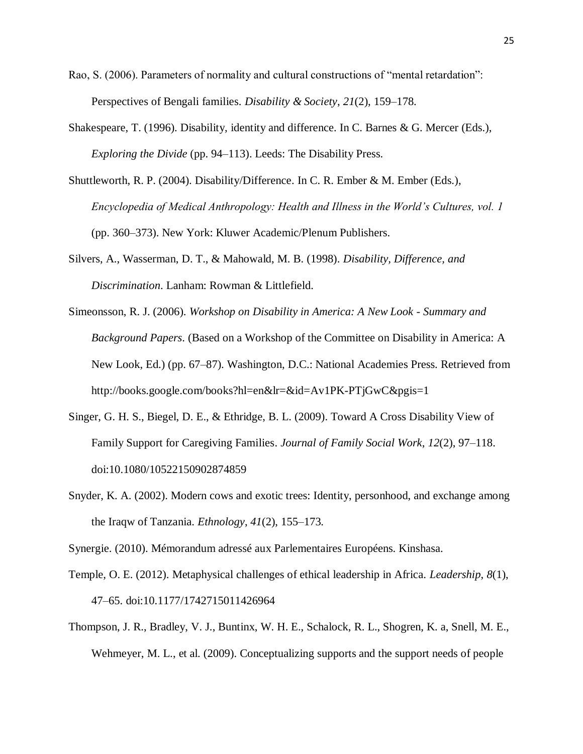- Rao, S. (2006). Parameters of normality and cultural constructions of "mental retardation": Perspectives of Bengali families. *Disability & Society*, *21*(2), 159–178.
- Shakespeare, T. (1996). Disability, identity and difference. In C. Barnes & G. Mercer (Eds.), *Exploring the Divide* (pp. 94–113). Leeds: The Disability Press.
- Shuttleworth, R. P. (2004). Disability/Difference. In C. R. Ember & M. Ember (Eds.), *Encyclopedia of Medical Anthropology: Health and Illness in the World's Cultures, vol. 1* (pp. 360–373). New York: Kluwer Academic/Plenum Publishers.
- Silvers, A., Wasserman, D. T., & Mahowald, M. B. (1998). *Disability, Difference, and Discrimination*. Lanham: Rowman & Littlefield.
- Simeonsson, R. J. (2006). *Workshop on Disability in America: A New Look - Summary and Background Papers*. (Based on a Workshop of the Committee on Disability in America: A New Look, Ed.) (pp. 67–87). Washington, D.C.: National Academies Press. Retrieved from http://books.google.com/books?hl=en&lr=&id=Av1PK-PTjGwC&pgis=1
- Singer, G. H. S., Biegel, D. E., & Ethridge, B. L. (2009). Toward A Cross Disability View of Family Support for Caregiving Families. *Journal of Family Social Work*, *12*(2), 97–118. doi:10.1080/10522150902874859
- Snyder, K. A. (2002). Modern cows and exotic trees: Identity, personhood, and exchange among the Iraqw of Tanzania. *Ethnology*, *41*(2), 155–173.

Synergie. (2010). Mémorandum adressé aux Parlementaires Européens. Kinshasa.

- Temple, O. E. (2012). Metaphysical challenges of ethical leadership in Africa. *Leadership*, *8*(1), 47–65. doi:10.1177/1742715011426964
- Thompson, J. R., Bradley, V. J., Buntinx, W. H. E., Schalock, R. L., Shogren, K. a, Snell, M. E., Wehmeyer, M. L., et al. (2009). Conceptualizing supports and the support needs of people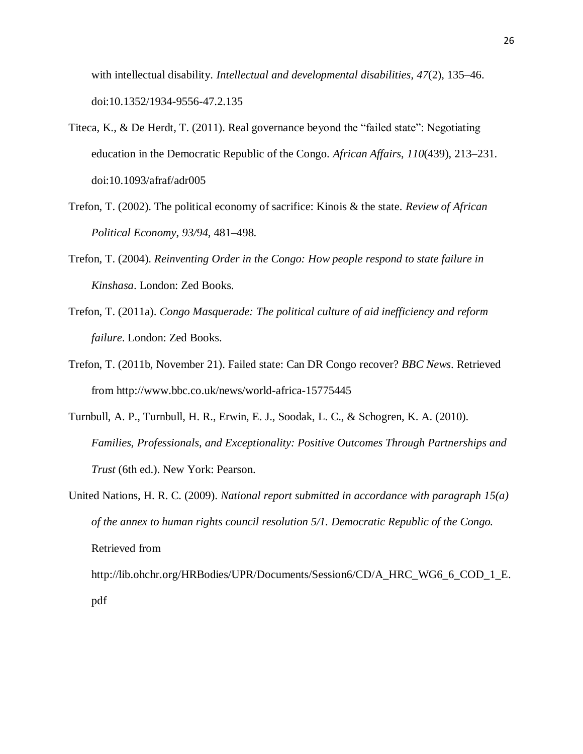with intellectual disability. *Intellectual and developmental disabilities*, *47*(2), 135–46. doi:10.1352/1934-9556-47.2.135

- Titeca, K., & De Herdt, T. (2011). Real governance beyond the "failed state": Negotiating education in the Democratic Republic of the Congo. *African Affairs*, *110*(439), 213–231. doi:10.1093/afraf/adr005
- Trefon, T. (2002). The political economy of sacrifice: Kinois & the state. *Review of African Political Economy*, *93/94*, 481–498.
- Trefon, T. (2004). *Reinventing Order in the Congo: How people respond to state failure in Kinshasa*. London: Zed Books.
- Trefon, T. (2011a). *Congo Masquerade: The political culture of aid inefficiency and reform failure*. London: Zed Books.
- Trefon, T. (2011b, November 21). Failed state: Can DR Congo recover? *BBC News*. Retrieved from http://www.bbc.co.uk/news/world-africa-15775445
- Turnbull, A. P., Turnbull, H. R., Erwin, E. J., Soodak, L. C., & Schogren, K. A. (2010). *Families, Professionals, and Exceptionality: Positive Outcomes Through Partnerships and Trust* (6th ed.). New York: Pearson.

United Nations, H. R. C. (2009). *National report submitted in accordance with paragraph 15(a) of the annex to human rights council resolution 5/1. Democratic Republic of the Congo.* Retrieved from http://lib.ohchr.org/HRBodies/UPR/Documents/Session6/CD/A\_HRC\_WG6\_6\_COD\_1\_E. pdf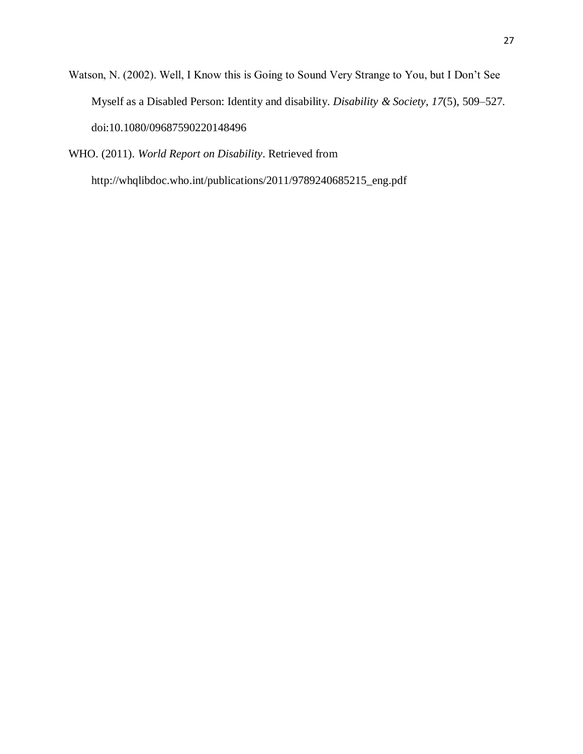Watson, N. (2002). Well, I Know this is Going to Sound Very Strange to You, but I Don't See Myself as a Disabled Person: Identity and disability. *Disability & Society*, *17*(5), 509–527. doi:10.1080/09687590220148496

WHO. (2011). *World Report on Disability*. Retrieved from

http://whqlibdoc.who.int/publications/2011/9789240685215\_eng.pdf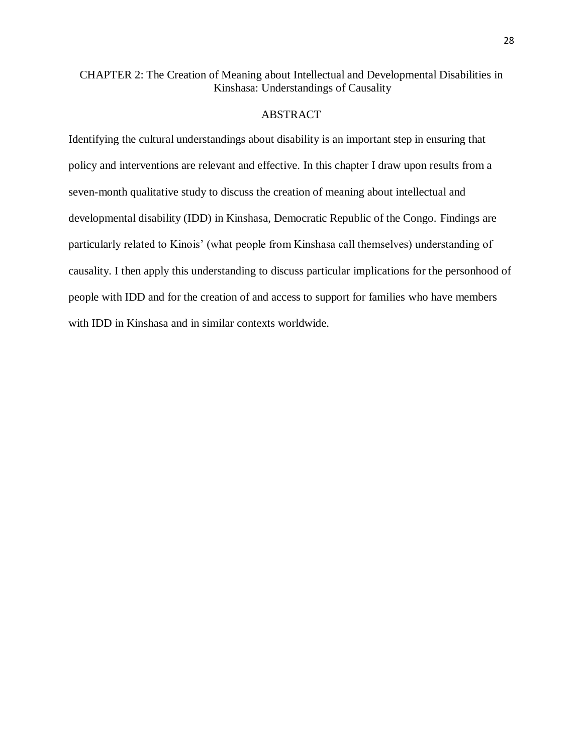# CHAPTER 2: The Creation of Meaning about Intellectual and Developmental Disabilities in Kinshasa: Understandings of Causality

### ABSTRACT

Identifying the cultural understandings about disability is an important step in ensuring that policy and interventions are relevant and effective. In this chapter I draw upon results from a seven-month qualitative study to discuss the creation of meaning about intellectual and developmental disability (IDD) in Kinshasa, Democratic Republic of the Congo. Findings are particularly related to Kinois' (what people from Kinshasa call themselves) understanding of causality. I then apply this understanding to discuss particular implications for the personhood of people with IDD and for the creation of and access to support for families who have members with IDD in Kinshasa and in similar contexts worldwide.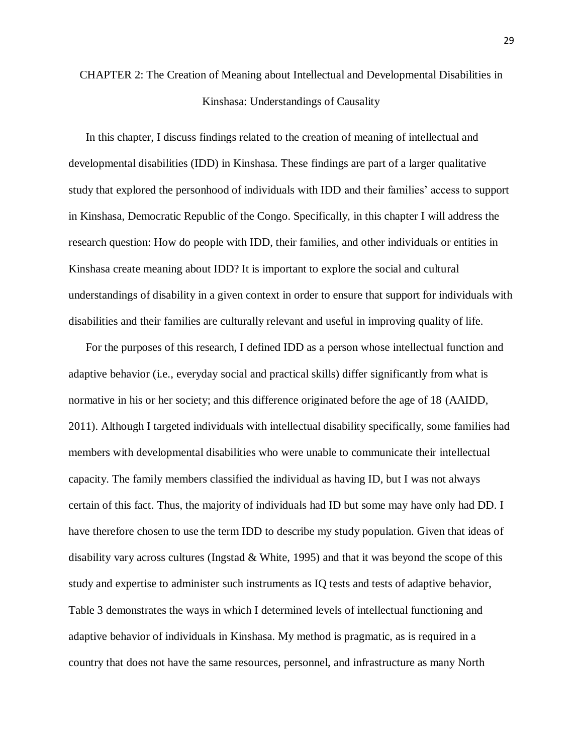# CHAPTER 2: The Creation of Meaning about Intellectual and Developmental Disabilities in Kinshasa: Understandings of Causality

In this chapter, I discuss findings related to the creation of meaning of intellectual and developmental disabilities (IDD) in Kinshasa. These findings are part of a larger qualitative study that explored the personhood of individuals with IDD and their families' access to support in Kinshasa, Democratic Republic of the Congo. Specifically, in this chapter I will address the research question: How do people with IDD, their families, and other individuals or entities in Kinshasa create meaning about IDD? It is important to explore the social and cultural understandings of disability in a given context in order to ensure that support for individuals with disabilities and their families are culturally relevant and useful in improving quality of life.

For the purposes of this research, I defined IDD as a person whose intellectual function and adaptive behavior (i.e., everyday social and practical skills) differ significantly from what is normative in his or her society; and this difference originated before the age of 18 (AAIDD, 2011). Although I targeted individuals with intellectual disability specifically, some families had members with developmental disabilities who were unable to communicate their intellectual capacity. The family members classified the individual as having ID, but I was not always certain of this fact. Thus, the majority of individuals had ID but some may have only had DD. I have therefore chosen to use the term IDD to describe my study population. Given that ideas of disability vary across cultures (Ingstad & White, 1995) and that it was beyond the scope of this study and expertise to administer such instruments as IQ tests and tests of adaptive behavior, Table 3 demonstrates the ways in which I determined levels of intellectual functioning and adaptive behavior of individuals in Kinshasa. My method is pragmatic, as is required in a country that does not have the same resources, personnel, and infrastructure as many North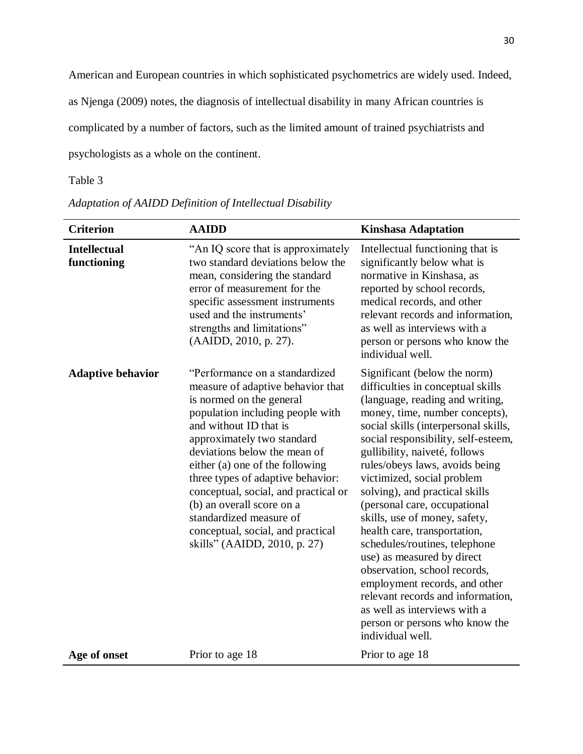American and European countries in which sophisticated psychometrics are widely used. Indeed,

as Njenga (2009) notes, the diagnosis of intellectual disability in many African countries is

complicated by a number of factors, such as the limited amount of trained psychiatrists and

psychologists as a whole on the continent.

# Table 3

| <b>Criterion</b>                   | <b>AAIDD</b>                                                                                                                                                                                                                                                                                                                                                                                                                                                             | <b>Kinshasa Adaptation</b>                                                                                                                                                                                                                                                                                                                                                                                                                                                                                                                                                                                                                                                                                           |
|------------------------------------|--------------------------------------------------------------------------------------------------------------------------------------------------------------------------------------------------------------------------------------------------------------------------------------------------------------------------------------------------------------------------------------------------------------------------------------------------------------------------|----------------------------------------------------------------------------------------------------------------------------------------------------------------------------------------------------------------------------------------------------------------------------------------------------------------------------------------------------------------------------------------------------------------------------------------------------------------------------------------------------------------------------------------------------------------------------------------------------------------------------------------------------------------------------------------------------------------------|
| <b>Intellectual</b><br>functioning | "An IQ score that is approximately"<br>two standard deviations below the<br>mean, considering the standard<br>error of measurement for the<br>specific assessment instruments<br>used and the instruments'<br>strengths and limitations"<br>(AAIDD, 2010, p. 27).                                                                                                                                                                                                        | Intellectual functioning that is<br>significantly below what is<br>normative in Kinshasa, as<br>reported by school records,<br>medical records, and other<br>relevant records and information,<br>as well as interviews with a<br>person or persons who know the<br>individual well.                                                                                                                                                                                                                                                                                                                                                                                                                                 |
| <b>Adaptive behavior</b>           | "Performance on a standardized<br>measure of adaptive behavior that<br>is normed on the general<br>population including people with<br>and without ID that is<br>approximately two standard<br>deviations below the mean of<br>either (a) one of the following<br>three types of adaptive behavior:<br>conceptual, social, and practical or<br>(b) an overall score on a<br>standardized measure of<br>conceptual, social, and practical<br>skills" (AAIDD, 2010, p. 27) | Significant (below the norm)<br>difficulties in conceptual skills<br>(language, reading and writing,<br>money, time, number concepts),<br>social skills (interpersonal skills,<br>social responsibility, self-esteem,<br>gullibility, naiveté, follows<br>rules/obeys laws, avoids being<br>victimized, social problem<br>solving), and practical skills<br>(personal care, occupational<br>skills, use of money, safety,<br>health care, transportation,<br>schedules/routines, telephone<br>use) as measured by direct<br>observation, school records,<br>employment records, and other<br>relevant records and information,<br>as well as interviews with a<br>person or persons who know the<br>individual well. |
| Age of onset                       | Prior to age 18                                                                                                                                                                                                                                                                                                                                                                                                                                                          | Prior to age 18                                                                                                                                                                                                                                                                                                                                                                                                                                                                                                                                                                                                                                                                                                      |

# *Adaptation of AAIDD Definition of Intellectual Disability*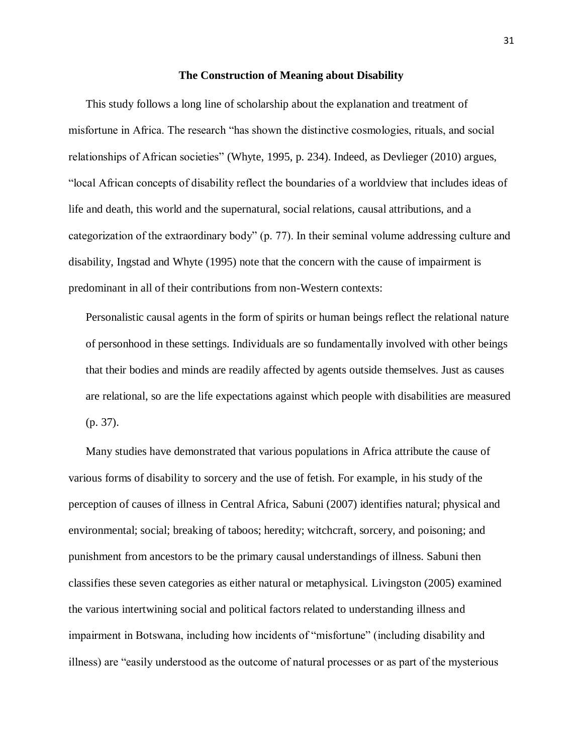#### **The Construction of Meaning about Disability**

This study follows a long line of scholarship about the explanation and treatment of misfortune in Africa. The research "has shown the distinctive cosmologies, rituals, and social relationships of African societies" (Whyte, 1995, p. 234). Indeed, as Devlieger (2010) argues, "local African concepts of disability reflect the boundaries of a worldview that includes ideas of life and death, this world and the supernatural, social relations, causal attributions, and a categorization of the extraordinary body" (p. 77). In their seminal volume addressing culture and disability, Ingstad and Whyte (1995) note that the concern with the cause of impairment is predominant in all of their contributions from non-Western contexts:

Personalistic causal agents in the form of spirits or human beings reflect the relational nature of personhood in these settings. Individuals are so fundamentally involved with other beings that their bodies and minds are readily affected by agents outside themselves. Just as causes are relational, so are the life expectations against which people with disabilities are measured (p. 37).

Many studies have demonstrated that various populations in Africa attribute the cause of various forms of disability to sorcery and the use of fetish. For example, in his study of the perception of causes of illness in Central Africa, Sabuni (2007) identifies natural; physical and environmental; social; breaking of taboos; heredity; witchcraft, sorcery, and poisoning; and punishment from ancestors to be the primary causal understandings of illness. Sabuni then classifies these seven categories as either natural or metaphysical. Livingston (2005) examined the various intertwining social and political factors related to understanding illness and impairment in Botswana, including how incidents of "misfortune" (including disability and illness) are "easily understood as the outcome of natural processes or as part of the mysterious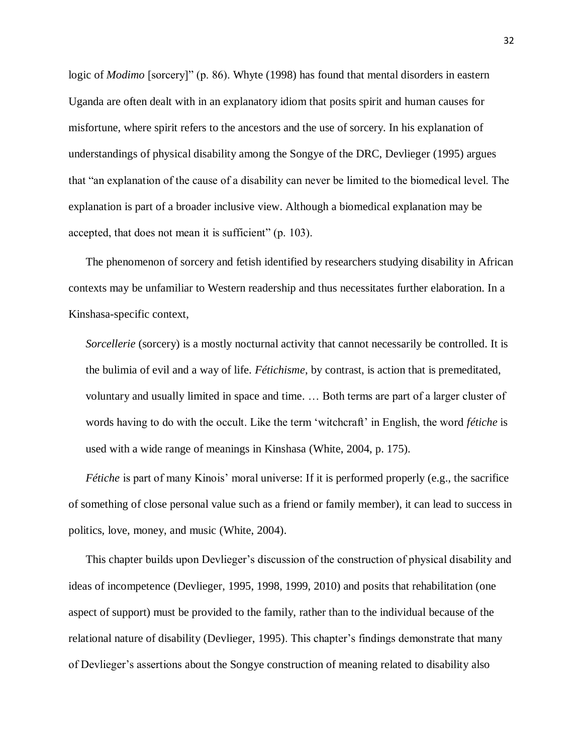logic of *Modimo* [sorcery]" (p. 86). Whyte (1998) has found that mental disorders in eastern Uganda are often dealt with in an explanatory idiom that posits spirit and human causes for misfortune, where spirit refers to the ancestors and the use of sorcery. In his explanation of understandings of physical disability among the Songye of the DRC, Devlieger (1995) argues that "an explanation of the cause of a disability can never be limited to the biomedical level. The explanation is part of a broader inclusive view. Although a biomedical explanation may be accepted, that does not mean it is sufficient" (p. 103).

The phenomenon of sorcery and fetish identified by researchers studying disability in African contexts may be unfamiliar to Western readership and thus necessitates further elaboration. In a Kinshasa-specific context,

*Sorcellerie* (sorcery) is a mostly nocturnal activity that cannot necessarily be controlled. It is the bulimia of evil and a way of life. *Fétichisme*, by contrast, is action that is premeditated, voluntary and usually limited in space and time. … Both terms are part of a larger cluster of words having to do with the occult. Like the term 'witchcraft' in English, the word *fétiche* is used with a wide range of meanings in Kinshasa (White, 2004, p. 175).

*Fétiche* is part of many Kinois' moral universe: If it is performed properly (e.g., the sacrifice of something of close personal value such as a friend or family member), it can lead to success in politics, love, money, and music (White, 2004).

This chapter builds upon Devlieger's discussion of the construction of physical disability and ideas of incompetence (Devlieger, 1995, 1998, 1999, 2010) and posits that rehabilitation (one aspect of support) must be provided to the family, rather than to the individual because of the relational nature of disability (Devlieger, 1995). This chapter's findings demonstrate that many of Devlieger's assertions about the Songye construction of meaning related to disability also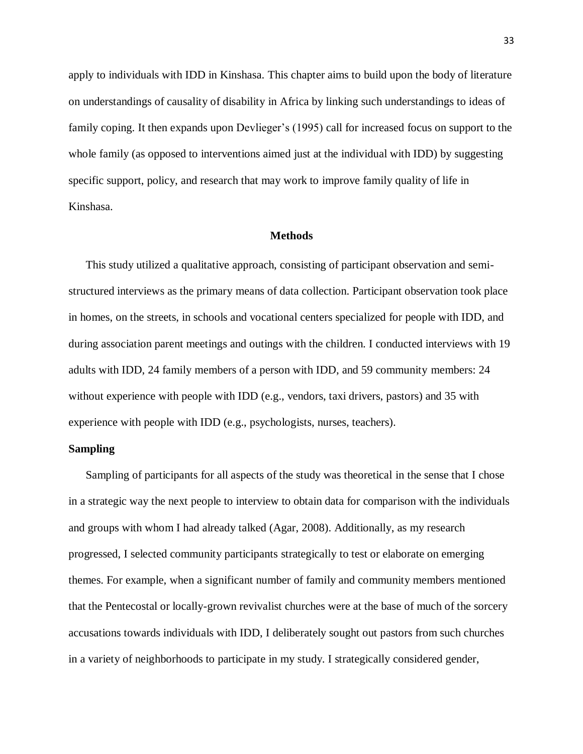apply to individuals with IDD in Kinshasa. This chapter aims to build upon the body of literature on understandings of causality of disability in Africa by linking such understandings to ideas of family coping. It then expands upon Devlieger's (1995) call for increased focus on support to the whole family (as opposed to interventions aimed just at the individual with IDD) by suggesting specific support, policy, and research that may work to improve family quality of life in Kinshasa.

#### **Methods**

This study utilized a qualitative approach, consisting of participant observation and semistructured interviews as the primary means of data collection. Participant observation took place in homes, on the streets, in schools and vocational centers specialized for people with IDD, and during association parent meetings and outings with the children. I conducted interviews with 19 adults with IDD, 24 family members of a person with IDD, and 59 community members: 24 without experience with people with IDD (e.g., vendors, taxi drivers, pastors) and 35 with experience with people with IDD (e.g., psychologists, nurses, teachers).

#### **Sampling**

Sampling of participants for all aspects of the study was theoretical in the sense that I chose in a strategic way the next people to interview to obtain data for comparison with the individuals and groups with whom I had already talked (Agar, 2008). Additionally, as my research progressed, I selected community participants strategically to test or elaborate on emerging themes. For example, when a significant number of family and community members mentioned that the Pentecostal or locally-grown revivalist churches were at the base of much of the sorcery accusations towards individuals with IDD, I deliberately sought out pastors from such churches in a variety of neighborhoods to participate in my study. I strategically considered gender,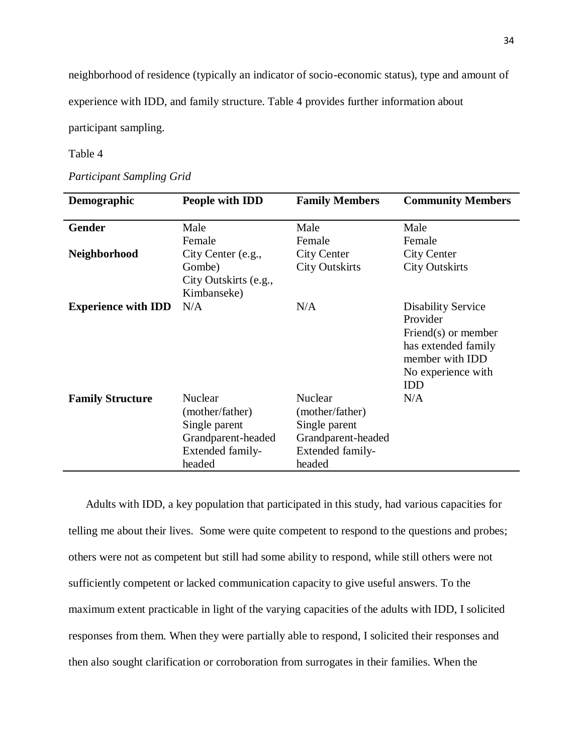neighborhood of residence (typically an indicator of socio-economic status), type and amount of

experience with IDD, and family structure. Table 4 provides further information about

participant sampling.

### Table 4

*Participant Sampling Grid*

| Demographic                | People with IDD       | <b>Family Members</b> | <b>Community Members</b>  |
|----------------------------|-----------------------|-----------------------|---------------------------|
| <b>Gender</b>              | Male                  | Male                  | Male                      |
|                            | Female                | Female                | Female                    |
| <b>Neighborhood</b>        | City Center (e.g.,    | <b>City Center</b>    | <b>City Center</b>        |
|                            | Gombe)                | <b>City Outskirts</b> | <b>City Outskirts</b>     |
|                            | City Outskirts (e.g., |                       |                           |
|                            | Kimbanseke)           |                       |                           |
| <b>Experience with IDD</b> | N/A                   | N/A                   | <b>Disability Service</b> |
|                            |                       |                       | Provider                  |
|                            |                       |                       | Friend $(s)$ or member    |
|                            |                       |                       | has extended family       |
|                            |                       |                       | member with IDD           |
|                            |                       |                       | No experience with        |
|                            |                       |                       | <b>IDD</b>                |
| <b>Family Structure</b>    | Nuclear               | <b>Nuclear</b>        | N/A                       |
|                            | (mother/father)       | (mother/father)       |                           |
|                            | Single parent         | Single parent         |                           |
|                            | Grandparent-headed    | Grandparent-headed    |                           |
|                            | Extended family-      | Extended family-      |                           |
|                            | headed                | headed                |                           |

Adults with IDD, a key population that participated in this study, had various capacities for telling me about their lives. Some were quite competent to respond to the questions and probes; others were not as competent but still had some ability to respond, while still others were not sufficiently competent or lacked communication capacity to give useful answers. To the maximum extent practicable in light of the varying capacities of the adults with IDD, I solicited responses from them. When they were partially able to respond, I solicited their responses and then also sought clarification or corroboration from surrogates in their families. When the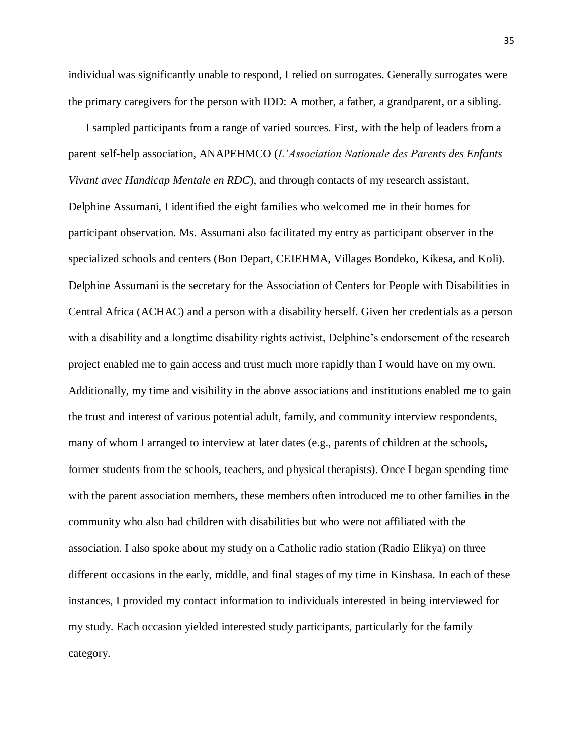individual was significantly unable to respond, I relied on surrogates. Generally surrogates were the primary caregivers for the person with IDD: A mother, a father, a grandparent, or a sibling.

I sampled participants from a range of varied sources. First, with the help of leaders from a parent self-help association, ANAPEHMCO (*L'Association Nationale des Parents des Enfants Vivant avec Handicap Mentale en RDC*), and through contacts of my research assistant, Delphine Assumani, I identified the eight families who welcomed me in their homes for participant observation. Ms. Assumani also facilitated my entry as participant observer in the specialized schools and centers (Bon Depart, CEIEHMA, Villages Bondeko, Kikesa, and Koli). Delphine Assumani is the secretary for the Association of Centers for People with Disabilities in Central Africa (ACHAC) and a person with a disability herself. Given her credentials as a person with a disability and a longtime disability rights activist, Delphine's endorsement of the research project enabled me to gain access and trust much more rapidly than I would have on my own. Additionally, my time and visibility in the above associations and institutions enabled me to gain the trust and interest of various potential adult, family, and community interview respondents, many of whom I arranged to interview at later dates (e.g., parents of children at the schools, former students from the schools, teachers, and physical therapists). Once I began spending time with the parent association members, these members often introduced me to other families in the community who also had children with disabilities but who were not affiliated with the association. I also spoke about my study on a Catholic radio station (Radio Elikya) on three different occasions in the early, middle, and final stages of my time in Kinshasa. In each of these instances, I provided my contact information to individuals interested in being interviewed for my study. Each occasion yielded interested study participants, particularly for the family category.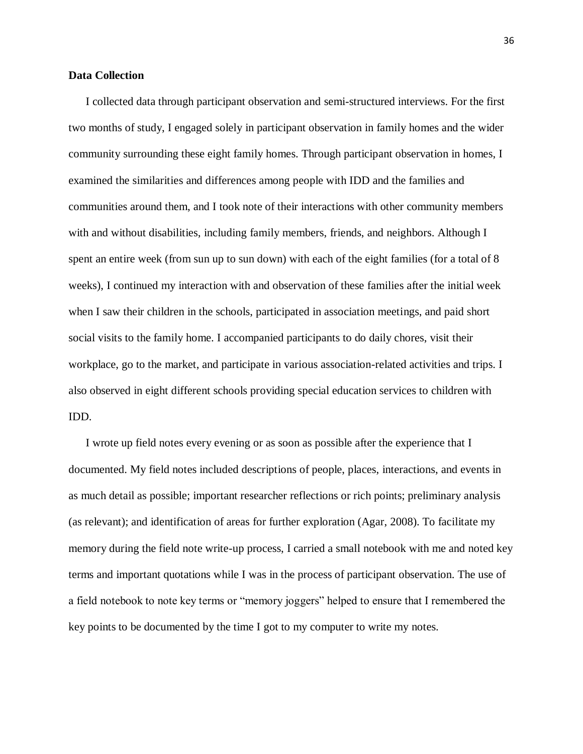#### **Data Collection**

I collected data through participant observation and semi-structured interviews. For the first two months of study, I engaged solely in participant observation in family homes and the wider community surrounding these eight family homes. Through participant observation in homes, I examined the similarities and differences among people with IDD and the families and communities around them, and I took note of their interactions with other community members with and without disabilities, including family members, friends, and neighbors. Although I spent an entire week (from sun up to sun down) with each of the eight families (for a total of 8 weeks), I continued my interaction with and observation of these families after the initial week when I saw their children in the schools, participated in association meetings, and paid short social visits to the family home. I accompanied participants to do daily chores, visit their workplace, go to the market, and participate in various association-related activities and trips. I also observed in eight different schools providing special education services to children with IDD.

I wrote up field notes every evening or as soon as possible after the experience that I documented. My field notes included descriptions of people, places, interactions, and events in as much detail as possible; important researcher reflections or rich points; preliminary analysis (as relevant); and identification of areas for further exploration (Agar, 2008). To facilitate my memory during the field note write-up process, I carried a small notebook with me and noted key terms and important quotations while I was in the process of participant observation. The use of a field notebook to note key terms or "memory joggers" helped to ensure that I remembered the key points to be documented by the time I got to my computer to write my notes.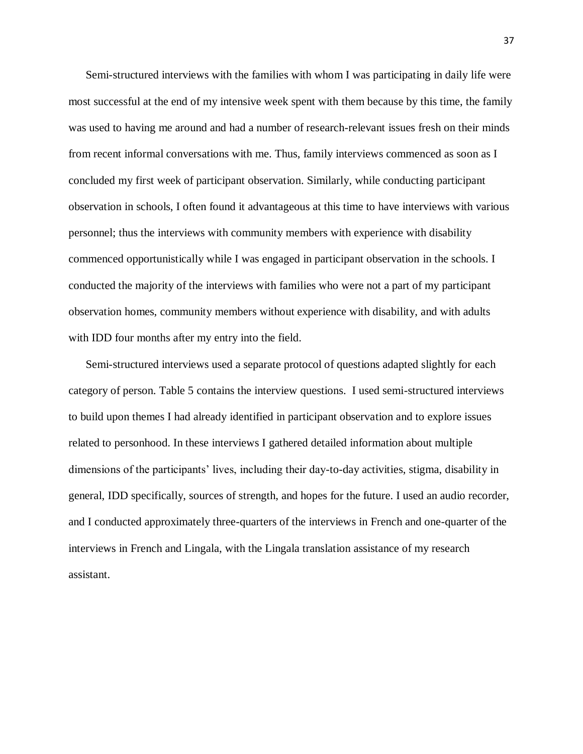Semi-structured interviews with the families with whom I was participating in daily life were most successful at the end of my intensive week spent with them because by this time, the family was used to having me around and had a number of research-relevant issues fresh on their minds from recent informal conversations with me. Thus, family interviews commenced as soon as I concluded my first week of participant observation. Similarly, while conducting participant observation in schools, I often found it advantageous at this time to have interviews with various personnel; thus the interviews with community members with experience with disability commenced opportunistically while I was engaged in participant observation in the schools. I conducted the majority of the interviews with families who were not a part of my participant observation homes, community members without experience with disability, and with adults with IDD four months after my entry into the field.

Semi-structured interviews used a separate protocol of questions adapted slightly for each category of person. Table 5 contains the interview questions. I used semi-structured interviews to build upon themes I had already identified in participant observation and to explore issues related to personhood. In these interviews I gathered detailed information about multiple dimensions of the participants' lives, including their day-to-day activities, stigma, disability in general, IDD specifically, sources of strength, and hopes for the future. I used an audio recorder, and I conducted approximately three-quarters of the interviews in French and one-quarter of the interviews in French and Lingala, with the Lingala translation assistance of my research assistant.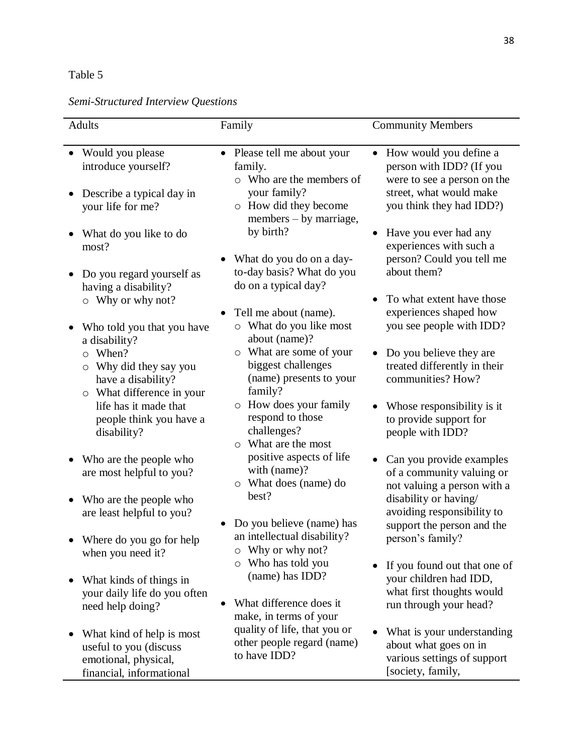# Table 5

# *Semi-Structured Interview Questions*

| Adults                                                                                                                                                                                                                                                                                                                                                                                            | Family                                                                                                                                                                                                                                                                                                                                                                                                                        | <b>Community Members</b>                                                                                                                                                                                                                                                                                                                                                                                                                                 |
|---------------------------------------------------------------------------------------------------------------------------------------------------------------------------------------------------------------------------------------------------------------------------------------------------------------------------------------------------------------------------------------------------|-------------------------------------------------------------------------------------------------------------------------------------------------------------------------------------------------------------------------------------------------------------------------------------------------------------------------------------------------------------------------------------------------------------------------------|----------------------------------------------------------------------------------------------------------------------------------------------------------------------------------------------------------------------------------------------------------------------------------------------------------------------------------------------------------------------------------------------------------------------------------------------------------|
| Would you please<br>introduce yourself?<br>Describe a typical day in<br>your life for me?<br>What do you like to do<br>most?<br>Do you regard yourself as<br>having a disability?<br>$\circ$ Why or why not?<br>Who told you that you have<br>a disability?<br>When?<br>$\circ$<br>Why did they say you<br>O<br>have a disability?<br>What difference in your<br>$\circ$<br>life has it made that | Please tell me about your<br>family.<br>$\circ$ Who are the members of<br>your family?<br>o How did they become<br>members – by marriage,<br>by birth?<br>What do you do on a day-<br>to-day basis? What do you<br>do on a typical day?<br>Tell me about (name).<br>o What do you like most<br>about (name)?<br>o What are some of your<br>biggest challenges<br>(name) presents to your<br>family?<br>o How does your family | How would you define a<br>$\bullet$<br>person with IDD? (If you<br>were to see a person on the<br>street, what would make<br>you think they had IDD?)<br>Have you ever had any<br>experiences with such a<br>person? Could you tell me<br>about them?<br>To what extent have those<br>experiences shaped how<br>you see people with IDD?<br>• Do you believe they are<br>treated differently in their<br>communities? How?<br>Whose responsibility is it |
| people think you have a<br>disability?<br>Who are the people who<br>are most helpful to you?                                                                                                                                                                                                                                                                                                      | respond to those<br>challenges?<br>o What are the most<br>positive aspects of life<br>with (name)?<br>o What does (name) do<br>best?                                                                                                                                                                                                                                                                                          | to provide support for<br>people with IDD?<br>Can you provide examples<br>of a community valuing or<br>not valuing a person with a                                                                                                                                                                                                                                                                                                                       |
| Who are the people who<br>are least helpful to you?<br>Where do you go for help<br>when you need it?                                                                                                                                                                                                                                                                                              | Do you believe (name) has<br>an intellectual disability?<br>Why or why not?<br>O                                                                                                                                                                                                                                                                                                                                              | disability or having/<br>avoiding responsibility to<br>support the person and the<br>person's family?                                                                                                                                                                                                                                                                                                                                                    |
| What kinds of things in<br>your daily life do you often<br>need help doing?                                                                                                                                                                                                                                                                                                                       | Who has told you<br>$\circ$<br>(name) has IDD?<br>What difference does it<br>make, in terms of your                                                                                                                                                                                                                                                                                                                           | If you found out that one of<br>$\bullet$<br>your children had IDD,<br>what first thoughts would<br>run through your head?                                                                                                                                                                                                                                                                                                                               |
| What kind of help is most<br>useful to you (discuss<br>emotional, physical,<br>financial, informational                                                                                                                                                                                                                                                                                           | quality of life, that you or<br>other people regard (name)<br>to have IDD?                                                                                                                                                                                                                                                                                                                                                    | What is your understanding<br>about what goes on in<br>various settings of support<br>[society, family,                                                                                                                                                                                                                                                                                                                                                  |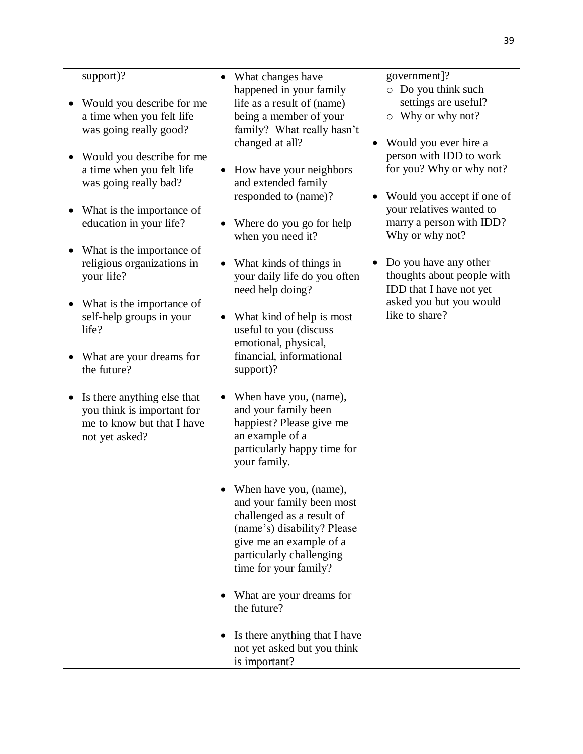#### support)?

- Would you describe for me a time when you felt life was going really good?
- Would you describe for me a time when you felt life was going really bad?
- What is the importance of education in your life?
- What is the importance of religious organizations in your life?
- What is the importance of self-help groups in your life?
- What are your dreams for the future?
- Is there anything else that you think is important for me to know but that I have not yet asked?
- What changes have happened in your family life as a result of (name) being a member of your family? What really hasn't changed at all?
- How have your neighbors and extended family responded to (name)?
- Where do you go for help when you need it?
- What kinds of things in your daily life do you often need help doing?
- What kind of help is most useful to you (discuss emotional, physical, financial, informational support)?
- When have you, (name), and your family been happiest? Please give me an example of a particularly happy time for your family.
- When have you, (name), and your family been most challenged as a result of (name's) disability? Please give me an example of a particularly challenging time for your family?
- What are your dreams for the future?
- Is there anything that I have not yet asked but you think is important?

government]?

- o Do you think such settings are useful?
- o Why or why not?
- Would you ever hire a person with IDD to work for you? Why or why not?
- Would you accept if one of your relatives wanted to marry a person with IDD? Why or why not?
- Do you have any other thoughts about people with IDD that I have not yet asked you but you would like to share?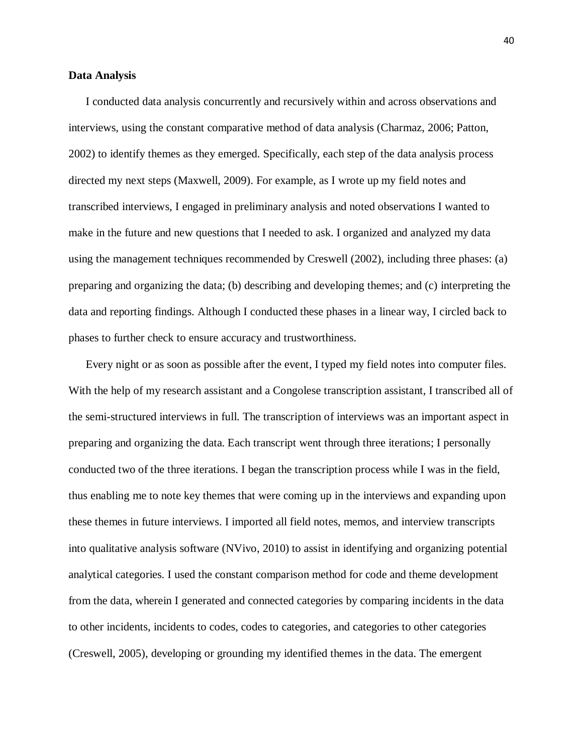#### **Data Analysis**

I conducted data analysis concurrently and recursively within and across observations and interviews, using the constant comparative method of data analysis (Charmaz, 2006; Patton, 2002) to identify themes as they emerged. Specifically, each step of the data analysis process directed my next steps (Maxwell, 2009). For example, as I wrote up my field notes and transcribed interviews, I engaged in preliminary analysis and noted observations I wanted to make in the future and new questions that I needed to ask. I organized and analyzed my data using the management techniques recommended by Creswell (2002), including three phases: (a) preparing and organizing the data; (b) describing and developing themes; and (c) interpreting the data and reporting findings. Although I conducted these phases in a linear way, I circled back to phases to further check to ensure accuracy and trustworthiness.

Every night or as soon as possible after the event, I typed my field notes into computer files. With the help of my research assistant and a Congolese transcription assistant, I transcribed all of the semi-structured interviews in full. The transcription of interviews was an important aspect in preparing and organizing the data. Each transcript went through three iterations; I personally conducted two of the three iterations. I began the transcription process while I was in the field, thus enabling me to note key themes that were coming up in the interviews and expanding upon these themes in future interviews. I imported all field notes, memos, and interview transcripts into qualitative analysis software (NVivo, 2010) to assist in identifying and organizing potential analytical categories. I used the constant comparison method for code and theme development from the data, wherein I generated and connected categories by comparing incidents in the data to other incidents, incidents to codes, codes to categories, and categories to other categories (Creswell, 2005), developing or grounding my identified themes in the data. The emergent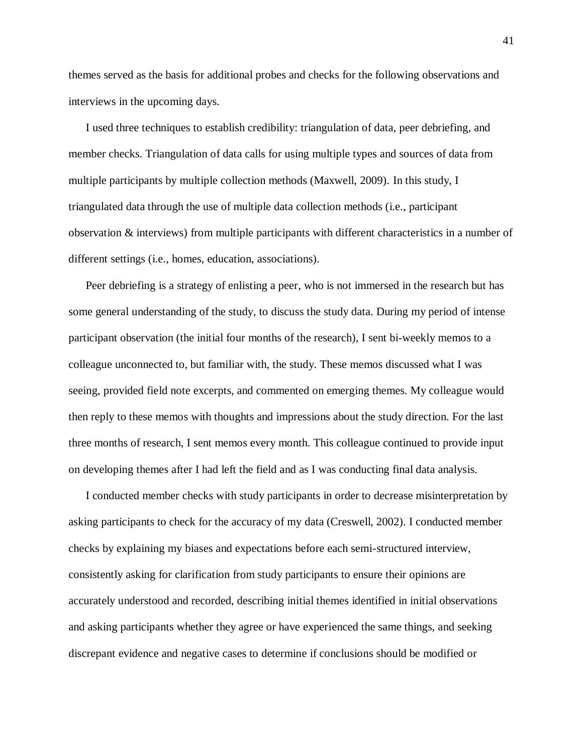themes served as the basis for additional probes and checks for the following observations and interviews in the upcoming days.

I used three techniques to establish credibility: triangulation of data, peer debriefing, and member checks. Triangulation of data calls for using multiple types and sources of data from multiple participants by multiple collection methods (Maxwell, 2009). In this study, I triangulated data through the use of multiple data collection methods (i.e., participant observation & interviews) from multiple participants with different characteristics in a number of different settings (i.e., homes, education, associations).

Peer debriefing is a strategy of enlisting a peer, who is not immersed in the research but has some general understanding of the study, to discuss the study data. During my period of intense participant observation (the initial four months of the research), I sent bi-weekly memos to a colleague unconnected to, but familiar with, the study. These memos discussed what I was seeing, provided field note excerpts, and commented on emerging themes. My colleague would then reply to these memos with thoughts and impressions about the study direction. For the last three months of research, I sent memos every month. This colleague continued to provide input on developing themes after I had left the field and as I was conducting final data analysis.

I conducted member checks with study participants in order to decrease misinterpretation by asking participants to check for the accuracy of my data (Creswell, 2002). I conducted member checks by explaining my biases and expectations before each semi-structured interview, consistently asking for clarification from study participants to ensure their opinions are accurately understood and recorded, describing initial themes identified in initial observations and asking participants whether they agree or have experienced the same things, and seeking discrepant evidence and negative cases to determine if conclusions should be modified or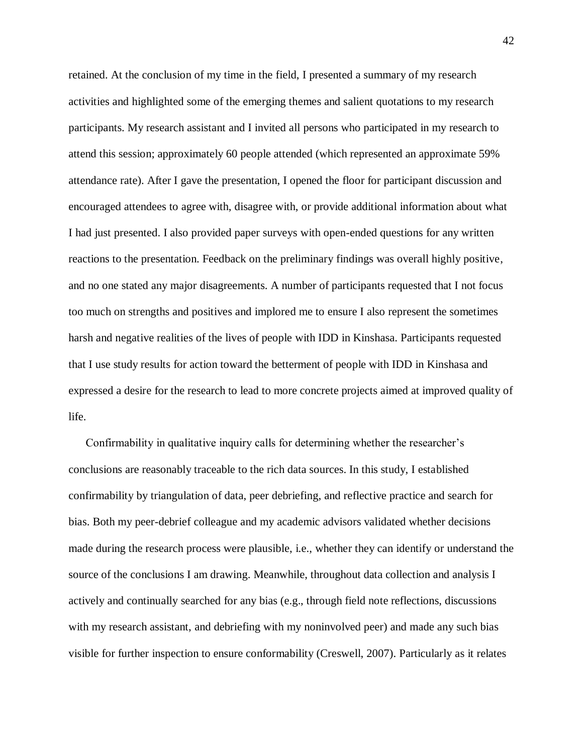retained. At the conclusion of my time in the field, I presented a summary of my research activities and highlighted some of the emerging themes and salient quotations to my research participants. My research assistant and I invited all persons who participated in my research to attend this session; approximately 60 people attended (which represented an approximate 59% attendance rate). After I gave the presentation, I opened the floor for participant discussion and encouraged attendees to agree with, disagree with, or provide additional information about what I had just presented. I also provided paper surveys with open-ended questions for any written reactions to the presentation. Feedback on the preliminary findings was overall highly positive, and no one stated any major disagreements. A number of participants requested that I not focus too much on strengths and positives and implored me to ensure I also represent the sometimes harsh and negative realities of the lives of people with IDD in Kinshasa. Participants requested that I use study results for action toward the betterment of people with IDD in Kinshasa and expressed a desire for the research to lead to more concrete projects aimed at improved quality of life.

Confirmability in qualitative inquiry calls for determining whether the researcher's conclusions are reasonably traceable to the rich data sources. In this study, I established confirmability by triangulation of data, peer debriefing, and reflective practice and search for bias. Both my peer-debrief colleague and my academic advisors validated whether decisions made during the research process were plausible, i.e., whether they can identify or understand the source of the conclusions I am drawing. Meanwhile, throughout data collection and analysis I actively and continually searched for any bias (e.g., through field note reflections, discussions with my research assistant, and debriefing with my noninvolved peer) and made any such bias visible for further inspection to ensure conformability (Creswell, 2007). Particularly as it relates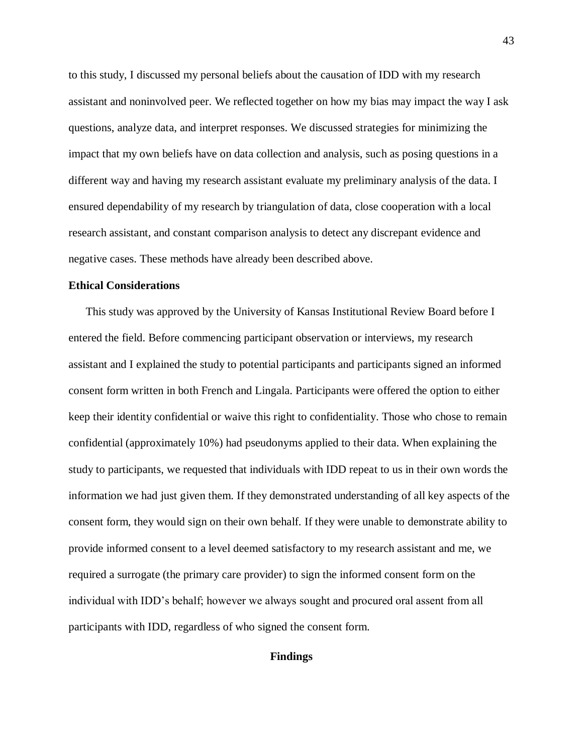to this study, I discussed my personal beliefs about the causation of IDD with my research assistant and noninvolved peer. We reflected together on how my bias may impact the way I ask questions, analyze data, and interpret responses. We discussed strategies for minimizing the impact that my own beliefs have on data collection and analysis, such as posing questions in a different way and having my research assistant evaluate my preliminary analysis of the data. I ensured dependability of my research by triangulation of data, close cooperation with a local research assistant, and constant comparison analysis to detect any discrepant evidence and negative cases. These methods have already been described above.

#### **Ethical Considerations**

This study was approved by the University of Kansas Institutional Review Board before I entered the field. Before commencing participant observation or interviews, my research assistant and I explained the study to potential participants and participants signed an informed consent form written in both French and Lingala. Participants were offered the option to either keep their identity confidential or waive this right to confidentiality. Those who chose to remain confidential (approximately 10%) had pseudonyms applied to their data. When explaining the study to participants, we requested that individuals with IDD repeat to us in their own words the information we had just given them. If they demonstrated understanding of all key aspects of the consent form, they would sign on their own behalf. If they were unable to demonstrate ability to provide informed consent to a level deemed satisfactory to my research assistant and me, we required a surrogate (the primary care provider) to sign the informed consent form on the individual with IDD's behalf; however we always sought and procured oral assent from all participants with IDD, regardless of who signed the consent form.

### **Findings**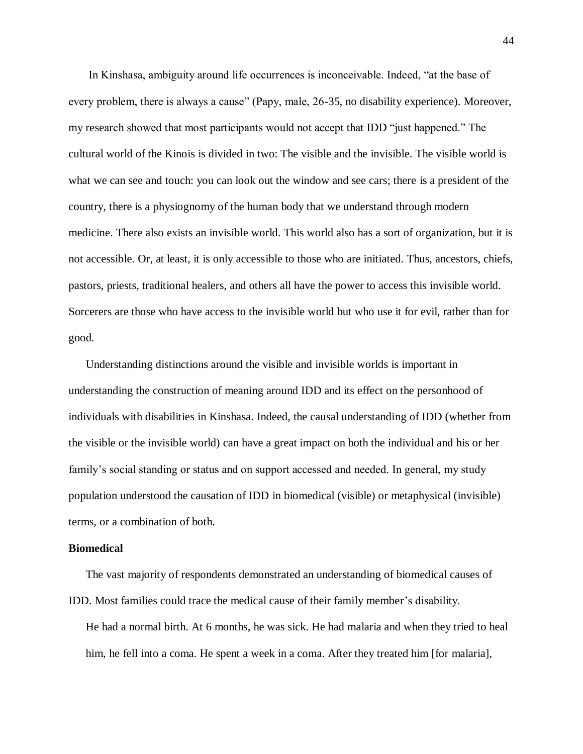In Kinshasa, ambiguity around life occurrences is inconceivable. Indeed, "at the base of every problem, there is always a cause" (Papy, male, 26-35, no disability experience). Moreover, my research showed that most participants would not accept that IDD "just happened." The cultural world of the Kinois is divided in two: The visible and the invisible. The visible world is what we can see and touch: you can look out the window and see cars; there is a president of the country, there is a physiognomy of the human body that we understand through modern medicine. There also exists an invisible world. This world also has a sort of organization, but it is not accessible. Or, at least, it is only accessible to those who are initiated. Thus, ancestors, chiefs, pastors, priests, traditional healers, and others all have the power to access this invisible world. Sorcerers are those who have access to the invisible world but who use it for evil, rather than for good.

Understanding distinctions around the visible and invisible worlds is important in understanding the construction of meaning around IDD and its effect on the personhood of individuals with disabilities in Kinshasa. Indeed, the causal understanding of IDD (whether from the visible or the invisible world) can have a great impact on both the individual and his or her family's social standing or status and on support accessed and needed. In general, my study population understood the causation of IDD in biomedical (visible) or metaphysical (invisible) terms, or a combination of both.

#### **Biomedical**

The vast majority of respondents demonstrated an understanding of biomedical causes of IDD. Most families could trace the medical cause of their family member's disability.

He had a normal birth. At 6 months, he was sick. He had malaria and when they tried to heal him, he fell into a coma. He spent a week in a coma. After they treated him [for malaria],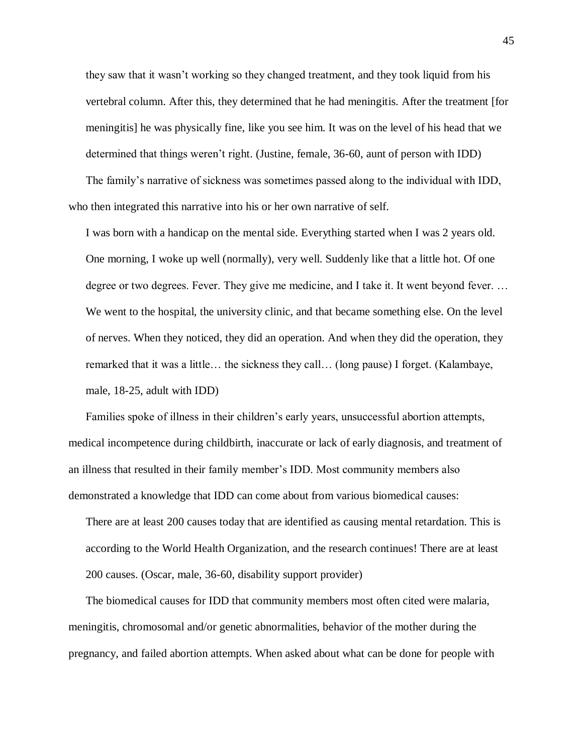they saw that it wasn't working so they changed treatment, and they took liquid from his vertebral column. After this, they determined that he had meningitis. After the treatment [for meningitis] he was physically fine, like you see him. It was on the level of his head that we determined that things weren't right. (Justine, female, 36-60, aunt of person with IDD) The family's narrative of sickness was sometimes passed along to the individual with IDD,

who then integrated this narrative into his or her own narrative of self.

I was born with a handicap on the mental side. Everything started when I was 2 years old. One morning, I woke up well (normally), very well. Suddenly like that a little hot. Of one degree or two degrees. Fever. They give me medicine, and I take it. It went beyond fever. … We went to the hospital, the university clinic, and that became something else. On the level of nerves. When they noticed, they did an operation. And when they did the operation, they remarked that it was a little… the sickness they call… (long pause) I forget. (Kalambaye, male, 18-25, adult with IDD)

Families spoke of illness in their children's early years, unsuccessful abortion attempts, medical incompetence during childbirth, inaccurate or lack of early diagnosis, and treatment of an illness that resulted in their family member's IDD. Most community members also demonstrated a knowledge that IDD can come about from various biomedical causes:

There are at least 200 causes today that are identified as causing mental retardation. This is according to the World Health Organization, and the research continues! There are at least 200 causes. (Oscar, male, 36-60, disability support provider)

The biomedical causes for IDD that community members most often cited were malaria, meningitis, chromosomal and/or genetic abnormalities, behavior of the mother during the pregnancy, and failed abortion attempts. When asked about what can be done for people with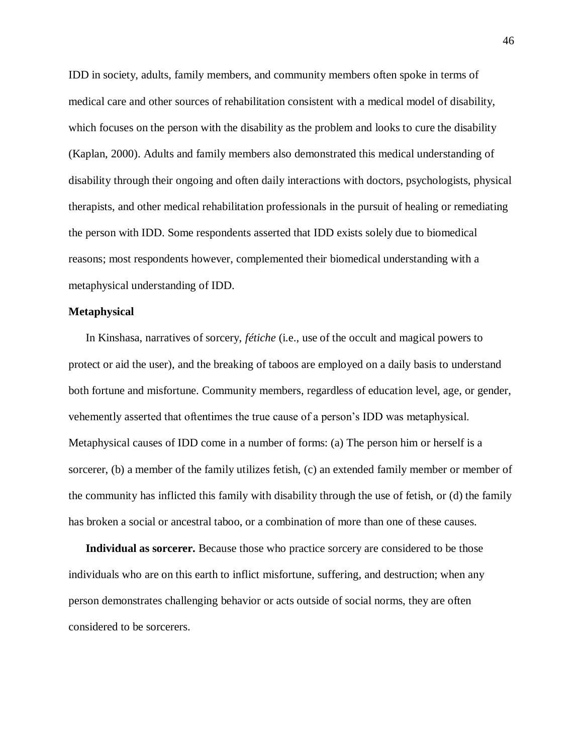IDD in society, adults, family members, and community members often spoke in terms of medical care and other sources of rehabilitation consistent with a medical model of disability, which focuses on the person with the disability as the problem and looks to cure the disability (Kaplan, 2000). Adults and family members also demonstrated this medical understanding of disability through their ongoing and often daily interactions with doctors, psychologists, physical therapists, and other medical rehabilitation professionals in the pursuit of healing or remediating the person with IDD. Some respondents asserted that IDD exists solely due to biomedical reasons; most respondents however, complemented their biomedical understanding with a metaphysical understanding of IDD.

#### **Metaphysical**

In Kinshasa, narratives of sorcery, *fétiche* (i.e., use of the occult and magical powers to protect or aid the user), and the breaking of taboos are employed on a daily basis to understand both fortune and misfortune. Community members, regardless of education level, age, or gender, vehemently asserted that oftentimes the true cause of a person's IDD was metaphysical. Metaphysical causes of IDD come in a number of forms: (a) The person him or herself is a sorcerer, (b) a member of the family utilizes fetish, (c) an extended family member or member of the community has inflicted this family with disability through the use of fetish, or (d) the family has broken a social or ancestral taboo, or a combination of more than one of these causes.

**Individual as sorcerer.** Because those who practice sorcery are considered to be those individuals who are on this earth to inflict misfortune, suffering, and destruction; when any person demonstrates challenging behavior or acts outside of social norms, they are often considered to be sorcerers.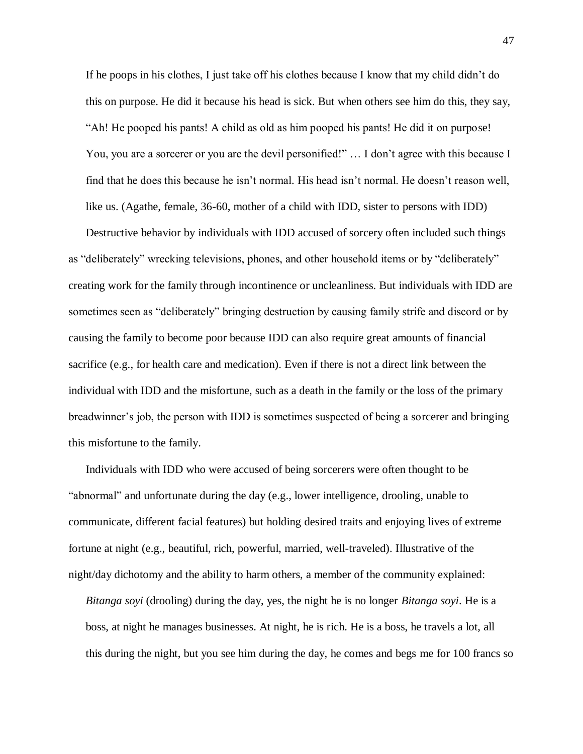If he poops in his clothes, I just take off his clothes because I know that my child didn't do this on purpose. He did it because his head is sick. But when others see him do this, they say, "Ah! He pooped his pants! A child as old as him pooped his pants! He did it on purpose! You, you are a sorcerer or you are the devil personified!" … I don't agree with this because I find that he does this because he isn't normal. His head isn't normal. He doesn't reason well, like us. (Agathe, female, 36-60, mother of a child with IDD, sister to persons with IDD)

Destructive behavior by individuals with IDD accused of sorcery often included such things as "deliberately" wrecking televisions, phones, and other household items or by "deliberately" creating work for the family through incontinence or uncleanliness. But individuals with IDD are sometimes seen as "deliberately" bringing destruction by causing family strife and discord or by causing the family to become poor because IDD can also require great amounts of financial sacrifice (e.g., for health care and medication). Even if there is not a direct link between the individual with IDD and the misfortune, such as a death in the family or the loss of the primary breadwinner's job, the person with IDD is sometimes suspected of being a sorcerer and bringing this misfortune to the family.

Individuals with IDD who were accused of being sorcerers were often thought to be "abnormal" and unfortunate during the day (e.g., lower intelligence, drooling, unable to communicate, different facial features) but holding desired traits and enjoying lives of extreme fortune at night (e.g., beautiful, rich, powerful, married, well-traveled). Illustrative of the night/day dichotomy and the ability to harm others, a member of the community explained:

*Bitanga soyi* (drooling) during the day, yes, the night he is no longer *Bitanga soyi*. He is a boss, at night he manages businesses. At night, he is rich. He is a boss, he travels a lot, all this during the night, but you see him during the day, he comes and begs me for 100 francs so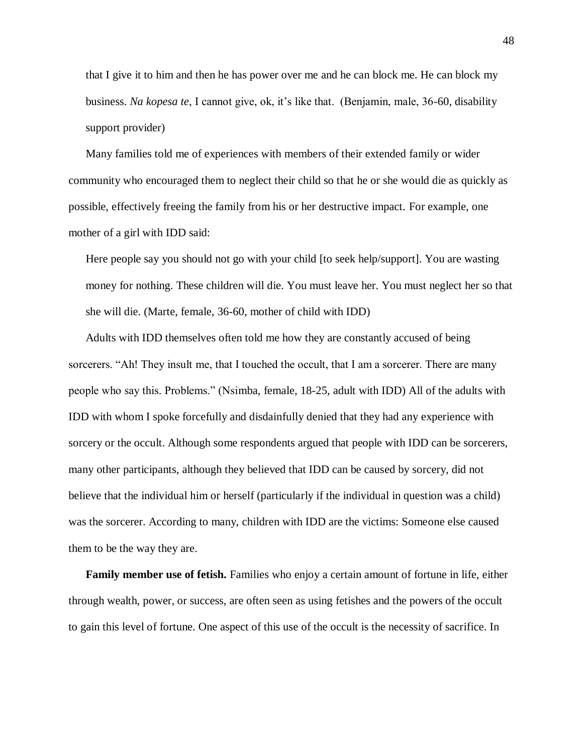that I give it to him and then he has power over me and he can block me. He can block my business. *Na kopesa te*, I cannot give, ok, it's like that. (Benjamin, male, 36-60, disability support provider)

Many families told me of experiences with members of their extended family or wider community who encouraged them to neglect their child so that he or she would die as quickly as possible, effectively freeing the family from his or her destructive impact. For example, one mother of a girl with IDD said:

Here people say you should not go with your child [to seek help/support]. You are wasting money for nothing. These children will die. You must leave her. You must neglect her so that she will die. (Marte, female, 36-60, mother of child with IDD)

Adults with IDD themselves often told me how they are constantly accused of being sorcerers. "Ah! They insult me, that I touched the occult, that I am a sorcerer. There are many people who say this. Problems." (Nsimba, female, 18-25, adult with IDD) All of the adults with IDD with whom I spoke forcefully and disdainfully denied that they had any experience with sorcery or the occult. Although some respondents argued that people with IDD can be sorcerers, many other participants, although they believed that IDD can be caused by sorcery, did not believe that the individual him or herself (particularly if the individual in question was a child) was the sorcerer. According to many, children with IDD are the victims: Someone else caused them to be the way they are.

**Family member use of fetish.** Families who enjoy a certain amount of fortune in life, either through wealth, power, or success, are often seen as using fetishes and the powers of the occult to gain this level of fortune. One aspect of this use of the occult is the necessity of sacrifice. In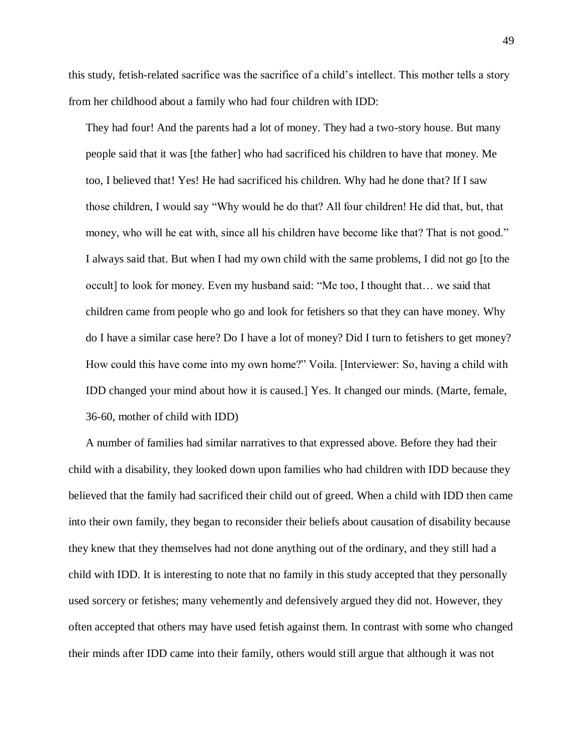this study, fetish-related sacrifice was the sacrifice of a child's intellect. This mother tells a story from her childhood about a family who had four children with IDD:

They had four! And the parents had a lot of money. They had a two-story house. But many people said that it was [the father] who had sacrificed his children to have that money. Me too, I believed that! Yes! He had sacrificed his children. Why had he done that? If I saw those children, I would say "Why would he do that? All four children! He did that, but, that money, who will he eat with, since all his children have become like that? That is not good." I always said that. But when I had my own child with the same problems, I did not go [to the occult] to look for money. Even my husband said: "Me too, I thought that… we said that children came from people who go and look for fetishers so that they can have money. Why do I have a similar case here? Do I have a lot of money? Did I turn to fetishers to get money? How could this have come into my own home?" Voila. [Interviewer: So, having a child with IDD changed your mind about how it is caused.] Yes. It changed our minds. (Marte, female, 36-60, mother of child with IDD)

A number of families had similar narratives to that expressed above. Before they had their child with a disability, they looked down upon families who had children with IDD because they believed that the family had sacrificed their child out of greed. When a child with IDD then came into their own family, they began to reconsider their beliefs about causation of disability because they knew that they themselves had not done anything out of the ordinary, and they still had a child with IDD. It is interesting to note that no family in this study accepted that they personally used sorcery or fetishes; many vehemently and defensively argued they did not. However, they often accepted that others may have used fetish against them. In contrast with some who changed their minds after IDD came into their family, others would still argue that although it was not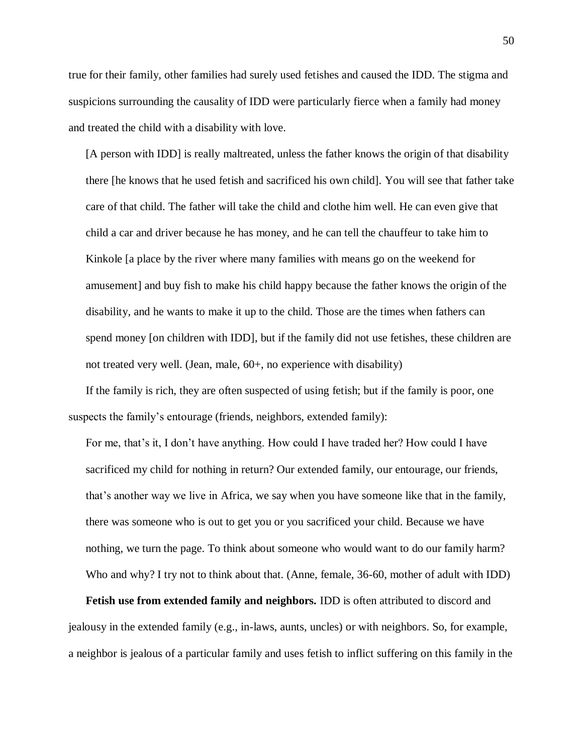true for their family, other families had surely used fetishes and caused the IDD. The stigma and suspicions surrounding the causality of IDD were particularly fierce when a family had money and treated the child with a disability with love.

[A person with IDD] is really maltreated, unless the father knows the origin of that disability there [he knows that he used fetish and sacrificed his own child]. You will see that father take care of that child. The father will take the child and clothe him well. He can even give that child a car and driver because he has money, and he can tell the chauffeur to take him to Kinkole [a place by the river where many families with means go on the weekend for amusement] and buy fish to make his child happy because the father knows the origin of the disability, and he wants to make it up to the child. Those are the times when fathers can spend money [on children with IDD], but if the family did not use fetishes, these children are not treated very well. (Jean, male, 60+, no experience with disability)

If the family is rich, they are often suspected of using fetish; but if the family is poor, one suspects the family's entourage (friends, neighbors, extended family):

For me, that's it, I don't have anything. How could I have traded her? How could I have sacrificed my child for nothing in return? Our extended family, our entourage, our friends, that's another way we live in Africa, we say when you have someone like that in the family, there was someone who is out to get you or you sacrificed your child. Because we have nothing, we turn the page. To think about someone who would want to do our family harm? Who and why? I try not to think about that. (Anne, female, 36-60, mother of adult with IDD)

**Fetish use from extended family and neighbors.** IDD is often attributed to discord and jealousy in the extended family (e.g., in-laws, aunts, uncles) or with neighbors. So, for example, a neighbor is jealous of a particular family and uses fetish to inflict suffering on this family in the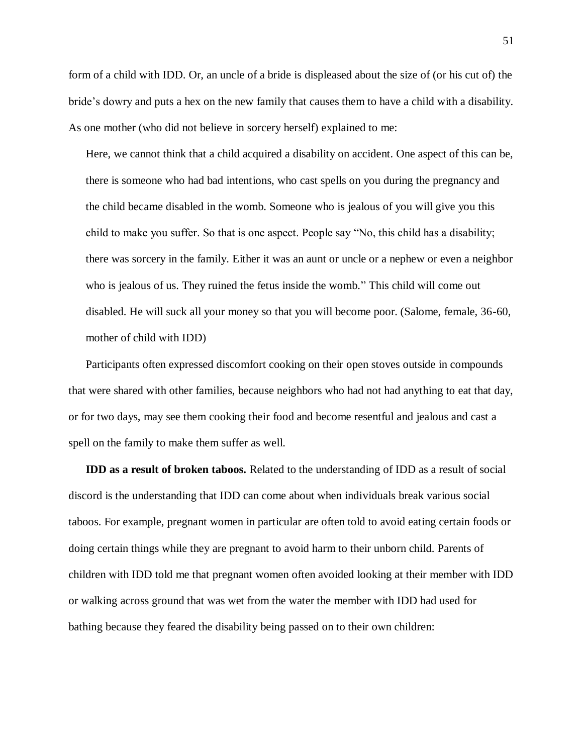form of a child with IDD. Or, an uncle of a bride is displeased about the size of (or his cut of) the bride's dowry and puts a hex on the new family that causes them to have a child with a disability. As one mother (who did not believe in sorcery herself) explained to me:

Here, we cannot think that a child acquired a disability on accident. One aspect of this can be, there is someone who had bad intentions, who cast spells on you during the pregnancy and the child became disabled in the womb. Someone who is jealous of you will give you this child to make you suffer. So that is one aspect. People say "No, this child has a disability; there was sorcery in the family. Either it was an aunt or uncle or a nephew or even a neighbor who is jealous of us. They ruined the fetus inside the womb." This child will come out disabled. He will suck all your money so that you will become poor. (Salome, female, 36-60, mother of child with IDD)

Participants often expressed discomfort cooking on their open stoves outside in compounds that were shared with other families, because neighbors who had not had anything to eat that day, or for two days, may see them cooking their food and become resentful and jealous and cast a spell on the family to make them suffer as well.

**IDD as a result of broken taboos.** Related to the understanding of IDD as a result of social discord is the understanding that IDD can come about when individuals break various social taboos. For example, pregnant women in particular are often told to avoid eating certain foods or doing certain things while they are pregnant to avoid harm to their unborn child. Parents of children with IDD told me that pregnant women often avoided looking at their member with IDD or walking across ground that was wet from the water the member with IDD had used for bathing because they feared the disability being passed on to their own children: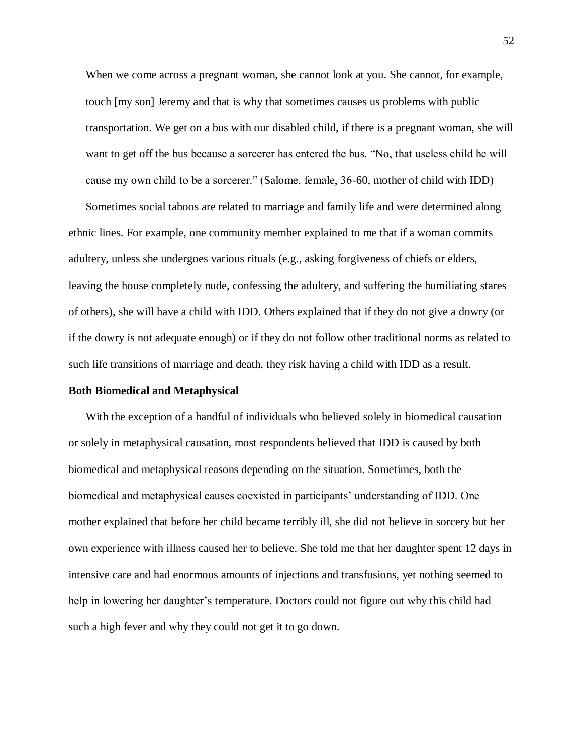When we come across a pregnant woman, she cannot look at you. She cannot, for example, touch [my son] Jeremy and that is why that sometimes causes us problems with public transportation. We get on a bus with our disabled child, if there is a pregnant woman, she will want to get off the bus because a sorcerer has entered the bus. "No, that useless child he will cause my own child to be a sorcerer." (Salome, female, 36-60, mother of child with IDD)

Sometimes social taboos are related to marriage and family life and were determined along ethnic lines. For example, one community member explained to me that if a woman commits adultery, unless she undergoes various rituals (e.g., asking forgiveness of chiefs or elders, leaving the house completely nude, confessing the adultery, and suffering the humiliating stares of others), she will have a child with IDD. Others explained that if they do not give a dowry (or if the dowry is not adequate enough) or if they do not follow other traditional norms as related to such life transitions of marriage and death, they risk having a child with IDD as a result.

#### **Both Biomedical and Metaphysical**

With the exception of a handful of individuals who believed solely in biomedical causation or solely in metaphysical causation, most respondents believed that IDD is caused by both biomedical and metaphysical reasons depending on the situation. Sometimes, both the biomedical and metaphysical causes coexisted in participants' understanding of IDD. One mother explained that before her child became terribly ill, she did not believe in sorcery but her own experience with illness caused her to believe. She told me that her daughter spent 12 days in intensive care and had enormous amounts of injections and transfusions, yet nothing seemed to help in lowering her daughter's temperature. Doctors could not figure out why this child had such a high fever and why they could not get it to go down.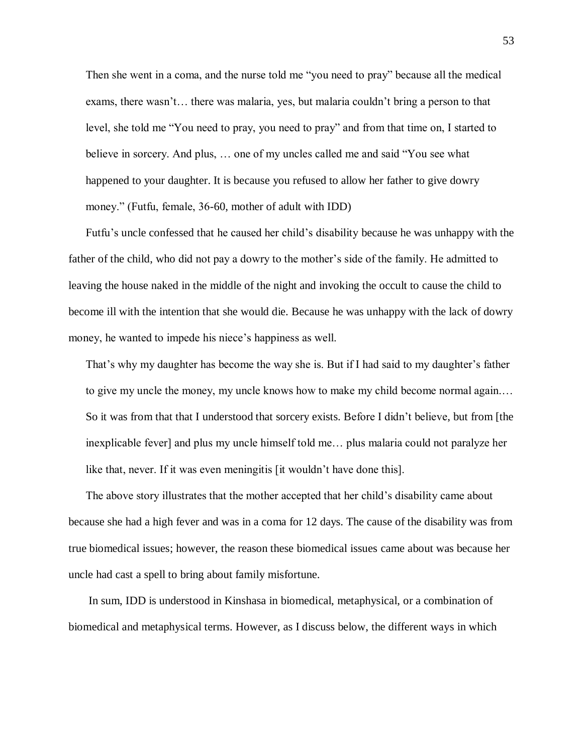Then she went in a coma, and the nurse told me "you need to pray" because all the medical exams, there wasn't… there was malaria, yes, but malaria couldn't bring a person to that level, she told me "You need to pray, you need to pray" and from that time on, I started to believe in sorcery. And plus, … one of my uncles called me and said "You see what happened to your daughter. It is because you refused to allow her father to give dowry money." (Futfu, female, 36-60, mother of adult with IDD)

Futfu's uncle confessed that he caused her child's disability because he was unhappy with the father of the child, who did not pay a dowry to the mother's side of the family. He admitted to leaving the house naked in the middle of the night and invoking the occult to cause the child to become ill with the intention that she would die. Because he was unhappy with the lack of dowry money, he wanted to impede his niece's happiness as well.

That's why my daughter has become the way she is. But if I had said to my daughter's father to give my uncle the money, my uncle knows how to make my child become normal again.… So it was from that that I understood that sorcery exists. Before I didn't believe, but from [the inexplicable fever] and plus my uncle himself told me… plus malaria could not paralyze her like that, never. If it was even meningitis [it wouldn't have done this].

The above story illustrates that the mother accepted that her child's disability came about because she had a high fever and was in a coma for 12 days. The cause of the disability was from true biomedical issues; however, the reason these biomedical issues came about was because her uncle had cast a spell to bring about family misfortune.

In sum, IDD is understood in Kinshasa in biomedical, metaphysical, or a combination of biomedical and metaphysical terms. However, as I discuss below, the different ways in which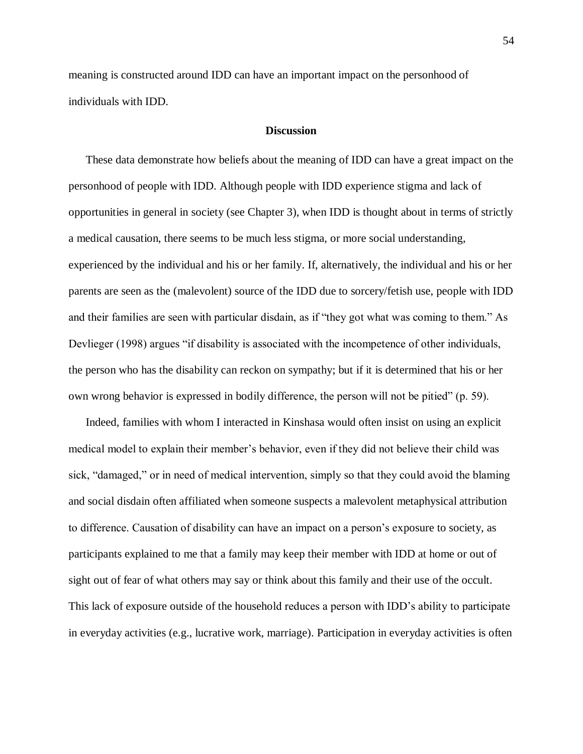meaning is constructed around IDD can have an important impact on the personhood of individuals with IDD.

#### **Discussion**

These data demonstrate how beliefs about the meaning of IDD can have a great impact on the personhood of people with IDD. Although people with IDD experience stigma and lack of opportunities in general in society (see Chapter 3), when IDD is thought about in terms of strictly a medical causation, there seems to be much less stigma, or more social understanding, experienced by the individual and his or her family. If, alternatively, the individual and his or her parents are seen as the (malevolent) source of the IDD due to sorcery/fetish use, people with IDD and their families are seen with particular disdain, as if "they got what was coming to them." As Devlieger (1998) argues "if disability is associated with the incompetence of other individuals, the person who has the disability can reckon on sympathy; but if it is determined that his or her own wrong behavior is expressed in bodily difference, the person will not be pitied" (p. 59).

Indeed, families with whom I interacted in Kinshasa would often insist on using an explicit medical model to explain their member's behavior, even if they did not believe their child was sick, "damaged," or in need of medical intervention, simply so that they could avoid the blaming and social disdain often affiliated when someone suspects a malevolent metaphysical attribution to difference. Causation of disability can have an impact on a person's exposure to society, as participants explained to me that a family may keep their member with IDD at home or out of sight out of fear of what others may say or think about this family and their use of the occult. This lack of exposure outside of the household reduces a person with IDD's ability to participate in everyday activities (e.g., lucrative work, marriage). Participation in everyday activities is often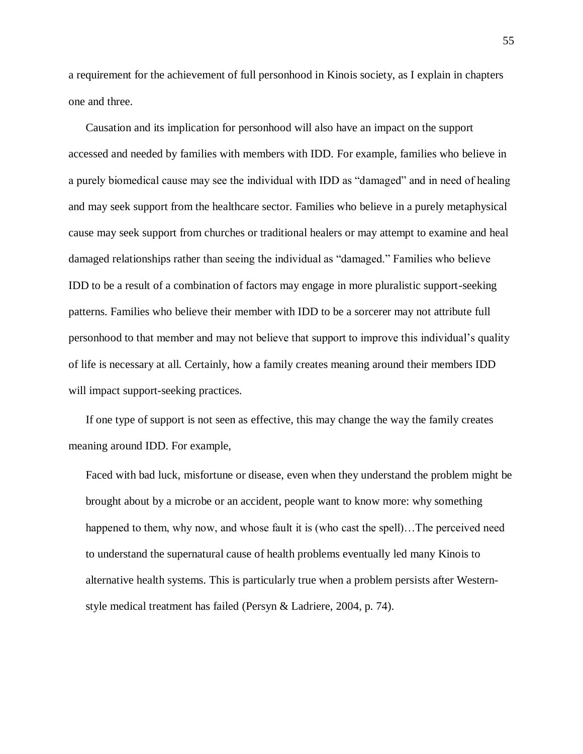a requirement for the achievement of full personhood in Kinois society, as I explain in chapters one and three.

Causation and its implication for personhood will also have an impact on the support accessed and needed by families with members with IDD. For example, families who believe in a purely biomedical cause may see the individual with IDD as "damaged" and in need of healing and may seek support from the healthcare sector. Families who believe in a purely metaphysical cause may seek support from churches or traditional healers or may attempt to examine and heal damaged relationships rather than seeing the individual as "damaged." Families who believe IDD to be a result of a combination of factors may engage in more pluralistic support-seeking patterns. Families who believe their member with IDD to be a sorcerer may not attribute full personhood to that member and may not believe that support to improve this individual's quality of life is necessary at all. Certainly, how a family creates meaning around their members IDD will impact support-seeking practices.

If one type of support is not seen as effective, this may change the way the family creates meaning around IDD. For example,

Faced with bad luck, misfortune or disease, even when they understand the problem might be brought about by a microbe or an accident, people want to know more: why something happened to them, why now, and whose fault it is (who cast the spell)...The perceived need to understand the supernatural cause of health problems eventually led many Kinois to alternative health systems. This is particularly true when a problem persists after Westernstyle medical treatment has failed (Persyn & Ladriere, 2004, p. 74).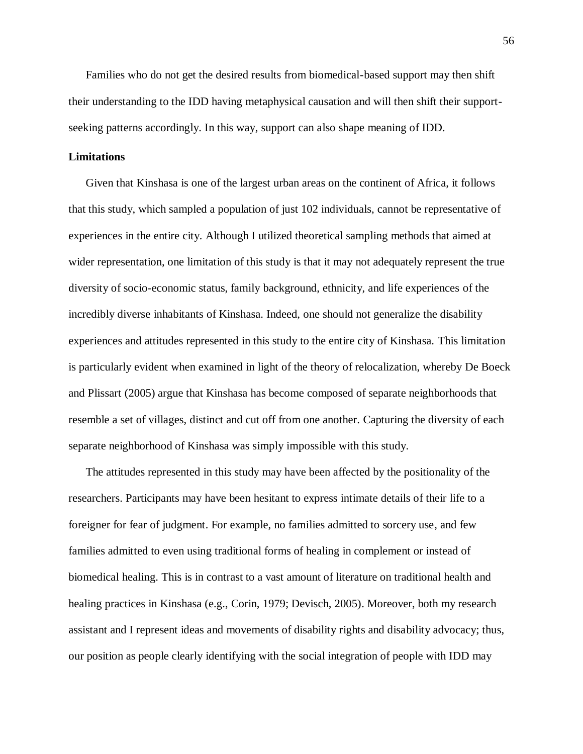Families who do not get the desired results from biomedical-based support may then shift their understanding to the IDD having metaphysical causation and will then shift their supportseeking patterns accordingly. In this way, support can also shape meaning of IDD.

### **Limitations**

Given that Kinshasa is one of the largest urban areas on the continent of Africa, it follows that this study, which sampled a population of just 102 individuals, cannot be representative of experiences in the entire city. Although I utilized theoretical sampling methods that aimed at wider representation, one limitation of this study is that it may not adequately represent the true diversity of socio-economic status, family background, ethnicity, and life experiences of the incredibly diverse inhabitants of Kinshasa. Indeed, one should not generalize the disability experiences and attitudes represented in this study to the entire city of Kinshasa. This limitation is particularly evident when examined in light of the theory of relocalization, whereby De Boeck and Plissart (2005) argue that Kinshasa has become composed of separate neighborhoods that resemble a set of villages, distinct and cut off from one another. Capturing the diversity of each separate neighborhood of Kinshasa was simply impossible with this study.

The attitudes represented in this study may have been affected by the positionality of the researchers. Participants may have been hesitant to express intimate details of their life to a foreigner for fear of judgment. For example, no families admitted to sorcery use, and few families admitted to even using traditional forms of healing in complement or instead of biomedical healing. This is in contrast to a vast amount of literature on traditional health and healing practices in Kinshasa (e.g., Corin, 1979; Devisch, 2005). Moreover, both my research assistant and I represent ideas and movements of disability rights and disability advocacy; thus, our position as people clearly identifying with the social integration of people with IDD may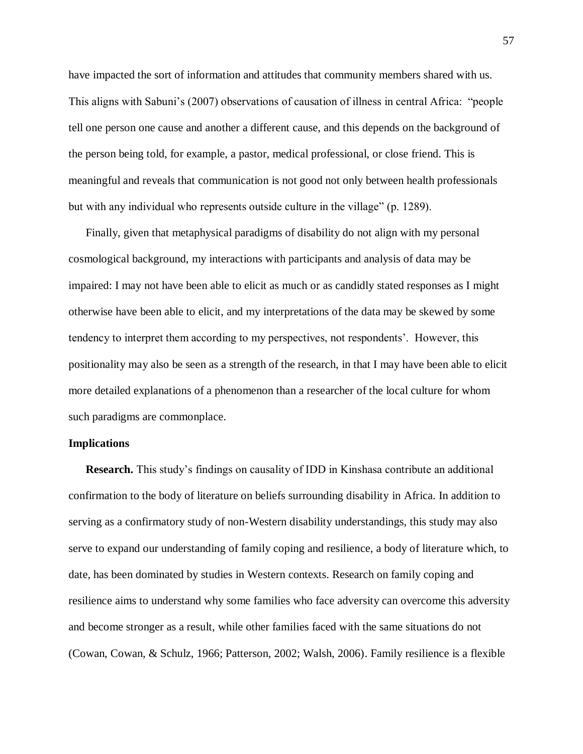have impacted the sort of information and attitudes that community members shared with us. This aligns with Sabuni's (2007) observations of causation of illness in central Africa: "people tell one person one cause and another a different cause, and this depends on the background of the person being told, for example, a pastor, medical professional, or close friend. This is meaningful and reveals that communication is not good not only between health professionals but with any individual who represents outside culture in the village" (p. 1289).

Finally, given that metaphysical paradigms of disability do not align with my personal cosmological background, my interactions with participants and analysis of data may be impaired: I may not have been able to elicit as much or as candidly stated responses as I might otherwise have been able to elicit, and my interpretations of the data may be skewed by some tendency to interpret them according to my perspectives, not respondents'. However, this positionality may also be seen as a strength of the research, in that I may have been able to elicit more detailed explanations of a phenomenon than a researcher of the local culture for whom such paradigms are commonplace.

### **Implications**

**Research.** This study's findings on causality of IDD in Kinshasa contribute an additional confirmation to the body of literature on beliefs surrounding disability in Africa. In addition to serving as a confirmatory study of non-Western disability understandings, this study may also serve to expand our understanding of family coping and resilience, a body of literature which, to date, has been dominated by studies in Western contexts. Research on family coping and resilience aims to understand why some families who face adversity can overcome this adversity and become stronger as a result, while other families faced with the same situations do not (Cowan, Cowan, & Schulz, 1966; Patterson, 2002; Walsh, 2006). Family resilience is a flexible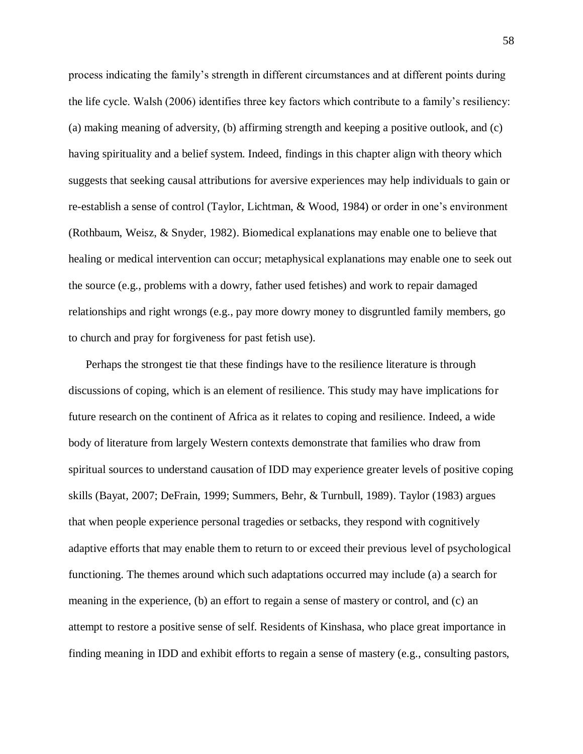process indicating the family's strength in different circumstances and at different points during the life cycle. Walsh (2006) identifies three key factors which contribute to a family's resiliency: (a) making meaning of adversity, (b) affirming strength and keeping a positive outlook, and (c) having spirituality and a belief system. Indeed, findings in this chapter align with theory which suggests that seeking causal attributions for aversive experiences may help individuals to gain or re-establish a sense of control (Taylor, Lichtman, & Wood, 1984) or order in one's environment (Rothbaum, Weisz, & Snyder, 1982). Biomedical explanations may enable one to believe that healing or medical intervention can occur; metaphysical explanations may enable one to seek out the source (e.g., problems with a dowry, father used fetishes) and work to repair damaged relationships and right wrongs (e.g., pay more dowry money to disgruntled family members, go to church and pray for forgiveness for past fetish use).

Perhaps the strongest tie that these findings have to the resilience literature is through discussions of coping, which is an element of resilience. This study may have implications for future research on the continent of Africa as it relates to coping and resilience. Indeed, a wide body of literature from largely Western contexts demonstrate that families who draw from spiritual sources to understand causation of IDD may experience greater levels of positive coping skills (Bayat, 2007; DeFrain, 1999; Summers, Behr, & Turnbull, 1989). Taylor (1983) argues that when people experience personal tragedies or setbacks, they respond with cognitively adaptive efforts that may enable them to return to or exceed their previous level of psychological functioning. The themes around which such adaptations occurred may include (a) a search for meaning in the experience, (b) an effort to regain a sense of mastery or control, and (c) an attempt to restore a positive sense of self. Residents of Kinshasa, who place great importance in finding meaning in IDD and exhibit efforts to regain a sense of mastery (e.g., consulting pastors,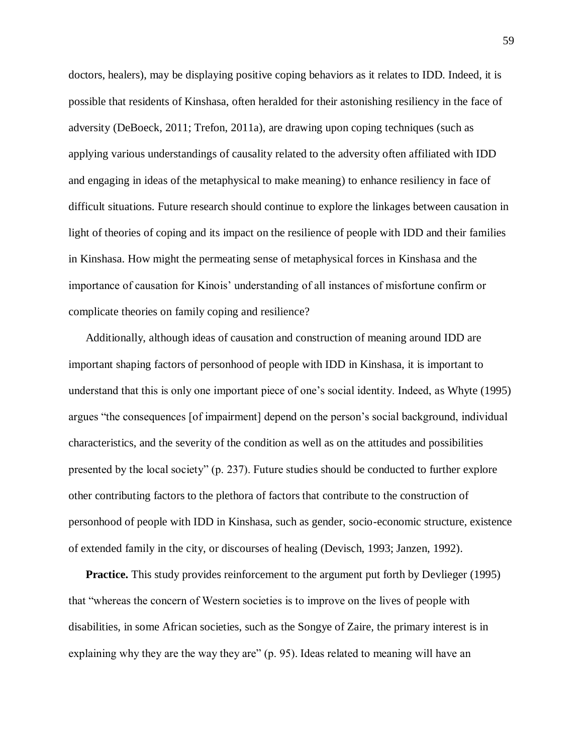doctors, healers), may be displaying positive coping behaviors as it relates to IDD. Indeed, it is possible that residents of Kinshasa, often heralded for their astonishing resiliency in the face of adversity (DeBoeck, 2011; Trefon, 2011a), are drawing upon coping techniques (such as applying various understandings of causality related to the adversity often affiliated with IDD and engaging in ideas of the metaphysical to make meaning) to enhance resiliency in face of difficult situations. Future research should continue to explore the linkages between causation in light of theories of coping and its impact on the resilience of people with IDD and their families in Kinshasa. How might the permeating sense of metaphysical forces in Kinshasa and the importance of causation for Kinois' understanding of all instances of misfortune confirm or complicate theories on family coping and resilience?

Additionally, although ideas of causation and construction of meaning around IDD are important shaping factors of personhood of people with IDD in Kinshasa, it is important to understand that this is only one important piece of one's social identity. Indeed, as Whyte (1995) argues "the consequences [of impairment] depend on the person's social background, individual characteristics, and the severity of the condition as well as on the attitudes and possibilities presented by the local society" (p. 237). Future studies should be conducted to further explore other contributing factors to the plethora of factors that contribute to the construction of personhood of people with IDD in Kinshasa, such as gender, socio-economic structure, existence of extended family in the city, or discourses of healing (Devisch, 1993; Janzen, 1992).

**Practice.** This study provides reinforcement to the argument put forth by Devlieger (1995) that "whereas the concern of Western societies is to improve on the lives of people with disabilities, in some African societies, such as the Songye of Zaire, the primary interest is in explaining why they are the way they are" (p. 95). Ideas related to meaning will have an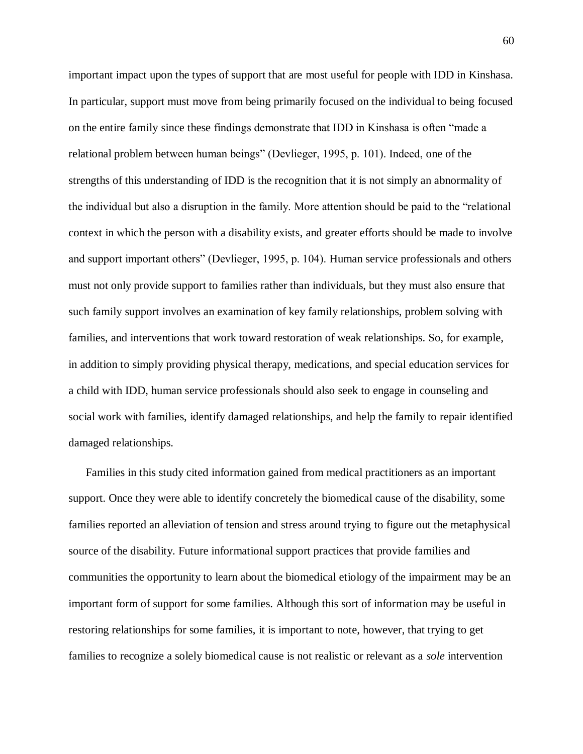important impact upon the types of support that are most useful for people with IDD in Kinshasa. In particular, support must move from being primarily focused on the individual to being focused on the entire family since these findings demonstrate that IDD in Kinshasa is often "made a relational problem between human beings" (Devlieger, 1995, p. 101). Indeed, one of the strengths of this understanding of IDD is the recognition that it is not simply an abnormality of the individual but also a disruption in the family. More attention should be paid to the "relational context in which the person with a disability exists, and greater efforts should be made to involve and support important others" (Devlieger, 1995, p. 104). Human service professionals and others must not only provide support to families rather than individuals, but they must also ensure that such family support involves an examination of key family relationships, problem solving with families, and interventions that work toward restoration of weak relationships. So, for example, in addition to simply providing physical therapy, medications, and special education services for a child with IDD, human service professionals should also seek to engage in counseling and social work with families, identify damaged relationships, and help the family to repair identified damaged relationships.

Families in this study cited information gained from medical practitioners as an important support. Once they were able to identify concretely the biomedical cause of the disability, some families reported an alleviation of tension and stress around trying to figure out the metaphysical source of the disability. Future informational support practices that provide families and communities the opportunity to learn about the biomedical etiology of the impairment may be an important form of support for some families. Although this sort of information may be useful in restoring relationships for some families, it is important to note, however, that trying to get families to recognize a solely biomedical cause is not realistic or relevant as a *sole* intervention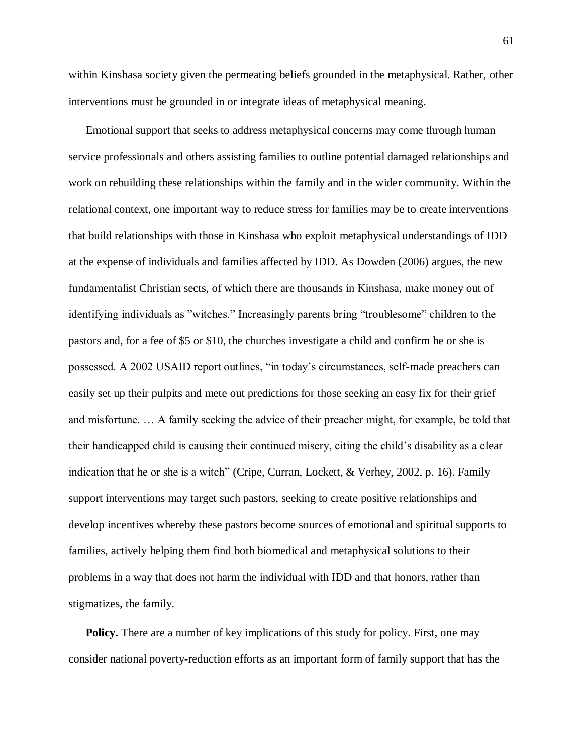within Kinshasa society given the permeating beliefs grounded in the metaphysical. Rather, other interventions must be grounded in or integrate ideas of metaphysical meaning.

Emotional support that seeks to address metaphysical concerns may come through human service professionals and others assisting families to outline potential damaged relationships and work on rebuilding these relationships within the family and in the wider community. Within the relational context, one important way to reduce stress for families may be to create interventions that build relationships with those in Kinshasa who exploit metaphysical understandings of IDD at the expense of individuals and families affected by IDD. As Dowden (2006) argues, the new fundamentalist Christian sects, of which there are thousands in Kinshasa, make money out of identifying individuals as "witches." Increasingly parents bring "troublesome" children to the pastors and, for a fee of \$5 or \$10, the churches investigate a child and confirm he or she is possessed. A 2002 USAID report outlines, "in today's circumstances, self-made preachers can easily set up their pulpits and mete out predictions for those seeking an easy fix for their grief and misfortune. … A family seeking the advice of their preacher might, for example, be told that their handicapped child is causing their continued misery, citing the child's disability as a clear indication that he or she is a witch" (Cripe, Curran, Lockett, & Verhey, 2002, p. 16). Family support interventions may target such pastors, seeking to create positive relationships and develop incentives whereby these pastors become sources of emotional and spiritual supports to families, actively helping them find both biomedical and metaphysical solutions to their problems in a way that does not harm the individual with IDD and that honors, rather than stigmatizes, the family.

**Policy.** There are a number of key implications of this study for policy. First, one may consider national poverty-reduction efforts as an important form of family support that has the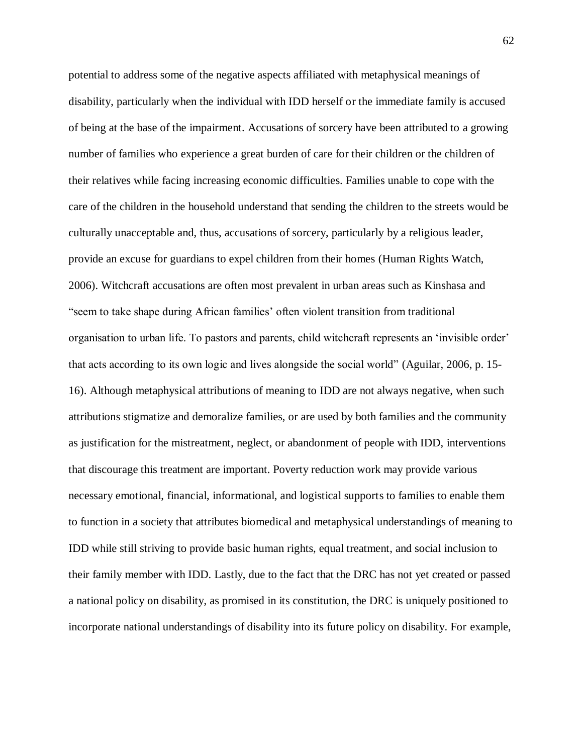potential to address some of the negative aspects affiliated with metaphysical meanings of disability, particularly when the individual with IDD herself or the immediate family is accused of being at the base of the impairment. Accusations of sorcery have been attributed to a growing number of families who experience a great burden of care for their children or the children of their relatives while facing increasing economic difficulties. Families unable to cope with the care of the children in the household understand that sending the children to the streets would be culturally unacceptable and, thus, accusations of sorcery, particularly by a religious leader, provide an excuse for guardians to expel children from their homes (Human Rights Watch, 2006). Witchcraft accusations are often most prevalent in urban areas such as Kinshasa and "seem to take shape during African families' often violent transition from traditional organisation to urban life. To pastors and parents, child witchcraft represents an 'invisible order' that acts according to its own logic and lives alongside the social world" (Aguilar, 2006, p. 15- 16). Although metaphysical attributions of meaning to IDD are not always negative, when such attributions stigmatize and demoralize families, or are used by both families and the community as justification for the mistreatment, neglect, or abandonment of people with IDD, interventions that discourage this treatment are important. Poverty reduction work may provide various necessary emotional, financial, informational, and logistical supports to families to enable them to function in a society that attributes biomedical and metaphysical understandings of meaning to IDD while still striving to provide basic human rights, equal treatment, and social inclusion to their family member with IDD. Lastly, due to the fact that the DRC has not yet created or passed a national policy on disability, as promised in its constitution, the DRC is uniquely positioned to incorporate national understandings of disability into its future policy on disability. For example,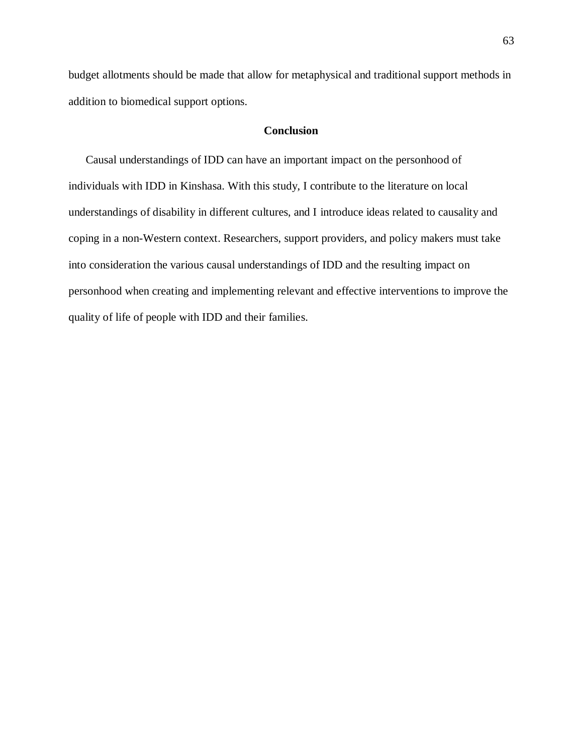budget allotments should be made that allow for metaphysical and traditional support methods in addition to biomedical support options.

## **Conclusion**

Causal understandings of IDD can have an important impact on the personhood of individuals with IDD in Kinshasa. With this study, I contribute to the literature on local understandings of disability in different cultures, and I introduce ideas related to causality and coping in a non-Western context. Researchers, support providers, and policy makers must take into consideration the various causal understandings of IDD and the resulting impact on personhood when creating and implementing relevant and effective interventions to improve the quality of life of people with IDD and their families.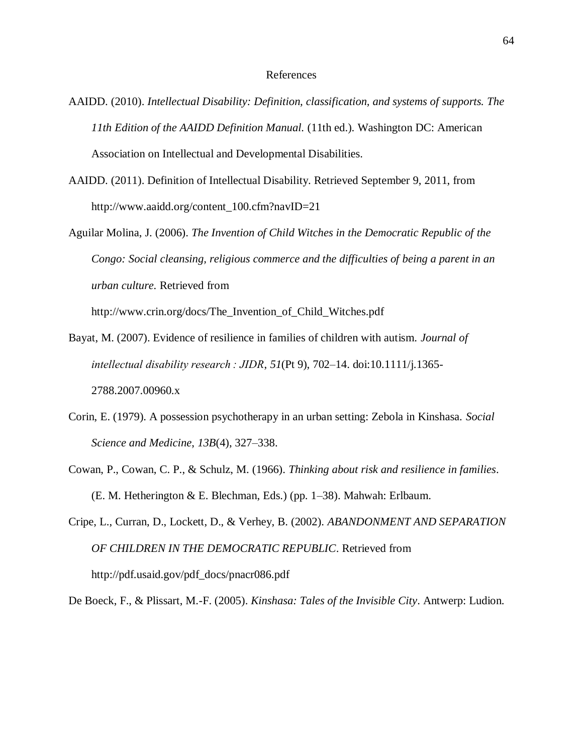### References

- AAIDD. (2010). *Intellectual Disability: Definition, classification, and systems of supports. The 11th Edition of the AAIDD Definition Manual.* (11th ed.). Washington DC: American Association on Intellectual and Developmental Disabilities.
- AAIDD. (2011). Definition of Intellectual Disability. Retrieved September 9, 2011, from http://www.aaidd.org/content\_100.cfm?navID=21
- Aguilar Molina, J. (2006). *The Invention of Child Witches in the Democratic Republic of the Congo: Social cleansing, religious commerce and the difficulties of being a parent in an urban culture.* Retrieved from http://www.crin.org/docs/The\_Invention\_of\_Child\_Witches.pdf

Bayat, M. (2007). Evidence of resilience in families of children with autism. *Journal of intellectual disability research : JIDR*, *51*(Pt 9), 702–14. doi:10.1111/j.1365- 2788.2007.00960.x

- Corin, E. (1979). A possession psychotherapy in an urban setting: Zebola in Kinshasa. *Social Science and Medicine*, *13B*(4), 327–338.
- Cowan, P., Cowan, C. P., & Schulz, M. (1966). *Thinking about risk and resilience in families*. (E. M. Hetherington & E. Blechman, Eds.) (pp. 1–38). Mahwah: Erlbaum.
- Cripe, L., Curran, D., Lockett, D., & Verhey, B. (2002). *ABANDONMENT AND SEPARATION OF CHILDREN IN THE DEMOCRATIC REPUBLIC*. Retrieved from http://pdf.usaid.gov/pdf\_docs/pnacr086.pdf

De Boeck, F., & Plissart, M.-F. (2005). *Kinshasa: Tales of the Invisible City*. Antwerp: Ludion.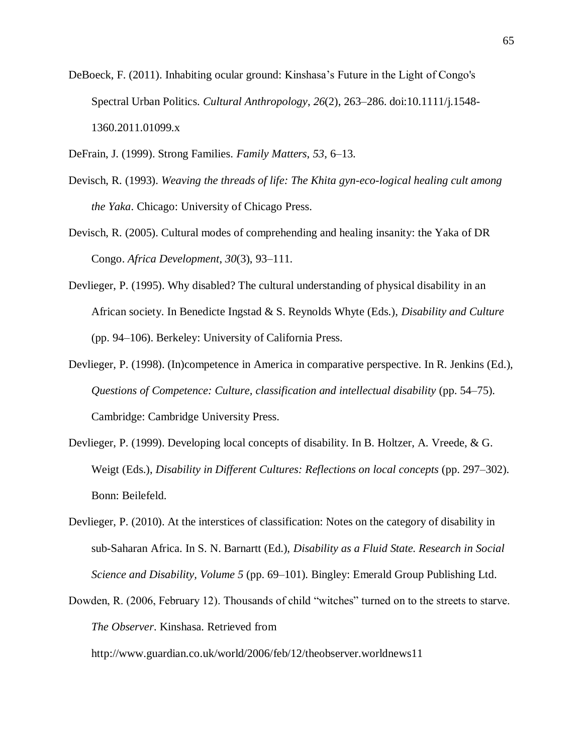- DeBoeck, F. (2011). Inhabiting ocular ground: Kinshasa's Future in the Light of Congo's Spectral Urban Politics. *Cultural Anthropology*, *26*(2), 263–286. doi:10.1111/j.1548- 1360.2011.01099.x
- DeFrain, J. (1999). Strong Families. *Family Matters*, *53*, 6–13.
- Devisch, R. (1993). *Weaving the threads of life: The Khita gyn-eco-logical healing cult among the Yaka*. Chicago: University of Chicago Press.
- Devisch, R. (2005). Cultural modes of comprehending and healing insanity: the Yaka of DR Congo. *Africa Development*, *30*(3), 93–111.
- Devlieger, P. (1995). Why disabled? The cultural understanding of physical disability in an African society. In Benedicte Ingstad & S. Reynolds Whyte (Eds.), *Disability and Culture* (pp. 94–106). Berkeley: University of California Press.
- Devlieger, P. (1998). (In)competence in America in comparative perspective. In R. Jenkins (Ed.), *Questions of Competence: Culture, classification and intellectual disability* (pp. 54–75). Cambridge: Cambridge University Press.
- Devlieger, P. (1999). Developing local concepts of disability. In B. Holtzer, A. Vreede, & G. Weigt (Eds.), *Disability in Different Cultures: Reflections on local concepts* (pp. 297–302). Bonn: Beilefeld.
- Devlieger, P. (2010). At the interstices of classification: Notes on the category of disability in sub-Saharan Africa. In S. N. Barnartt (Ed.), *Disability as a Fluid State. Research in Social Science and Disability, Volume 5* (pp. 69–101). Bingley: Emerald Group Publishing Ltd.
- Dowden, R. (2006, February 12). Thousands of child "witches" turned on to the streets to starve. *The Observer*. Kinshasa. Retrieved from

http://www.guardian.co.uk/world/2006/feb/12/theobserver.worldnews11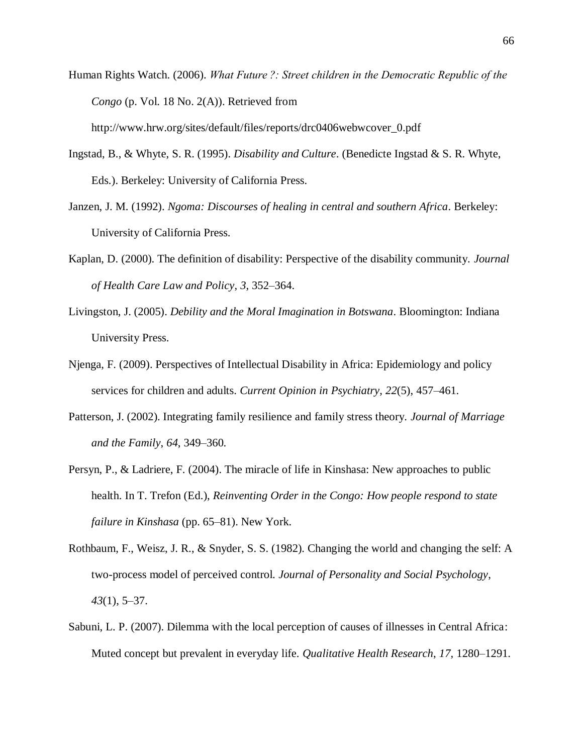- Human Rights Watch. (2006). *What Future ?: Street children in the Democratic Republic of the Congo* (p. Vol. 18 No. 2(A)). Retrieved from http://www.hrw.org/sites/default/files/reports/drc0406webwcover\_0.pdf
- Ingstad, B., & Whyte, S. R. (1995). *Disability and Culture*. (Benedicte Ingstad & S. R. Whyte, Eds.). Berkeley: University of California Press.
- Janzen, J. M. (1992). *Ngoma: Discourses of healing in central and southern Africa*. Berkeley: University of California Press.
- Kaplan, D. (2000). The definition of disability: Perspective of the disability community. *Journal of Health Care Law and Policy*, *3*, 352–364.
- Livingston, J. (2005). *Debility and the Moral Imagination in Botswana*. Bloomington: Indiana University Press.
- Njenga, F. (2009). Perspectives of Intellectual Disability in Africa: Epidemiology and policy services for children and adults. *Current Opinion in Psychiatry*, *22*(5), 457–461.
- Patterson, J. (2002). Integrating family resilience and family stress theory. *Journal of Marriage and the Family*, *64*, 349–360.
- Persyn, P., & Ladriere, F. (2004). The miracle of life in Kinshasa: New approaches to public health. In T. Trefon (Ed.), *Reinventing Order in the Congo: How people respond to state failure in Kinshasa* (pp. 65–81). New York.
- Rothbaum, F., Weisz, J. R., & Snyder, S. S. (1982). Changing the world and changing the self: A two-process model of perceived control. *Journal of Personality and Social Psychology*, *43*(1), 5–37.
- Sabuni, L. P. (2007). Dilemma with the local perception of causes of illnesses in Central Africa: Muted concept but prevalent in everyday life. *Qualitative Health Research*, *17*, 1280–1291.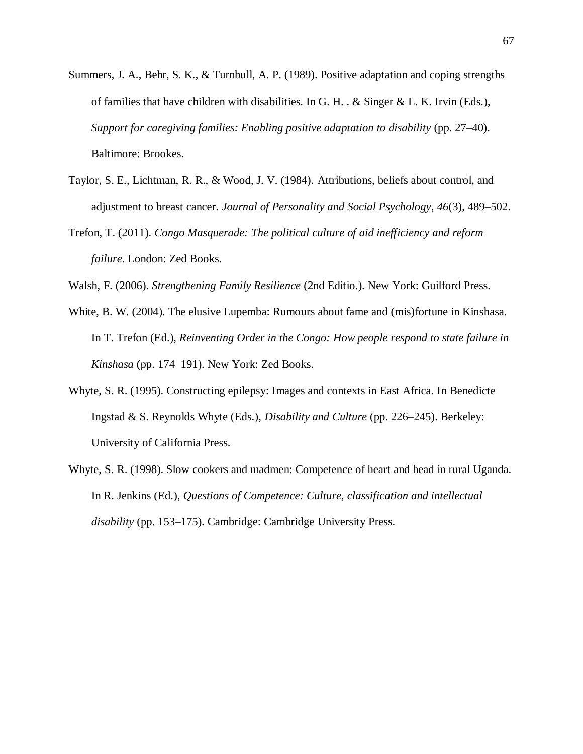- Summers, J. A., Behr, S. K., & Turnbull, A. P. (1989). Positive adaptation and coping strengths of families that have children with disabilities. In G. H. .  $&$  Singer  $&$  L. K. Irvin (Eds.), *Support for caregiving families: Enabling positive adaptation to disability* (pp. 27–40). Baltimore: Brookes.
- Taylor, S. E., Lichtman, R. R., & Wood, J. V. (1984). Attributions, beliefs about control, and adjustment to breast cancer. *Journal of Personality and Social Psychology*, *46*(3), 489–502.
- Trefon, T. (2011). *Congo Masquerade: The political culture of aid inefficiency and reform failure*. London: Zed Books.
- Walsh, F. (2006). *Strengthening Family Resilience* (2nd Editio.). New York: Guilford Press.
- White, B. W. (2004). The elusive Lupemba: Rumours about fame and (mis)fortune in Kinshasa. In T. Trefon (Ed.), *Reinventing Order in the Congo: How people respond to state failure in Kinshasa* (pp. 174–191). New York: Zed Books.
- Whyte, S. R. (1995). Constructing epilepsy: Images and contexts in East Africa. In Benedicte Ingstad & S. Reynolds Whyte (Eds.), *Disability and Culture* (pp. 226–245). Berkeley: University of California Press.
- Whyte, S. R. (1998). Slow cookers and madmen: Competence of heart and head in rural Uganda. In R. Jenkins (Ed.), *Questions of Competence: Culture, classification and intellectual disability* (pp. 153–175). Cambridge: Cambridge University Press.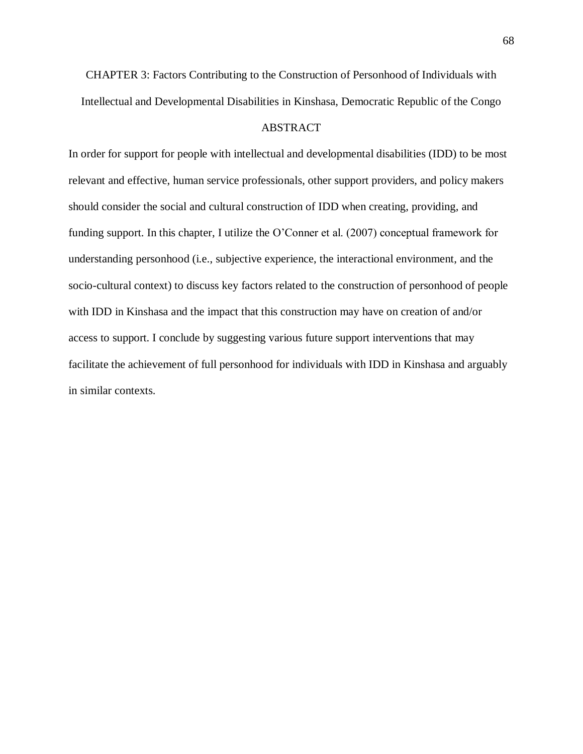CHAPTER 3: Factors Contributing to the Construction of Personhood of Individuals with Intellectual and Developmental Disabilities in Kinshasa, Democratic Republic of the Congo

# ABSTRACT

In order for support for people with intellectual and developmental disabilities (IDD) to be most relevant and effective, human service professionals, other support providers, and policy makers should consider the social and cultural construction of IDD when creating, providing, and funding support. In this chapter, I utilize the O'Conner et al. (2007) conceptual framework for understanding personhood (i.e., subjective experience, the interactional environment, and the socio-cultural context) to discuss key factors related to the construction of personhood of people with IDD in Kinshasa and the impact that this construction may have on creation of and/or access to support. I conclude by suggesting various future support interventions that may facilitate the achievement of full personhood for individuals with IDD in Kinshasa and arguably in similar contexts.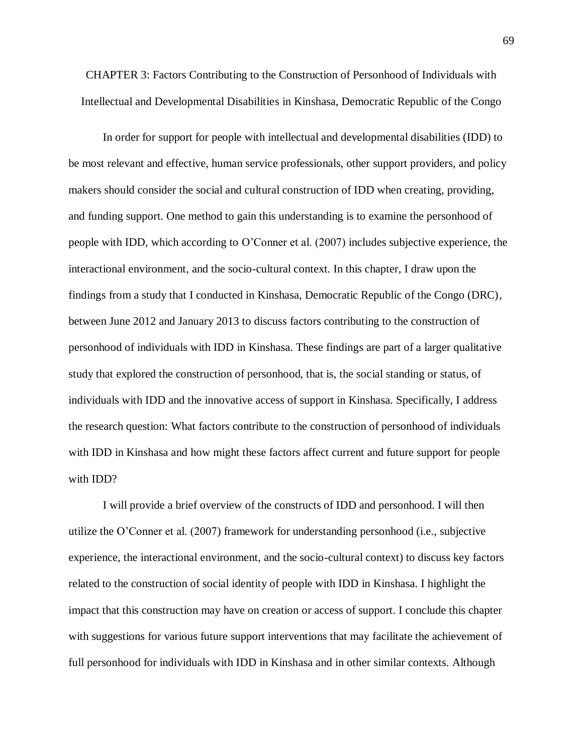CHAPTER 3: Factors Contributing to the Construction of Personhood of Individuals with Intellectual and Developmental Disabilities in Kinshasa, Democratic Republic of the Congo

In order for support for people with intellectual and developmental disabilities (IDD) to be most relevant and effective, human service professionals, other support providers, and policy makers should consider the social and cultural construction of IDD when creating, providing, and funding support. One method to gain this understanding is to examine the personhood of people with IDD, which according to O'Conner et al. (2007) includes subjective experience, the interactional environment, and the socio-cultural context. In this chapter, I draw upon the findings from a study that I conducted in Kinshasa, Democratic Republic of the Congo (DRC), between June 2012 and January 2013 to discuss factors contributing to the construction of personhood of individuals with IDD in Kinshasa. These findings are part of a larger qualitative study that explored the construction of personhood, that is, the social standing or status, of individuals with IDD and the innovative access of support in Kinshasa. Specifically, I address the research question: What factors contribute to the construction of personhood of individuals with IDD in Kinshasa and how might these factors affect current and future support for people with IDD?

I will provide a brief overview of the constructs of IDD and personhood. I will then utilize the O'Conner et al. (2007) framework for understanding personhood (i.e., subjective experience, the interactional environment, and the socio-cultural context) to discuss key factors related to the construction of social identity of people with IDD in Kinshasa. I highlight the impact that this construction may have on creation or access of support. I conclude this chapter with suggestions for various future support interventions that may facilitate the achievement of full personhood for individuals with IDD in Kinshasa and in other similar contexts. Although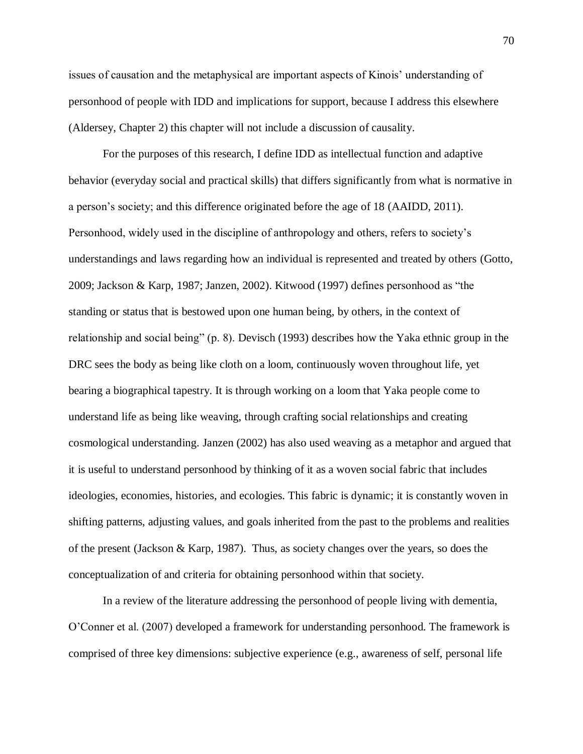issues of causation and the metaphysical are important aspects of Kinois' understanding of personhood of people with IDD and implications for support, because I address this elsewhere (Aldersey, Chapter 2) this chapter will not include a discussion of causality.

For the purposes of this research, I define IDD as intellectual function and adaptive behavior (everyday social and practical skills) that differs significantly from what is normative in a person's society; and this difference originated before the age of 18 (AAIDD, 2011). Personhood, widely used in the discipline of anthropology and others, refers to society's understandings and laws regarding how an individual is represented and treated by others (Gotto, 2009; Jackson & Karp, 1987; Janzen, 2002). Kitwood (1997) defines personhood as "the standing or status that is bestowed upon one human being, by others, in the context of relationship and social being" (p. 8). Devisch (1993) describes how the Yaka ethnic group in the DRC sees the body as being like cloth on a loom, continuously woven throughout life, yet bearing a biographical tapestry. It is through working on a loom that Yaka people come to understand life as being like weaving, through crafting social relationships and creating cosmological understanding. Janzen (2002) has also used weaving as a metaphor and argued that it is useful to understand personhood by thinking of it as a woven social fabric that includes ideologies, economies, histories, and ecologies. This fabric is dynamic; it is constantly woven in shifting patterns, adjusting values, and goals inherited from the past to the problems and realities of the present (Jackson & Karp, 1987). Thus, as society changes over the years, so does the conceptualization of and criteria for obtaining personhood within that society.

In a review of the literature addressing the personhood of people living with dementia, O'Conner et al. (2007) developed a framework for understanding personhood. The framework is comprised of three key dimensions: subjective experience (e.g., awareness of self, personal life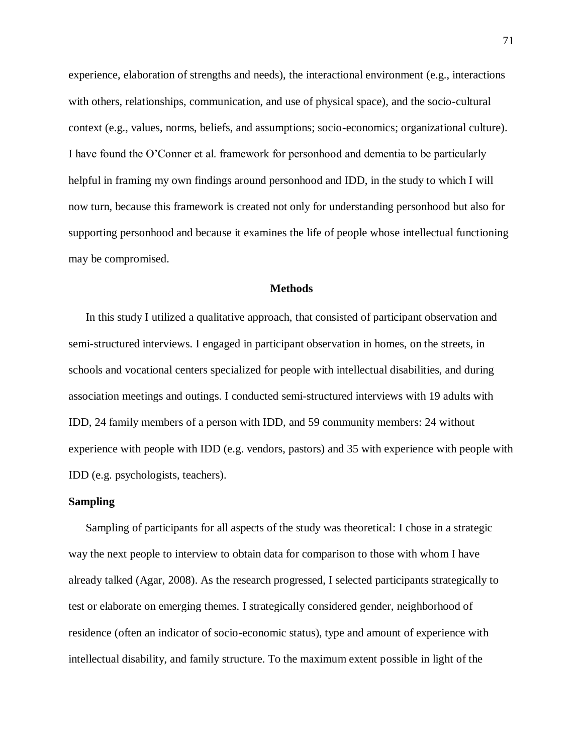experience, elaboration of strengths and needs), the interactional environment (e.g., interactions with others, relationships, communication, and use of physical space), and the socio-cultural context (e.g., values, norms, beliefs, and assumptions; socio-economics; organizational culture). I have found the O'Conner et al. framework for personhood and dementia to be particularly helpful in framing my own findings around personhood and IDD, in the study to which I will now turn, because this framework is created not only for understanding personhood but also for supporting personhood and because it examines the life of people whose intellectual functioning may be compromised.

# **Methods**

In this study I utilized a qualitative approach, that consisted of participant observation and semi-structured interviews. I engaged in participant observation in homes, on the streets, in schools and vocational centers specialized for people with intellectual disabilities, and during association meetings and outings. I conducted semi-structured interviews with 19 adults with IDD, 24 family members of a person with IDD, and 59 community members: 24 without experience with people with IDD (e.g. vendors, pastors) and 35 with experience with people with IDD (e.g. psychologists, teachers).

## **Sampling**

Sampling of participants for all aspects of the study was theoretical: I chose in a strategic way the next people to interview to obtain data for comparison to those with whom I have already talked (Agar, 2008). As the research progressed, I selected participants strategically to test or elaborate on emerging themes. I strategically considered gender, neighborhood of residence (often an indicator of socio-economic status), type and amount of experience with intellectual disability, and family structure. To the maximum extent possible in light of the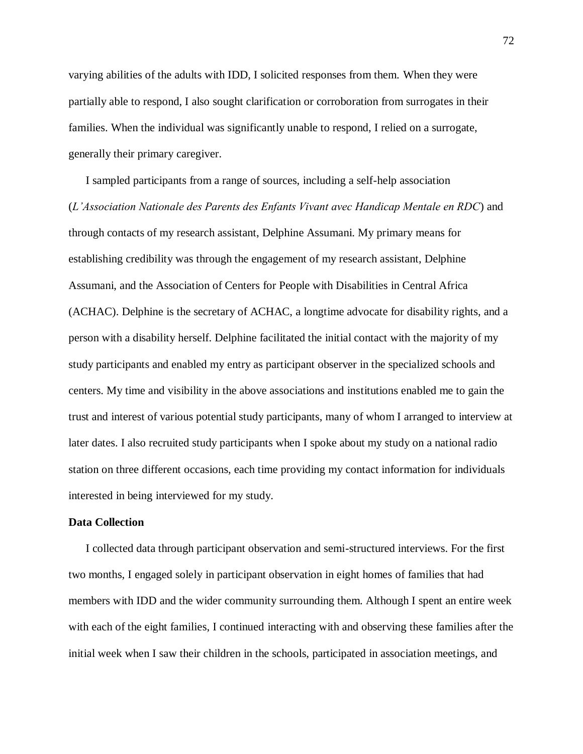varying abilities of the adults with IDD, I solicited responses from them. When they were partially able to respond, I also sought clarification or corroboration from surrogates in their families. When the individual was significantly unable to respond, I relied on a surrogate, generally their primary caregiver.

I sampled participants from a range of sources, including a self-help association (*L'Association Nationale des Parents des Enfants Vivant avec Handicap Mentale en RDC*) and through contacts of my research assistant, Delphine Assumani. My primary means for establishing credibility was through the engagement of my research assistant, Delphine Assumani, and the Association of Centers for People with Disabilities in Central Africa (ACHAC). Delphine is the secretary of ACHAC, a longtime advocate for disability rights, and a person with a disability herself. Delphine facilitated the initial contact with the majority of my study participants and enabled my entry as participant observer in the specialized schools and centers. My time and visibility in the above associations and institutions enabled me to gain the trust and interest of various potential study participants, many of whom I arranged to interview at later dates. I also recruited study participants when I spoke about my study on a national radio station on three different occasions, each time providing my contact information for individuals interested in being interviewed for my study.

### **Data Collection**

I collected data through participant observation and semi-structured interviews. For the first two months, I engaged solely in participant observation in eight homes of families that had members with IDD and the wider community surrounding them. Although I spent an entire week with each of the eight families, I continued interacting with and observing these families after the initial week when I saw their children in the schools, participated in association meetings, and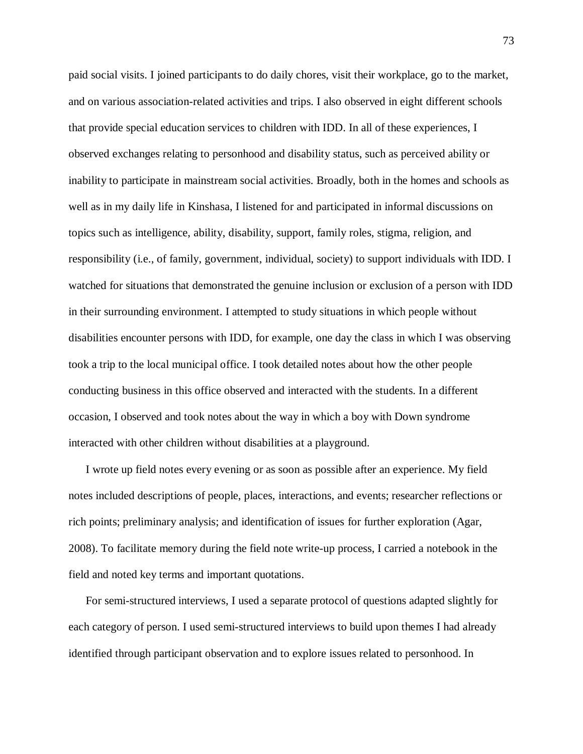paid social visits. I joined participants to do daily chores, visit their workplace, go to the market, and on various association-related activities and trips. I also observed in eight different schools that provide special education services to children with IDD. In all of these experiences, I observed exchanges relating to personhood and disability status, such as perceived ability or inability to participate in mainstream social activities. Broadly, both in the homes and schools as well as in my daily life in Kinshasa, I listened for and participated in informal discussions on topics such as intelligence, ability, disability, support, family roles, stigma, religion, and responsibility (i.e., of family, government, individual, society) to support individuals with IDD. I watched for situations that demonstrated the genuine inclusion or exclusion of a person with IDD in their surrounding environment. I attempted to study situations in which people without disabilities encounter persons with IDD, for example, one day the class in which I was observing took a trip to the local municipal office. I took detailed notes about how the other people conducting business in this office observed and interacted with the students. In a different occasion, I observed and took notes about the way in which a boy with Down syndrome interacted with other children without disabilities at a playground.

I wrote up field notes every evening or as soon as possible after an experience. My field notes included descriptions of people, places, interactions, and events; researcher reflections or rich points; preliminary analysis; and identification of issues for further exploration (Agar, 2008). To facilitate memory during the field note write-up process, I carried a notebook in the field and noted key terms and important quotations.

For semi-structured interviews, I used a separate protocol of questions adapted slightly for each category of person. I used semi-structured interviews to build upon themes I had already identified through participant observation and to explore issues related to personhood. In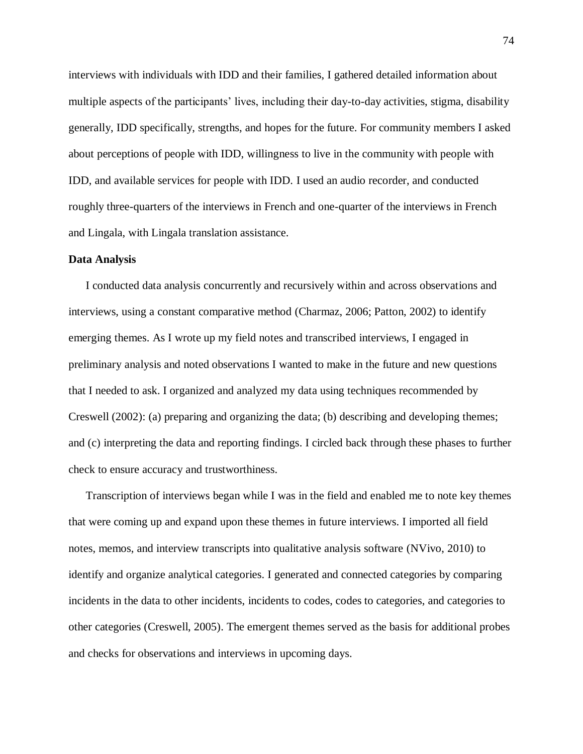interviews with individuals with IDD and their families, I gathered detailed information about multiple aspects of the participants' lives, including their day-to-day activities, stigma, disability generally, IDD specifically, strengths, and hopes for the future. For community members I asked about perceptions of people with IDD, willingness to live in the community with people with IDD, and available services for people with IDD. I used an audio recorder, and conducted roughly three-quarters of the interviews in French and one-quarter of the interviews in French and Lingala, with Lingala translation assistance.

### **Data Analysis**

I conducted data analysis concurrently and recursively within and across observations and interviews, using a constant comparative method (Charmaz, 2006; Patton, 2002) to identify emerging themes. As I wrote up my field notes and transcribed interviews, I engaged in preliminary analysis and noted observations I wanted to make in the future and new questions that I needed to ask. I organized and analyzed my data using techniques recommended by Creswell (2002): (a) preparing and organizing the data; (b) describing and developing themes; and (c) interpreting the data and reporting findings. I circled back through these phases to further check to ensure accuracy and trustworthiness.

Transcription of interviews began while I was in the field and enabled me to note key themes that were coming up and expand upon these themes in future interviews. I imported all field notes, memos, and interview transcripts into qualitative analysis software (NVivo, 2010) to identify and organize analytical categories. I generated and connected categories by comparing incidents in the data to other incidents, incidents to codes, codes to categories, and categories to other categories (Creswell, 2005). The emergent themes served as the basis for additional probes and checks for observations and interviews in upcoming days.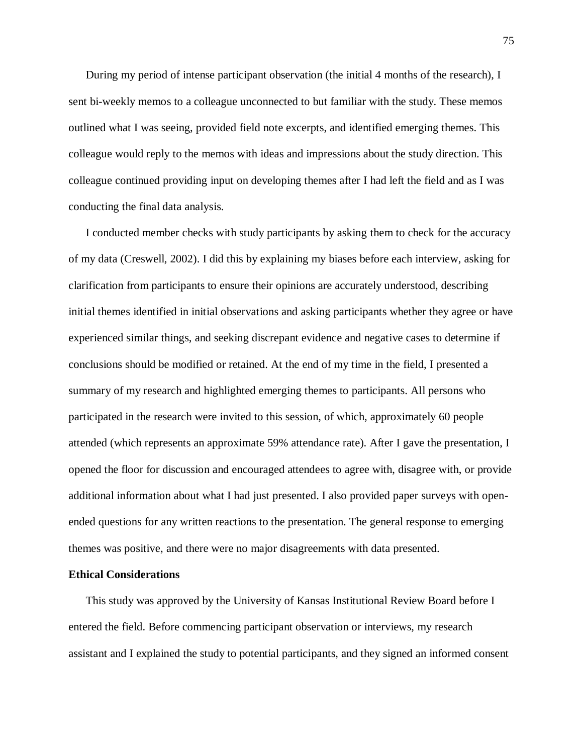During my period of intense participant observation (the initial 4 months of the research), I sent bi-weekly memos to a colleague unconnected to but familiar with the study. These memos outlined what I was seeing, provided field note excerpts, and identified emerging themes. This colleague would reply to the memos with ideas and impressions about the study direction. This colleague continued providing input on developing themes after I had left the field and as I was conducting the final data analysis.

I conducted member checks with study participants by asking them to check for the accuracy of my data (Creswell, 2002). I did this by explaining my biases before each interview, asking for clarification from participants to ensure their opinions are accurately understood, describing initial themes identified in initial observations and asking participants whether they agree or have experienced similar things, and seeking discrepant evidence and negative cases to determine if conclusions should be modified or retained. At the end of my time in the field, I presented a summary of my research and highlighted emerging themes to participants. All persons who participated in the research were invited to this session, of which, approximately 60 people attended (which represents an approximate 59% attendance rate). After I gave the presentation, I opened the floor for discussion and encouraged attendees to agree with, disagree with, or provide additional information about what I had just presented. I also provided paper surveys with openended questions for any written reactions to the presentation. The general response to emerging themes was positive, and there were no major disagreements with data presented.

### **Ethical Considerations**

This study was approved by the University of Kansas Institutional Review Board before I entered the field. Before commencing participant observation or interviews, my research assistant and I explained the study to potential participants, and they signed an informed consent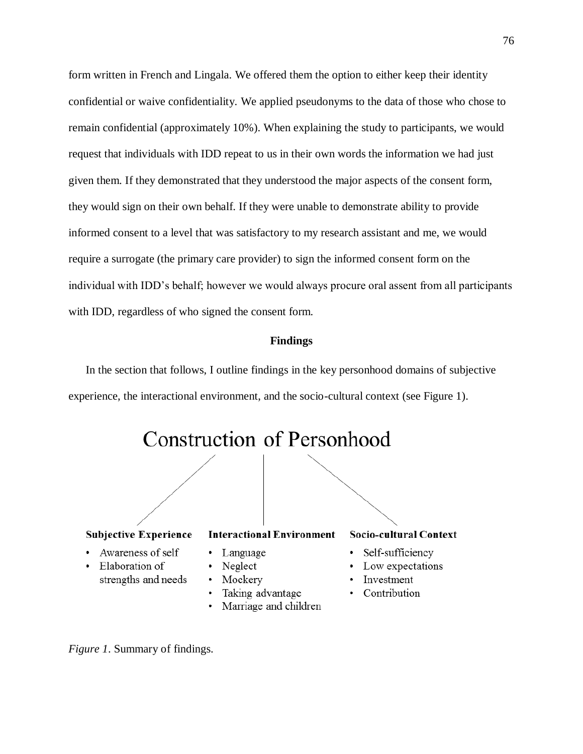form written in French and Lingala. We offered them the option to either keep their identity confidential or waive confidentiality. We applied pseudonyms to the data of those who chose to remain confidential (approximately 10%). When explaining the study to participants, we would request that individuals with IDD repeat to us in their own words the information we had just given them. If they demonstrated that they understood the major aspects of the consent form, they would sign on their own behalf. If they were unable to demonstrate ability to provide informed consent to a level that was satisfactory to my research assistant and me, we would require a surrogate (the primary care provider) to sign the informed consent form on the individual with IDD's behalf; however we would always procure oral assent from all participants with IDD, regardless of who signed the consent form.

## **Findings**

In the section that follows, I outline findings in the key personhood domains of subjective experience, the interactional environment, and the socio-cultural context (see Figure 1).



- · Elaboration of strengths and needs
- Neglect
- Mockery  $\bullet$
- Taking advantage
- Marriage and children

- Low expectations
- Investment
- Contribution

*Figure 1*. Summary of findings.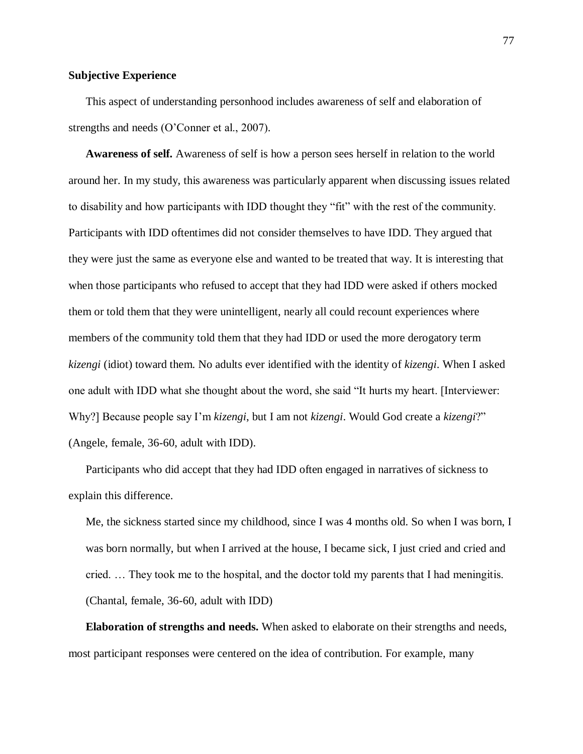# **Subjective Experience**

This aspect of understanding personhood includes awareness of self and elaboration of strengths and needs (O'Conner et al., 2007).

**Awareness of self.** Awareness of self is how a person sees herself in relation to the world around her. In my study, this awareness was particularly apparent when discussing issues related to disability and how participants with IDD thought they "fit" with the rest of the community. Participants with IDD oftentimes did not consider themselves to have IDD. They argued that they were just the same as everyone else and wanted to be treated that way. It is interesting that when those participants who refused to accept that they had IDD were asked if others mocked them or told them that they were unintelligent, nearly all could recount experiences where members of the community told them that they had IDD or used the more derogatory term *kizengi* (idiot) toward them. No adults ever identified with the identity of *kizengi*. When I asked one adult with IDD what she thought about the word, she said "It hurts my heart. [Interviewer: Why?] Because people say I'm *kizengi*, but I am not *kizengi*. Would God create a *kizengi*?" (Angele, female, 36-60, adult with IDD).

Participants who did accept that they had IDD often engaged in narratives of sickness to explain this difference.

Me, the sickness started since my childhood, since I was 4 months old. So when I was born, I was born normally, but when I arrived at the house, I became sick, I just cried and cried and cried. … They took me to the hospital, and the doctor told my parents that I had meningitis. (Chantal, female, 36-60, adult with IDD)

**Elaboration of strengths and needs.** When asked to elaborate on their strengths and needs, most participant responses were centered on the idea of contribution. For example, many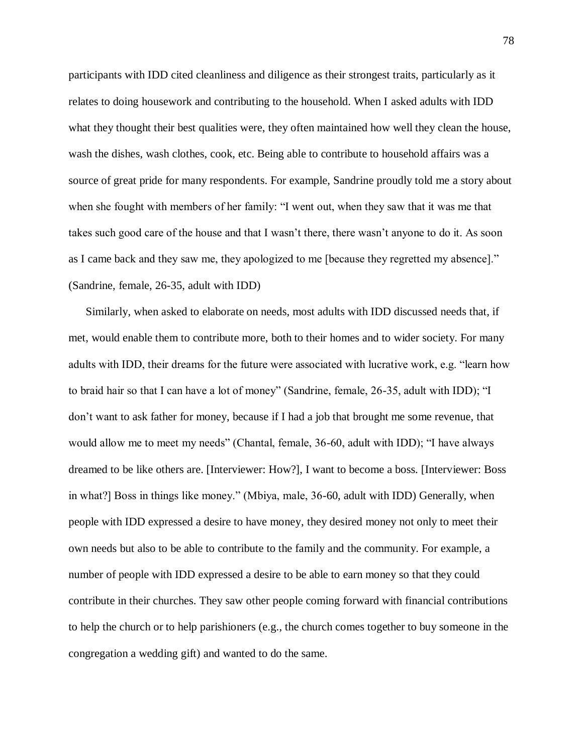participants with IDD cited cleanliness and diligence as their strongest traits, particularly as it relates to doing housework and contributing to the household. When I asked adults with IDD what they thought their best qualities were, they often maintained how well they clean the house, wash the dishes, wash clothes, cook, etc. Being able to contribute to household affairs was a source of great pride for many respondents. For example, Sandrine proudly told me a story about when she fought with members of her family: "I went out, when they saw that it was me that takes such good care of the house and that I wasn't there, there wasn't anyone to do it. As soon as I came back and they saw me, they apologized to me [because they regretted my absence]." (Sandrine, female, 26-35, adult with IDD)

Similarly, when asked to elaborate on needs, most adults with IDD discussed needs that, if met, would enable them to contribute more, both to their homes and to wider society. For many adults with IDD, their dreams for the future were associated with lucrative work, e.g. "learn how to braid hair so that I can have a lot of money" (Sandrine, female, 26-35, adult with IDD); "I don't want to ask father for money, because if I had a job that brought me some revenue, that would allow me to meet my needs" (Chantal, female, 36-60, adult with IDD); "I have always dreamed to be like others are. [Interviewer: How?], I want to become a boss. [Interviewer: Boss in what?] Boss in things like money." (Mbiya, male, 36-60, adult with IDD) Generally, when people with IDD expressed a desire to have money, they desired money not only to meet their own needs but also to be able to contribute to the family and the community. For example, a number of people with IDD expressed a desire to be able to earn money so that they could contribute in their churches. They saw other people coming forward with financial contributions to help the church or to help parishioners (e.g., the church comes together to buy someone in the congregation a wedding gift) and wanted to do the same.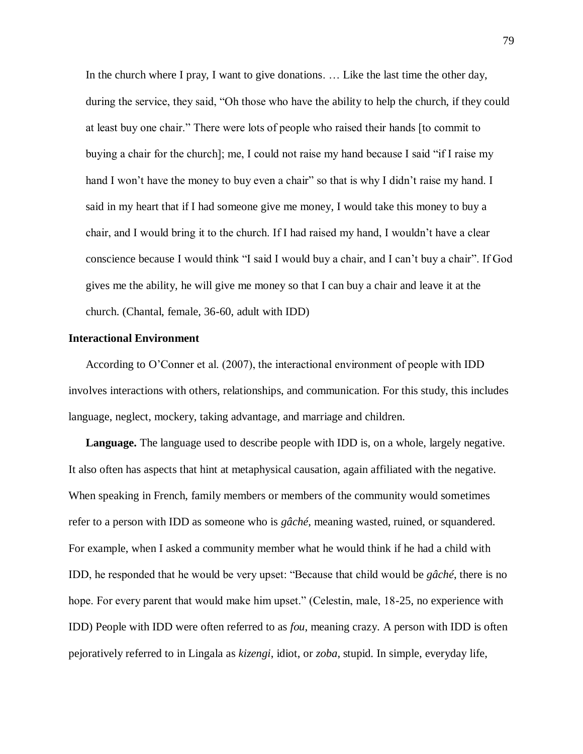In the church where I pray, I want to give donations. ... Like the last time the other day, during the service, they said, "Oh those who have the ability to help the church, if they could at least buy one chair." There were lots of people who raised their hands [to commit to buying a chair for the church]; me, I could not raise my hand because I said "if I raise my hand I won't have the money to buy even a chair" so that is why I didn't raise my hand. I said in my heart that if I had someone give me money, I would take this money to buy a chair, and I would bring it to the church. If I had raised my hand, I wouldn't have a clear conscience because I would think "I said I would buy a chair, and I can't buy a chair". If God gives me the ability, he will give me money so that I can buy a chair and leave it at the church. (Chantal, female, 36-60, adult with IDD)

### **Interactional Environment**

According to O'Conner et al. (2007), the interactional environment of people with IDD involves interactions with others, relationships, and communication. For this study, this includes language, neglect, mockery, taking advantage, and marriage and children.

**Language.** The language used to describe people with IDD is, on a whole, largely negative. It also often has aspects that hint at metaphysical causation, again affiliated with the negative. When speaking in French, family members or members of the community would sometimes refer to a person with IDD as someone who is *gâché*, meaning wasted, ruined, or squandered. For example, when I asked a community member what he would think if he had a child with IDD, he responded that he would be very upset: "Because that child would be *gâché*, there is no hope. For every parent that would make him upset." (Celestin, male, 18-25, no experience with IDD) People with IDD were often referred to as *fou*, meaning crazy. A person with IDD is often pejoratively referred to in Lingala as *kizengi*, idiot, or *zoba*, stupid. In simple, everyday life,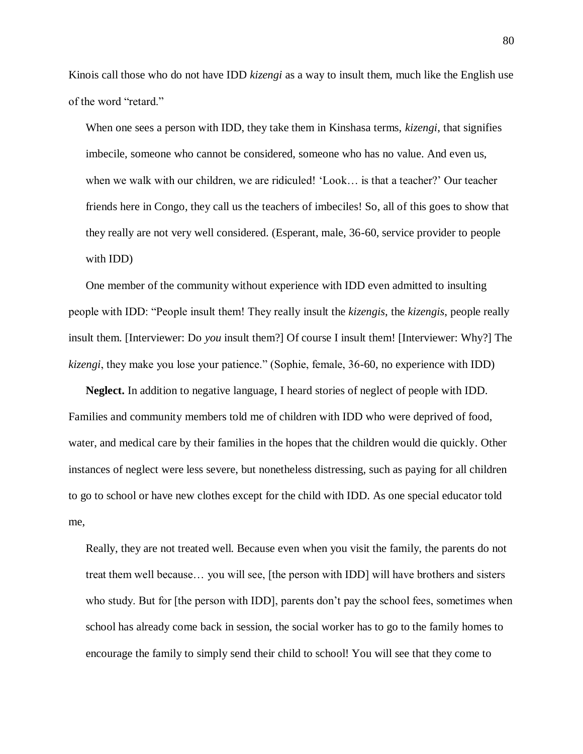Kinois call those who do not have IDD *kizengi* as a way to insult them, much like the English use of the word "retard."

When one sees a person with IDD, they take them in Kinshasa terms, *kizengi*, that signifies imbecile, someone who cannot be considered, someone who has no value. And even us, when we walk with our children, we are ridiculed! 'Look… is that a teacher?' Our teacher friends here in Congo, they call us the teachers of imbeciles! So, all of this goes to show that they really are not very well considered. (Esperant, male, 36-60, service provider to people with IDD)

One member of the community without experience with IDD even admitted to insulting people with IDD: "People insult them! They really insult the *kizengis*, the *kizengis*, people really insult them. [Interviewer: Do *you* insult them?] Of course I insult them! [Interviewer: Why?] The *kizengi*, they make you lose your patience." (Sophie, female, 36-60, no experience with IDD)

**Neglect.** In addition to negative language, I heard stories of neglect of people with IDD. Families and community members told me of children with IDD who were deprived of food, water, and medical care by their families in the hopes that the children would die quickly. Other instances of neglect were less severe, but nonetheless distressing, such as paying for all children to go to school or have new clothes except for the child with IDD. As one special educator told me,

Really, they are not treated well. Because even when you visit the family, the parents do not treat them well because… you will see, [the person with IDD] will have brothers and sisters who study. But for [the person with IDD], parents don't pay the school fees, sometimes when school has already come back in session, the social worker has to go to the family homes to encourage the family to simply send their child to school! You will see that they come to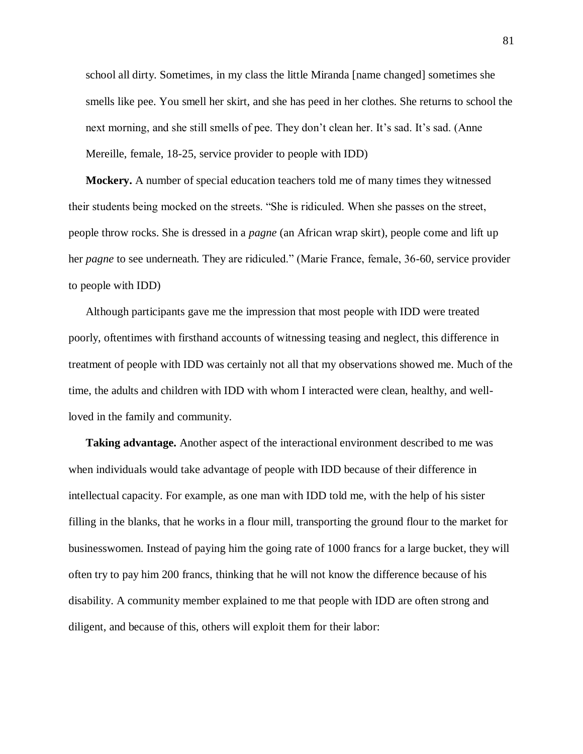school all dirty. Sometimes, in my class the little Miranda [name changed] sometimes she smells like pee. You smell her skirt, and she has peed in her clothes. She returns to school the next morning, and she still smells of pee. They don't clean her. It's sad. It's sad. (Anne Mereille, female, 18-25, service provider to people with IDD)

**Mockery.** A number of special education teachers told me of many times they witnessed their students being mocked on the streets. "She is ridiculed. When she passes on the street, people throw rocks. She is dressed in a *pagne* (an African wrap skirt), people come and lift up her *pagne* to see underneath. They are ridiculed." (Marie France, female, 36-60, service provider to people with IDD)

Although participants gave me the impression that most people with IDD were treated poorly, oftentimes with firsthand accounts of witnessing teasing and neglect, this difference in treatment of people with IDD was certainly not all that my observations showed me. Much of the time, the adults and children with IDD with whom I interacted were clean, healthy, and wellloved in the family and community.

**Taking advantage.** Another aspect of the interactional environment described to me was when individuals would take advantage of people with IDD because of their difference in intellectual capacity. For example, as one man with IDD told me, with the help of his sister filling in the blanks, that he works in a flour mill, transporting the ground flour to the market for businesswomen. Instead of paying him the going rate of 1000 francs for a large bucket, they will often try to pay him 200 francs, thinking that he will not know the difference because of his disability. A community member explained to me that people with IDD are often strong and diligent, and because of this, others will exploit them for their labor: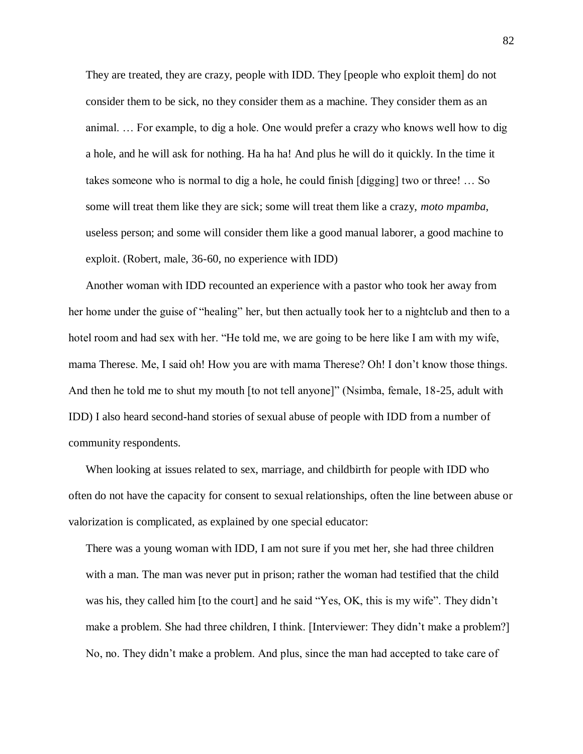They are treated, they are crazy, people with IDD. They [people who exploit them] do not consider them to be sick, no they consider them as a machine. They consider them as an animal. … For example, to dig a hole. One would prefer a crazy who knows well how to dig a hole, and he will ask for nothing. Ha ha ha! And plus he will do it quickly. In the time it takes someone who is normal to dig a hole, he could finish [digging] two or three! … So some will treat them like they are sick; some will treat them like a crazy, *moto mpamba*, useless person; and some will consider them like a good manual laborer, a good machine to exploit. (Robert, male, 36-60, no experience with IDD)

Another woman with IDD recounted an experience with a pastor who took her away from her home under the guise of "healing" her, but then actually took her to a nightclub and then to a hotel room and had sex with her. "He told me, we are going to be here like I am with my wife, mama Therese. Me, I said oh! How you are with mama Therese? Oh! I don't know those things. And then he told me to shut my mouth [to not tell anyone]" (Nsimba, female, 18-25, adult with IDD) I also heard second-hand stories of sexual abuse of people with IDD from a number of community respondents.

When looking at issues related to sex, marriage, and childbirth for people with IDD who often do not have the capacity for consent to sexual relationships, often the line between abuse or valorization is complicated, as explained by one special educator:

There was a young woman with IDD, I am not sure if you met her, she had three children with a man. The man was never put in prison; rather the woman had testified that the child was his, they called him [to the court] and he said "Yes, OK, this is my wife". They didn't make a problem. She had three children, I think. [Interviewer: They didn't make a problem?] No, no. They didn't make a problem. And plus, since the man had accepted to take care of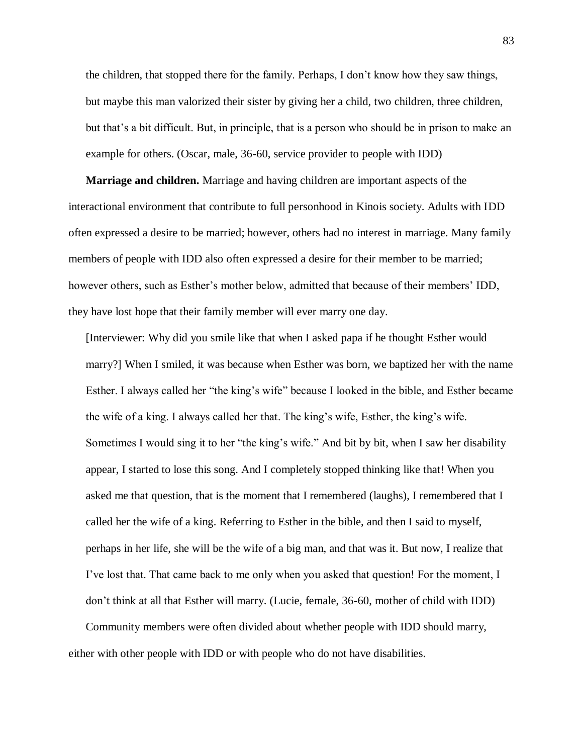the children, that stopped there for the family. Perhaps, I don't know how they saw things, but maybe this man valorized their sister by giving her a child, two children, three children, but that's a bit difficult. But, in principle, that is a person who should be in prison to make an example for others. (Oscar, male, 36-60, service provider to people with IDD)

**Marriage and children.** Marriage and having children are important aspects of the interactional environment that contribute to full personhood in Kinois society. Adults with IDD often expressed a desire to be married; however, others had no interest in marriage. Many family members of people with IDD also often expressed a desire for their member to be married; however others, such as Esther's mother below, admitted that because of their members' IDD, they have lost hope that their family member will ever marry one day.

[Interviewer: Why did you smile like that when I asked papa if he thought Esther would marry?] When I smiled, it was because when Esther was born, we baptized her with the name Esther. I always called her "the king's wife" because I looked in the bible, and Esther became the wife of a king. I always called her that. The king's wife, Esther, the king's wife. Sometimes I would sing it to her "the king's wife." And bit by bit, when I saw her disability appear, I started to lose this song. And I completely stopped thinking like that! When you asked me that question, that is the moment that I remembered (laughs), I remembered that I called her the wife of a king. Referring to Esther in the bible, and then I said to myself, perhaps in her life, she will be the wife of a big man, and that was it. But now, I realize that I've lost that. That came back to me only when you asked that question! For the moment, I don't think at all that Esther will marry. (Lucie, female, 36-60, mother of child with IDD)

Community members were often divided about whether people with IDD should marry, either with other people with IDD or with people who do not have disabilities.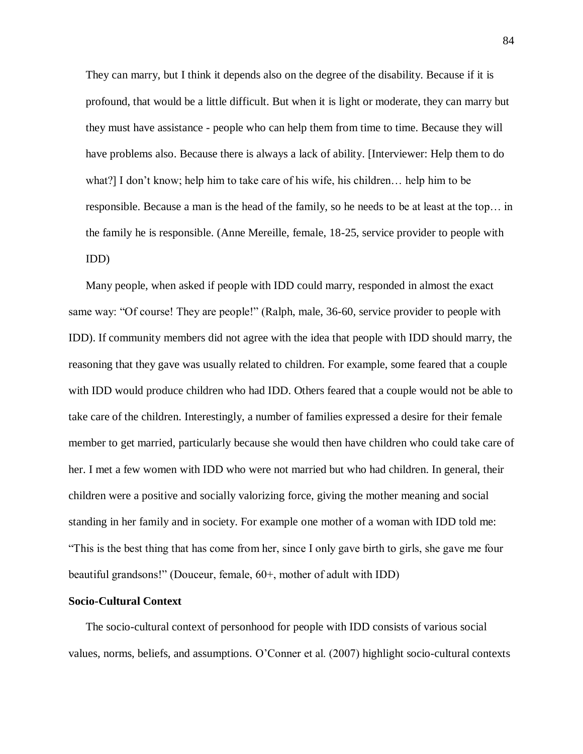They can marry, but I think it depends also on the degree of the disability. Because if it is profound, that would be a little difficult. But when it is light or moderate, they can marry but they must have assistance - people who can help them from time to time. Because they will have problems also. Because there is always a lack of ability. [Interviewer: Help them to do what?] I don't know; help him to take care of his wife, his children… help him to be responsible. Because a man is the head of the family, so he needs to be at least at the top… in the family he is responsible. (Anne Mereille, female, 18-25, service provider to people with IDD)

Many people, when asked if people with IDD could marry, responded in almost the exact same way: "Of course! They are people!" (Ralph, male, 36-60, service provider to people with IDD). If community members did not agree with the idea that people with IDD should marry, the reasoning that they gave was usually related to children. For example, some feared that a couple with IDD would produce children who had IDD. Others feared that a couple would not be able to take care of the children. Interestingly, a number of families expressed a desire for their female member to get married, particularly because she would then have children who could take care of her. I met a few women with IDD who were not married but who had children. In general, their children were a positive and socially valorizing force, giving the mother meaning and social standing in her family and in society. For example one mother of a woman with IDD told me: "This is the best thing that has come from her, since I only gave birth to girls, she gave me four beautiful grandsons!" (Douceur, female, 60+, mother of adult with IDD)

### **Socio-Cultural Context**

The socio-cultural context of personhood for people with IDD consists of various social values, norms, beliefs, and assumptions. O'Conner et al. (2007) highlight socio-cultural contexts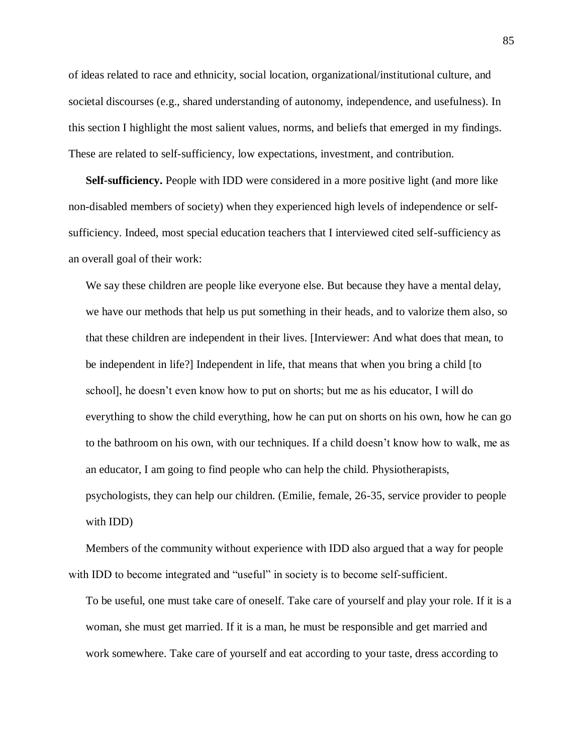of ideas related to race and ethnicity, social location, organizational/institutional culture, and societal discourses (e.g., shared understanding of autonomy, independence, and usefulness). In this section I highlight the most salient values, norms, and beliefs that emerged in my findings. These are related to self-sufficiency, low expectations, investment, and contribution.

**Self-sufficiency.** People with IDD were considered in a more positive light (and more like non-disabled members of society) when they experienced high levels of independence or selfsufficiency. Indeed, most special education teachers that I interviewed cited self-sufficiency as an overall goal of their work:

We say these children are people like everyone else. But because they have a mental delay, we have our methods that help us put something in their heads, and to valorize them also, so that these children are independent in their lives. [Interviewer: And what does that mean, to be independent in life?] Independent in life, that means that when you bring a child [to school], he doesn't even know how to put on shorts; but me as his educator, I will do everything to show the child everything, how he can put on shorts on his own, how he can go to the bathroom on his own, with our techniques. If a child doesn't know how to walk, me as an educator, I am going to find people who can help the child. Physiotherapists, psychologists, they can help our children. (Emilie, female, 26-35, service provider to people with IDD)

Members of the community without experience with IDD also argued that a way for people with IDD to become integrated and "useful" in society is to become self-sufficient.

To be useful, one must take care of oneself. Take care of yourself and play your role. If it is a woman, she must get married. If it is a man, he must be responsible and get married and work somewhere. Take care of yourself and eat according to your taste, dress according to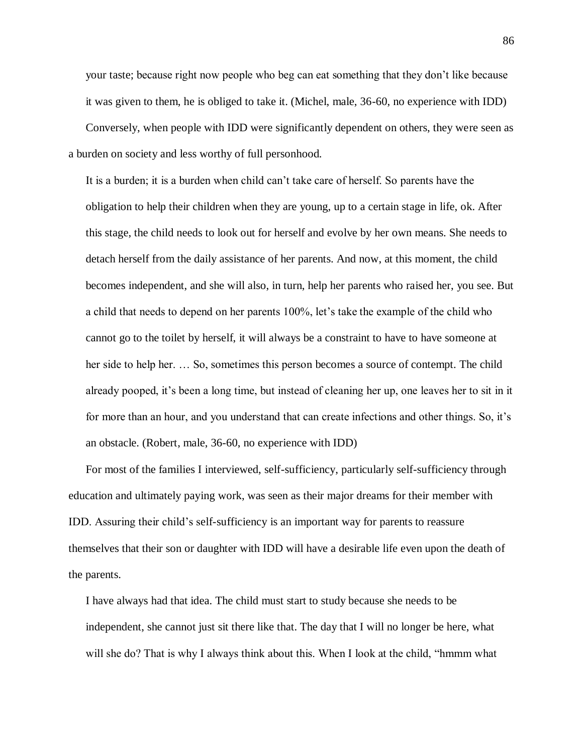your taste; because right now people who beg can eat something that they don't like because it was given to them, he is obliged to take it. (Michel, male, 36-60, no experience with IDD) Conversely, when people with IDD were significantly dependent on others, they were seen as a burden on society and less worthy of full personhood.

It is a burden; it is a burden when child can't take care of herself. So parents have the obligation to help their children when they are young, up to a certain stage in life, ok. After this stage, the child needs to look out for herself and evolve by her own means. She needs to detach herself from the daily assistance of her parents. And now, at this moment, the child becomes independent, and she will also, in turn, help her parents who raised her, you see. But a child that needs to depend on her parents 100%, let's take the example of the child who cannot go to the toilet by herself, it will always be a constraint to have to have someone at her side to help her. … So, sometimes this person becomes a source of contempt. The child already pooped, it's been a long time, but instead of cleaning her up, one leaves her to sit in it for more than an hour, and you understand that can create infections and other things. So, it's an obstacle. (Robert, male, 36-60, no experience with IDD)

For most of the families I interviewed, self-sufficiency, particularly self-sufficiency through education and ultimately paying work, was seen as their major dreams for their member with IDD. Assuring their child's self-sufficiency is an important way for parents to reassure themselves that their son or daughter with IDD will have a desirable life even upon the death of the parents.

I have always had that idea. The child must start to study because she needs to be independent, she cannot just sit there like that. The day that I will no longer be here, what will she do? That is why I always think about this. When I look at the child, "hmmm what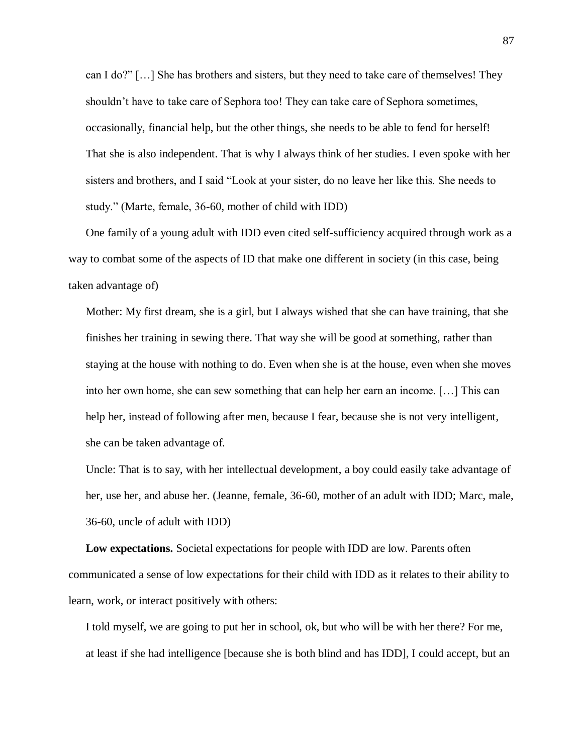can I do?" […] She has brothers and sisters, but they need to take care of themselves! They shouldn't have to take care of Sephora too! They can take care of Sephora sometimes, occasionally, financial help, but the other things, she needs to be able to fend for herself! That she is also independent. That is why I always think of her studies. I even spoke with her sisters and brothers, and I said "Look at your sister, do no leave her like this. She needs to study." (Marte, female, 36-60, mother of child with IDD)

One family of a young adult with IDD even cited self-sufficiency acquired through work as a way to combat some of the aspects of ID that make one different in society (in this case, being taken advantage of)

Mother: My first dream, she is a girl, but I always wished that she can have training, that she finishes her training in sewing there. That way she will be good at something, rather than staying at the house with nothing to do. Even when she is at the house, even when she moves into her own home, she can sew something that can help her earn an income. […] This can help her, instead of following after men, because I fear, because she is not very intelligent, she can be taken advantage of.

Uncle: That is to say, with her intellectual development, a boy could easily take advantage of her, use her, and abuse her. (Jeanne, female, 36-60, mother of an adult with IDD; Marc, male, 36-60, uncle of adult with IDD)

**Low expectations.** Societal expectations for people with IDD are low. Parents often communicated a sense of low expectations for their child with IDD as it relates to their ability to learn, work, or interact positively with others:

I told myself, we are going to put her in school, ok, but who will be with her there? For me, at least if she had intelligence [because she is both blind and has IDD], I could accept, but an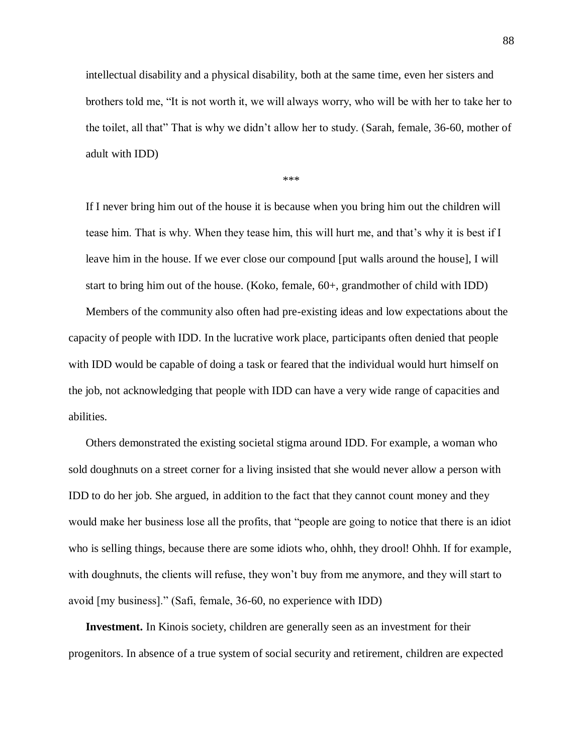intellectual disability and a physical disability, both at the same time, even her sisters and brothers told me, "It is not worth it, we will always worry, who will be with her to take her to the toilet, all that" That is why we didn't allow her to study. (Sarah, female, 36-60, mother of adult with IDD)

\*\*\*

If I never bring him out of the house it is because when you bring him out the children will tease him. That is why. When they tease him, this will hurt me, and that's why it is best if I leave him in the house. If we ever close our compound [put walls around the house], I will start to bring him out of the house. (Koko, female, 60+, grandmother of child with IDD)

Members of the community also often had pre-existing ideas and low expectations about the capacity of people with IDD. In the lucrative work place, participants often denied that people with IDD would be capable of doing a task or feared that the individual would hurt himself on the job, not acknowledging that people with IDD can have a very wide range of capacities and abilities.

Others demonstrated the existing societal stigma around IDD. For example, a woman who sold doughnuts on a street corner for a living insisted that she would never allow a person with IDD to do her job. She argued, in addition to the fact that they cannot count money and they would make her business lose all the profits, that "people are going to notice that there is an idiot who is selling things, because there are some idiots who, ohhh, they drool! Ohhh. If for example, with doughnuts, the clients will refuse, they won't buy from me anymore, and they will start to avoid [my business]." (Safi, female, 36-60, no experience with IDD)

**Investment.** In Kinois society, children are generally seen as an investment for their progenitors. In absence of a true system of social security and retirement, children are expected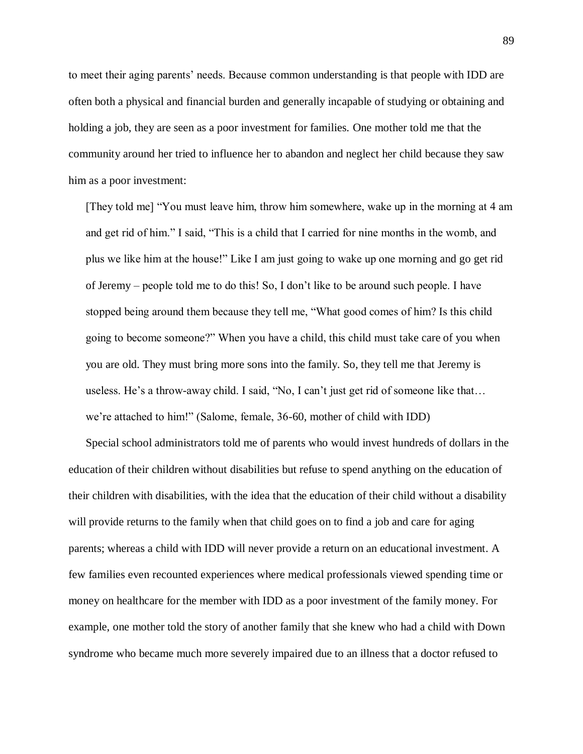to meet their aging parents' needs. Because common understanding is that people with IDD are often both a physical and financial burden and generally incapable of studying or obtaining and holding a job, they are seen as a poor investment for families. One mother told me that the community around her tried to influence her to abandon and neglect her child because they saw him as a poor investment:

[They told me] "You must leave him, throw him somewhere, wake up in the morning at 4 am and get rid of him." I said, "This is a child that I carried for nine months in the womb, and plus we like him at the house!" Like I am just going to wake up one morning and go get rid of Jeremy – people told me to do this! So, I don't like to be around such people. I have stopped being around them because they tell me, "What good comes of him? Is this child going to become someone?" When you have a child, this child must take care of you when you are old. They must bring more sons into the family. So, they tell me that Jeremy is useless. He's a throw-away child. I said, "No, I can't just get rid of someone like that… we're attached to him!" (Salome, female, 36-60, mother of child with IDD)

Special school administrators told me of parents who would invest hundreds of dollars in the education of their children without disabilities but refuse to spend anything on the education of their children with disabilities, with the idea that the education of their child without a disability will provide returns to the family when that child goes on to find a job and care for aging parents; whereas a child with IDD will never provide a return on an educational investment. A few families even recounted experiences where medical professionals viewed spending time or money on healthcare for the member with IDD as a poor investment of the family money. For example, one mother told the story of another family that she knew who had a child with Down syndrome who became much more severely impaired due to an illness that a doctor refused to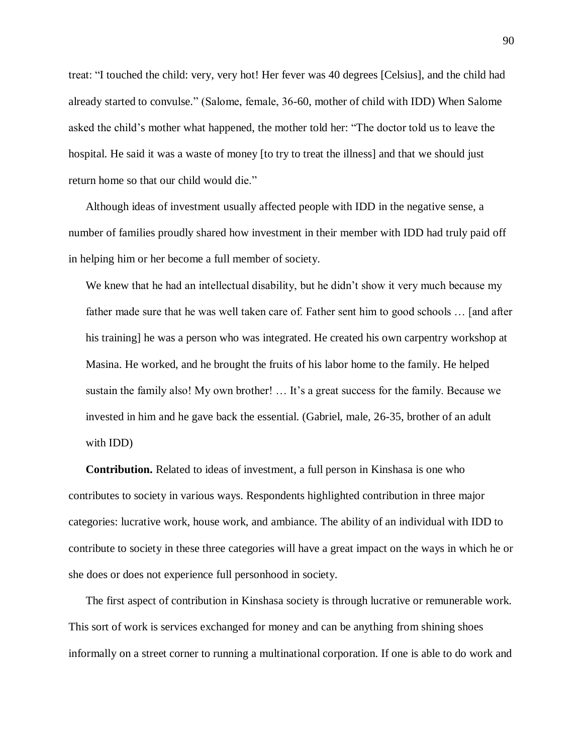treat: "I touched the child: very, very hot! Her fever was 40 degrees [Celsius], and the child had already started to convulse." (Salome, female, 36-60, mother of child with IDD) When Salome asked the child's mother what happened, the mother told her: "The doctor told us to leave the hospital. He said it was a waste of money [to try to treat the illness] and that we should just return home so that our child would die."

Although ideas of investment usually affected people with IDD in the negative sense, a number of families proudly shared how investment in their member with IDD had truly paid off in helping him or her become a full member of society.

We knew that he had an intellectual disability, but he didn't show it very much because my father made sure that he was well taken care of. Father sent him to good schools … [and after his training] he was a person who was integrated. He created his own carpentry workshop at Masina. He worked, and he brought the fruits of his labor home to the family. He helped sustain the family also! My own brother! … It's a great success for the family. Because we invested in him and he gave back the essential. (Gabriel, male, 26-35, brother of an adult with IDD)

**Contribution.** Related to ideas of investment, a full person in Kinshasa is one who contributes to society in various ways. Respondents highlighted contribution in three major categories: lucrative work, house work, and ambiance. The ability of an individual with IDD to contribute to society in these three categories will have a great impact on the ways in which he or she does or does not experience full personhood in society.

The first aspect of contribution in Kinshasa society is through lucrative or remunerable work. This sort of work is services exchanged for money and can be anything from shining shoes informally on a street corner to running a multinational corporation. If one is able to do work and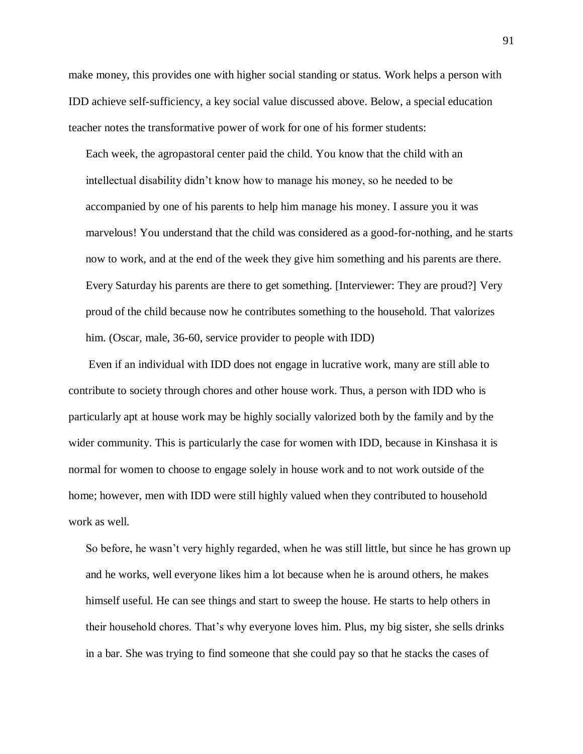make money, this provides one with higher social standing or status. Work helps a person with IDD achieve self-sufficiency, a key social value discussed above. Below, a special education teacher notes the transformative power of work for one of his former students:

Each week, the agropastoral center paid the child. You know that the child with an intellectual disability didn't know how to manage his money, so he needed to be accompanied by one of his parents to help him manage his money. I assure you it was marvelous! You understand that the child was considered as a good-for-nothing, and he starts now to work, and at the end of the week they give him something and his parents are there. Every Saturday his parents are there to get something. [Interviewer: They are proud?] Very proud of the child because now he contributes something to the household. That valorizes him. (Oscar, male, 36-60, service provider to people with IDD)

Even if an individual with IDD does not engage in lucrative work, many are still able to contribute to society through chores and other house work. Thus, a person with IDD who is particularly apt at house work may be highly socially valorized both by the family and by the wider community. This is particularly the case for women with IDD, because in Kinshasa it is normal for women to choose to engage solely in house work and to not work outside of the home; however, men with IDD were still highly valued when they contributed to household work as well.

So before, he wasn't very highly regarded, when he was still little, but since he has grown up and he works, well everyone likes him a lot because when he is around others, he makes himself useful. He can see things and start to sweep the house. He starts to help others in their household chores. That's why everyone loves him. Plus, my big sister, she sells drinks in a bar. She was trying to find someone that she could pay so that he stacks the cases of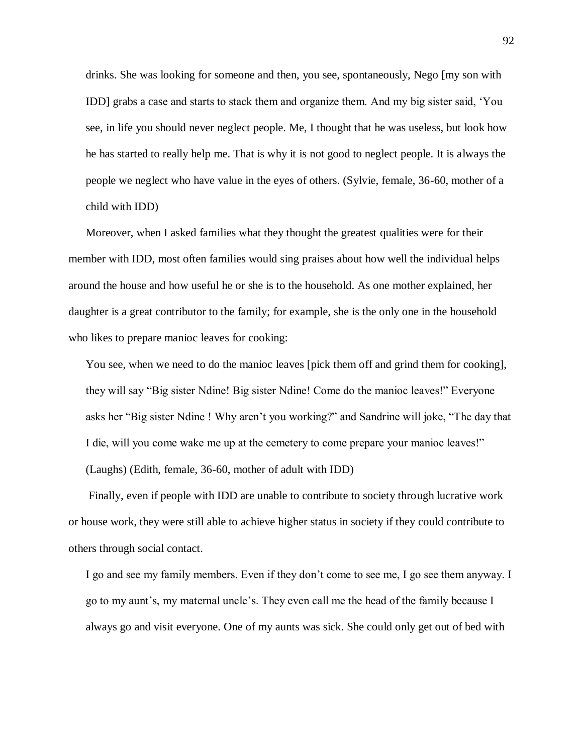drinks. She was looking for someone and then, you see, spontaneously, Nego [my son with IDD] grabs a case and starts to stack them and organize them. And my big sister said, 'You see, in life you should never neglect people. Me, I thought that he was useless, but look how he has started to really help me. That is why it is not good to neglect people. It is always the people we neglect who have value in the eyes of others. (Sylvie, female, 36-60, mother of a child with IDD)

Moreover, when I asked families what they thought the greatest qualities were for their member with IDD, most often families would sing praises about how well the individual helps around the house and how useful he or she is to the household. As one mother explained, her daughter is a great contributor to the family; for example, she is the only one in the household who likes to prepare manioc leaves for cooking:

You see, when we need to do the manioc leaves [pick them off and grind them for cooking], they will say "Big sister Ndine! Big sister Ndine! Come do the manioc leaves!" Everyone asks her "Big sister Ndine ! Why aren't you working?" and Sandrine will joke, "The day that I die, will you come wake me up at the cemetery to come prepare your manioc leaves!"

(Laughs) (Edith, female, 36-60, mother of adult with IDD)

Finally, even if people with IDD are unable to contribute to society through lucrative work or house work, they were still able to achieve higher status in society if they could contribute to others through social contact.

I go and see my family members. Even if they don't come to see me, I go see them anyway. I go to my aunt's, my maternal uncle's. They even call me the head of the family because I always go and visit everyone. One of my aunts was sick. She could only get out of bed with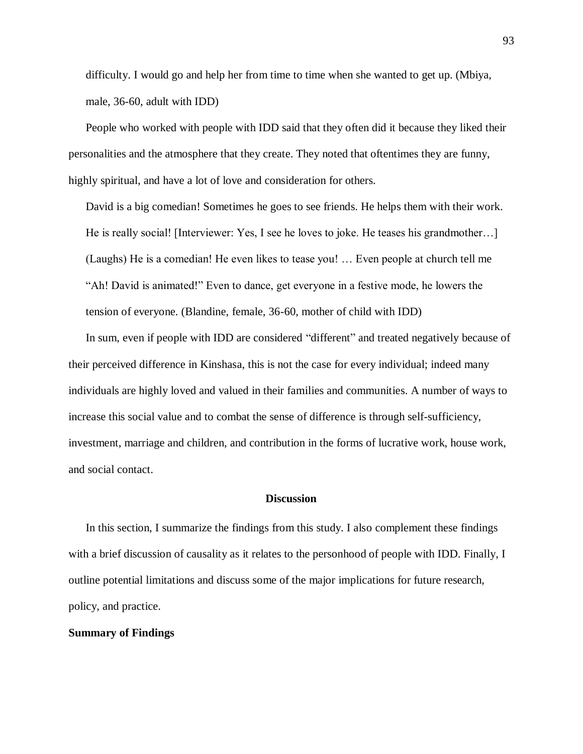difficulty. I would go and help her from time to time when she wanted to get up. (Mbiya, male, 36-60, adult with IDD)

People who worked with people with IDD said that they often did it because they liked their personalities and the atmosphere that they create. They noted that oftentimes they are funny, highly spiritual, and have a lot of love and consideration for others.

David is a big comedian! Sometimes he goes to see friends. He helps them with their work. He is really social! [Interviewer: Yes, I see he loves to joke. He teases his grandmother…] (Laughs) He is a comedian! He even likes to tease you! … Even people at church tell me "Ah! David is animated!" Even to dance, get everyone in a festive mode, he lowers the tension of everyone. (Blandine, female, 36-60, mother of child with IDD)

In sum, even if people with IDD are considered "different" and treated negatively because of their perceived difference in Kinshasa, this is not the case for every individual; indeed many individuals are highly loved and valued in their families and communities. A number of ways to increase this social value and to combat the sense of difference is through self-sufficiency, investment, marriage and children, and contribution in the forms of lucrative work, house work, and social contact.

## **Discussion**

In this section, I summarize the findings from this study. I also complement these findings with a brief discussion of causality as it relates to the personhood of people with IDD. Finally, I outline potential limitations and discuss some of the major implications for future research, policy, and practice.

## **Summary of Findings**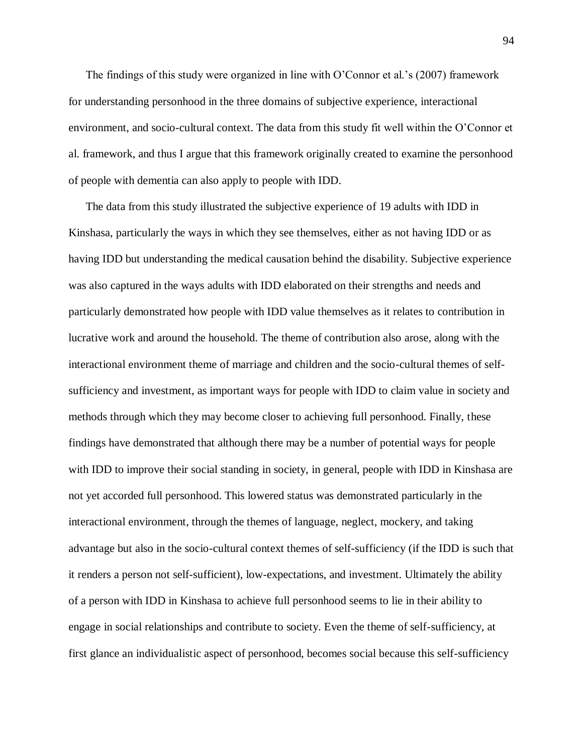The findings of this study were organized in line with O'Connor et al.'s (2007) framework for understanding personhood in the three domains of subjective experience, interactional environment, and socio-cultural context. The data from this study fit well within the O'Connor et al. framework, and thus I argue that this framework originally created to examine the personhood of people with dementia can also apply to people with IDD.

The data from this study illustrated the subjective experience of 19 adults with IDD in Kinshasa, particularly the ways in which they see themselves, either as not having IDD or as having IDD but understanding the medical causation behind the disability. Subjective experience was also captured in the ways adults with IDD elaborated on their strengths and needs and particularly demonstrated how people with IDD value themselves as it relates to contribution in lucrative work and around the household. The theme of contribution also arose, along with the interactional environment theme of marriage and children and the socio-cultural themes of selfsufficiency and investment, as important ways for people with IDD to claim value in society and methods through which they may become closer to achieving full personhood. Finally, these findings have demonstrated that although there may be a number of potential ways for people with IDD to improve their social standing in society, in general, people with IDD in Kinshasa are not yet accorded full personhood. This lowered status was demonstrated particularly in the interactional environment, through the themes of language, neglect, mockery, and taking advantage but also in the socio-cultural context themes of self-sufficiency (if the IDD is such that it renders a person not self-sufficient), low-expectations, and investment. Ultimately the ability of a person with IDD in Kinshasa to achieve full personhood seems to lie in their ability to engage in social relationships and contribute to society. Even the theme of self-sufficiency, at first glance an individualistic aspect of personhood, becomes social because this self-sufficiency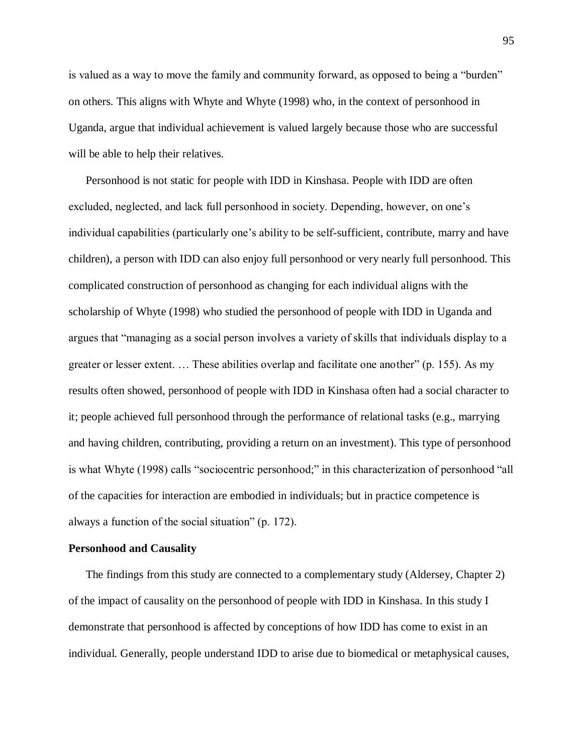is valued as a way to move the family and community forward, as opposed to being a "burden" on others. This aligns with Whyte and Whyte (1998) who, in the context of personhood in Uganda, argue that individual achievement is valued largely because those who are successful will be able to help their relatives.

Personhood is not static for people with IDD in Kinshasa. People with IDD are often excluded, neglected, and lack full personhood in society. Depending, however, on one's individual capabilities (particularly one's ability to be self-sufficient, contribute, marry and have children), a person with IDD can also enjoy full personhood or very nearly full personhood. This complicated construction of personhood as changing for each individual aligns with the scholarship of Whyte (1998) who studied the personhood of people with IDD in Uganda and argues that "managing as a social person involves a variety of skills that individuals display to a greater or lesser extent. … These abilities overlap and facilitate one another" (p. 155). As my results often showed, personhood of people with IDD in Kinshasa often had a social character to it; people achieved full personhood through the performance of relational tasks (e.g., marrying and having children, contributing, providing a return on an investment). This type of personhood is what Whyte (1998) calls "sociocentric personhood;" in this characterization of personhood "all of the capacities for interaction are embodied in individuals; but in practice competence is always a function of the social situation" (p. 172).

### **Personhood and Causality**

The findings from this study are connected to a complementary study (Aldersey, Chapter 2) of the impact of causality on the personhood of people with IDD in Kinshasa. In this study I demonstrate that personhood is affected by conceptions of how IDD has come to exist in an individual. Generally, people understand IDD to arise due to biomedical or metaphysical causes,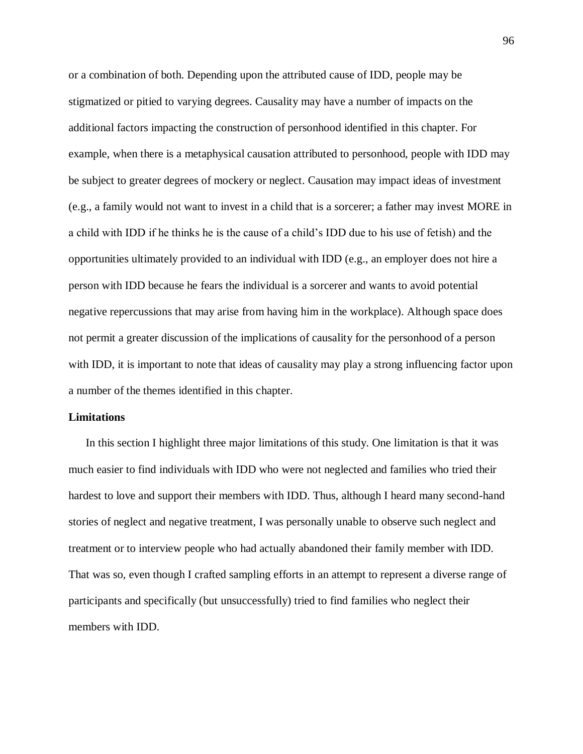or a combination of both. Depending upon the attributed cause of IDD, people may be stigmatized or pitied to varying degrees. Causality may have a number of impacts on the additional factors impacting the construction of personhood identified in this chapter. For example, when there is a metaphysical causation attributed to personhood, people with IDD may be subject to greater degrees of mockery or neglect. Causation may impact ideas of investment (e.g., a family would not want to invest in a child that is a sorcerer; a father may invest MORE in a child with IDD if he thinks he is the cause of a child's IDD due to his use of fetish) and the opportunities ultimately provided to an individual with IDD (e.g., an employer does not hire a person with IDD because he fears the individual is a sorcerer and wants to avoid potential negative repercussions that may arise from having him in the workplace). Although space does not permit a greater discussion of the implications of causality for the personhood of a person with IDD, it is important to note that ideas of causality may play a strong influencing factor upon a number of the themes identified in this chapter.

## **Limitations**

In this section I highlight three major limitations of this study. One limitation is that it was much easier to find individuals with IDD who were not neglected and families who tried their hardest to love and support their members with IDD. Thus, although I heard many second-hand stories of neglect and negative treatment, I was personally unable to observe such neglect and treatment or to interview people who had actually abandoned their family member with IDD. That was so, even though I crafted sampling efforts in an attempt to represent a diverse range of participants and specifically (but unsuccessfully) tried to find families who neglect their members with IDD.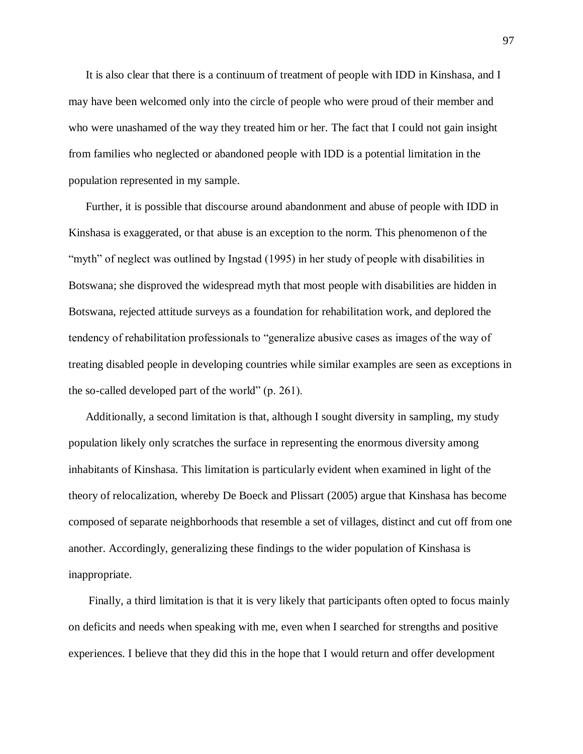It is also clear that there is a continuum of treatment of people with IDD in Kinshasa, and I may have been welcomed only into the circle of people who were proud of their member and who were unashamed of the way they treated him or her. The fact that I could not gain insight from families who neglected or abandoned people with IDD is a potential limitation in the population represented in my sample.

Further, it is possible that discourse around abandonment and abuse of people with IDD in Kinshasa is exaggerated, or that abuse is an exception to the norm. This phenomenon of the "myth" of neglect was outlined by Ingstad (1995) in her study of people with disabilities in Botswana; she disproved the widespread myth that most people with disabilities are hidden in Botswana, rejected attitude surveys as a foundation for rehabilitation work, and deplored the tendency of rehabilitation professionals to "generalize abusive cases as images of the way of treating disabled people in developing countries while similar examples are seen as exceptions in the so-called developed part of the world" (p. 261).

Additionally, a second limitation is that, although I sought diversity in sampling, my study population likely only scratches the surface in representing the enormous diversity among inhabitants of Kinshasa. This limitation is particularly evident when examined in light of the theory of relocalization, whereby De Boeck and Plissart (2005) argue that Kinshasa has become composed of separate neighborhoods that resemble a set of villages, distinct and cut off from one another. Accordingly, generalizing these findings to the wider population of Kinshasa is inappropriate.

Finally, a third limitation is that it is very likely that participants often opted to focus mainly on deficits and needs when speaking with me, even when I searched for strengths and positive experiences. I believe that they did this in the hope that I would return and offer development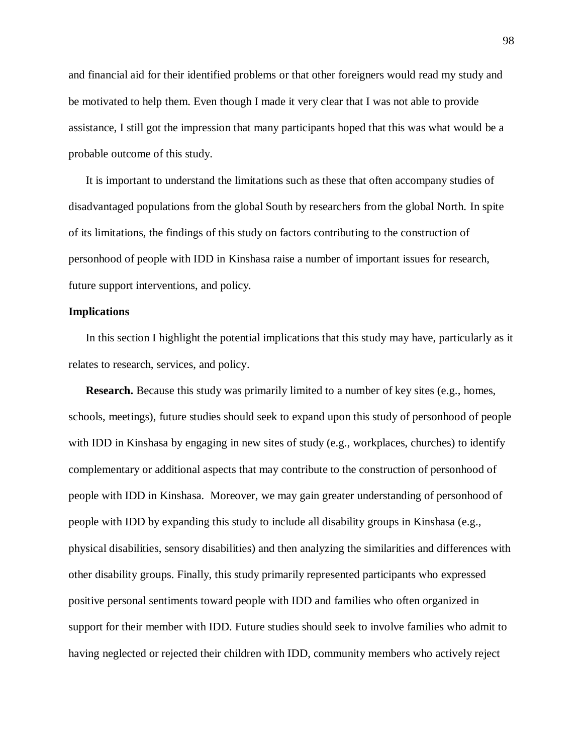and financial aid for their identified problems or that other foreigners would read my study and be motivated to help them. Even though I made it very clear that I was not able to provide assistance, I still got the impression that many participants hoped that this was what would be a probable outcome of this study.

It is important to understand the limitations such as these that often accompany studies of disadvantaged populations from the global South by researchers from the global North. In spite of its limitations, the findings of this study on factors contributing to the construction of personhood of people with IDD in Kinshasa raise a number of important issues for research, future support interventions, and policy.

## **Implications**

In this section I highlight the potential implications that this study may have, particularly as it relates to research, services, and policy.

**Research.** Because this study was primarily limited to a number of key sites (e.g., homes, schools, meetings), future studies should seek to expand upon this study of personhood of people with IDD in Kinshasa by engaging in new sites of study (e.g., workplaces, churches) to identify complementary or additional aspects that may contribute to the construction of personhood of people with IDD in Kinshasa. Moreover, we may gain greater understanding of personhood of people with IDD by expanding this study to include all disability groups in Kinshasa (e.g., physical disabilities, sensory disabilities) and then analyzing the similarities and differences with other disability groups. Finally, this study primarily represented participants who expressed positive personal sentiments toward people with IDD and families who often organized in support for their member with IDD. Future studies should seek to involve families who admit to having neglected or rejected their children with IDD, community members who actively reject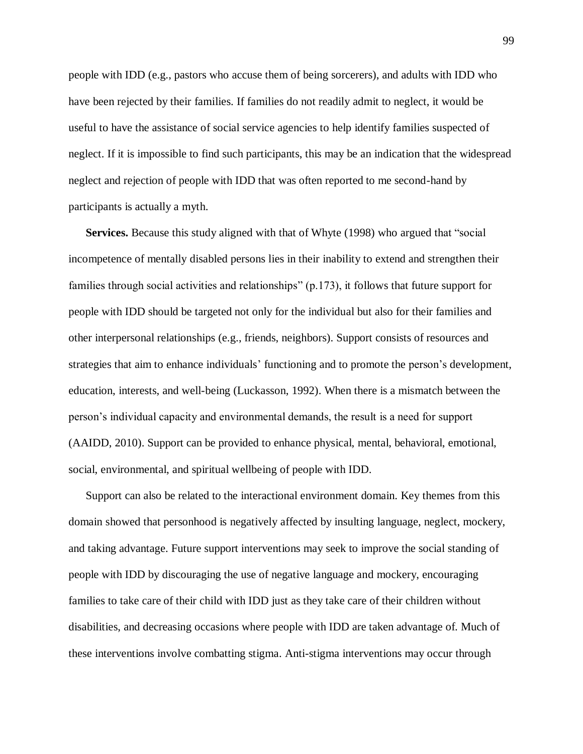people with IDD (e.g., pastors who accuse them of being sorcerers), and adults with IDD who have been rejected by their families. If families do not readily admit to neglect, it would be useful to have the assistance of social service agencies to help identify families suspected of neglect. If it is impossible to find such participants, this may be an indication that the widespread neglect and rejection of people with IDD that was often reported to me second-hand by participants is actually a myth.

**Services.** Because this study aligned with that of Whyte (1998) who argued that "social incompetence of mentally disabled persons lies in their inability to extend and strengthen their families through social activities and relationships" (p.173), it follows that future support for people with IDD should be targeted not only for the individual but also for their families and other interpersonal relationships (e.g., friends, neighbors). Support consists of resources and strategies that aim to enhance individuals' functioning and to promote the person's development, education, interests, and well-being (Luckasson, 1992). When there is a mismatch between the person's individual capacity and environmental demands, the result is a need for support (AAIDD, 2010). Support can be provided to enhance physical, mental, behavioral, emotional, social, environmental, and spiritual wellbeing of people with IDD.

Support can also be related to the interactional environment domain. Key themes from this domain showed that personhood is negatively affected by insulting language, neglect, mockery, and taking advantage. Future support interventions may seek to improve the social standing of people with IDD by discouraging the use of negative language and mockery, encouraging families to take care of their child with IDD just as they take care of their children without disabilities, and decreasing occasions where people with IDD are taken advantage of. Much of these interventions involve combatting stigma. Anti-stigma interventions may occur through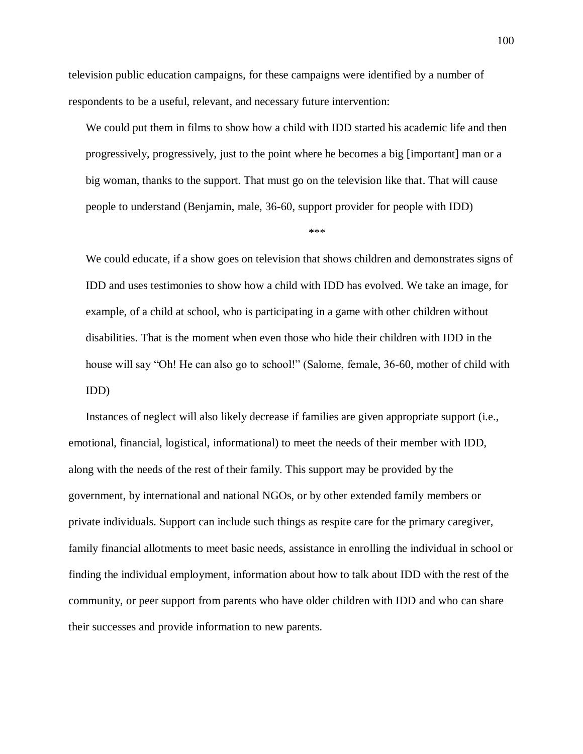television public education campaigns, for these campaigns were identified by a number of respondents to be a useful, relevant, and necessary future intervention:

We could put them in films to show how a child with IDD started his academic life and then progressively, progressively, just to the point where he becomes a big [important] man or a big woman, thanks to the support. That must go on the television like that. That will cause people to understand (Benjamin, male, 36-60, support provider for people with IDD)

\*\*\*

We could educate, if a show goes on television that shows children and demonstrates signs of IDD and uses testimonies to show how a child with IDD has evolved. We take an image, for example, of a child at school, who is participating in a game with other children without disabilities. That is the moment when even those who hide their children with IDD in the house will say "Oh! He can also go to school!" (Salome, female, 36-60, mother of child with IDD)

Instances of neglect will also likely decrease if families are given appropriate support (i.e., emotional, financial, logistical, informational) to meet the needs of their member with IDD, along with the needs of the rest of their family. This support may be provided by the government, by international and national NGOs, or by other extended family members or private individuals. Support can include such things as respite care for the primary caregiver, family financial allotments to meet basic needs, assistance in enrolling the individual in school or finding the individual employment, information about how to talk about IDD with the rest of the community, or peer support from parents who have older children with IDD and who can share their successes and provide information to new parents.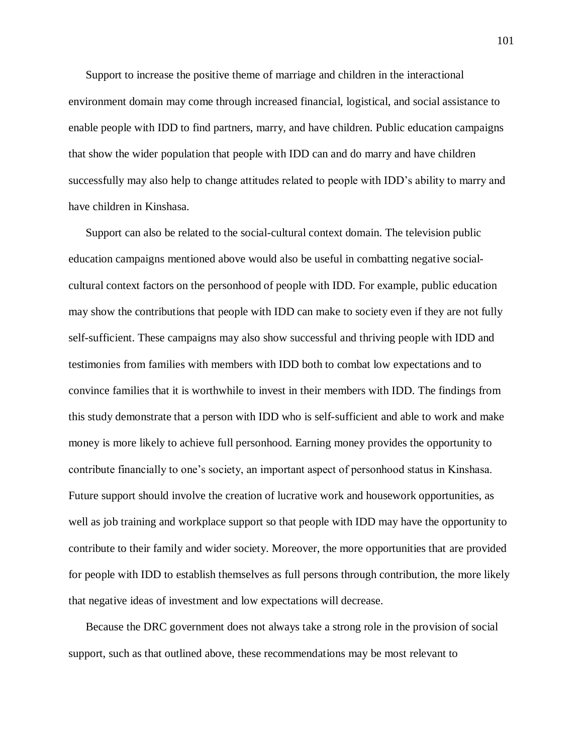Support to increase the positive theme of marriage and children in the interactional environment domain may come through increased financial, logistical, and social assistance to enable people with IDD to find partners, marry, and have children. Public education campaigns that show the wider population that people with IDD can and do marry and have children successfully may also help to change attitudes related to people with IDD's ability to marry and have children in Kinshasa.

Support can also be related to the social-cultural context domain. The television public education campaigns mentioned above would also be useful in combatting negative socialcultural context factors on the personhood of people with IDD. For example, public education may show the contributions that people with IDD can make to society even if they are not fully self-sufficient. These campaigns may also show successful and thriving people with IDD and testimonies from families with members with IDD both to combat low expectations and to convince families that it is worthwhile to invest in their members with IDD. The findings from this study demonstrate that a person with IDD who is self-sufficient and able to work and make money is more likely to achieve full personhood. Earning money provides the opportunity to contribute financially to one's society, an important aspect of personhood status in Kinshasa. Future support should involve the creation of lucrative work and housework opportunities, as well as job training and workplace support so that people with IDD may have the opportunity to contribute to their family and wider society. Moreover, the more opportunities that are provided for people with IDD to establish themselves as full persons through contribution, the more likely that negative ideas of investment and low expectations will decrease.

Because the DRC government does not always take a strong role in the provision of social support, such as that outlined above, these recommendations may be most relevant to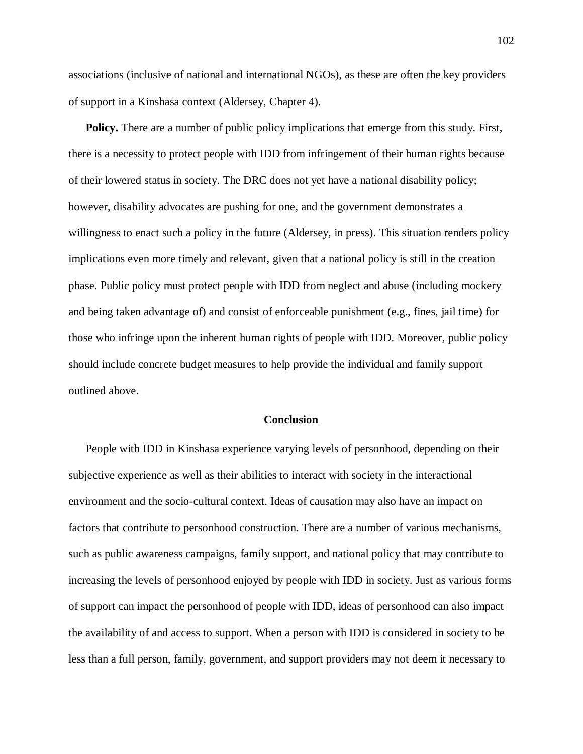associations (inclusive of national and international NGOs), as these are often the key providers of support in a Kinshasa context (Aldersey, Chapter 4).

**Policy.** There are a number of public policy implications that emerge from this study. First, there is a necessity to protect people with IDD from infringement of their human rights because of their lowered status in society. The DRC does not yet have a national disability policy; however, disability advocates are pushing for one, and the government demonstrates a willingness to enact such a policy in the future (Aldersey, in press). This situation renders policy implications even more timely and relevant, given that a national policy is still in the creation phase. Public policy must protect people with IDD from neglect and abuse (including mockery and being taken advantage of) and consist of enforceable punishment (e.g., fines, jail time) for those who infringe upon the inherent human rights of people with IDD. Moreover, public policy should include concrete budget measures to help provide the individual and family support outlined above.

#### **Conclusion**

People with IDD in Kinshasa experience varying levels of personhood, depending on their subjective experience as well as their abilities to interact with society in the interactional environment and the socio-cultural context. Ideas of causation may also have an impact on factors that contribute to personhood construction. There are a number of various mechanisms, such as public awareness campaigns, family support, and national policy that may contribute to increasing the levels of personhood enjoyed by people with IDD in society. Just as various forms of support can impact the personhood of people with IDD, ideas of personhood can also impact the availability of and access to support. When a person with IDD is considered in society to be less than a full person, family, government, and support providers may not deem it necessary to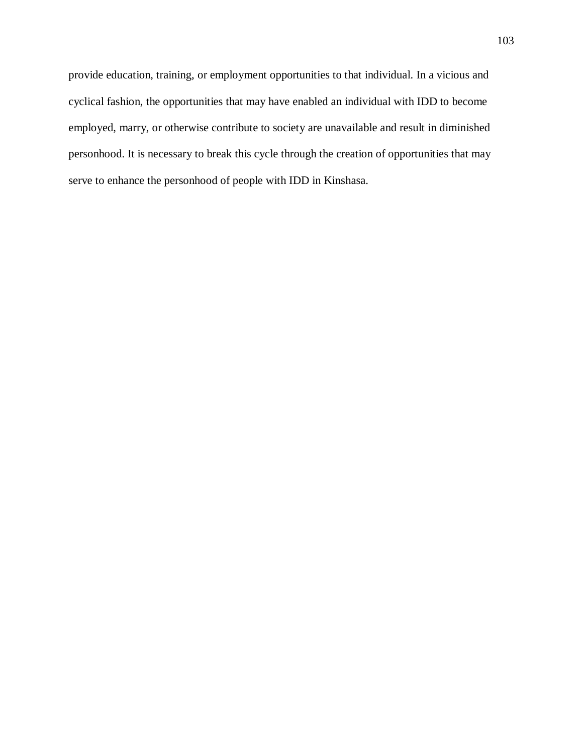provide education, training, or employment opportunities to that individual. In a vicious and cyclical fashion, the opportunities that may have enabled an individual with IDD to become employed, marry, or otherwise contribute to society are unavailable and result in diminished personhood. It is necessary to break this cycle through the creation of opportunities that may serve to enhance the personhood of people with IDD in Kinshasa.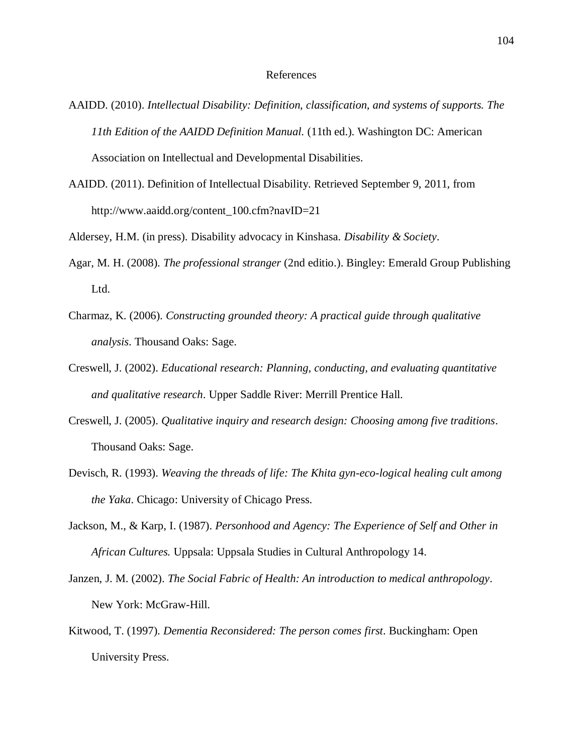#### References

- AAIDD. (2010). *Intellectual Disability: Definition, classification, and systems of supports. The 11th Edition of the AAIDD Definition Manual.* (11th ed.). Washington DC: American Association on Intellectual and Developmental Disabilities.
- AAIDD. (2011). Definition of Intellectual Disability. Retrieved September 9, 2011, from http://www.aaidd.org/content\_100.cfm?navID=21
- Aldersey, H.M. (in press). Disability advocacy in Kinshasa. *Disability & Society*.
- Agar, M. H. (2008). *The professional stranger* (2nd editio.). Bingley: Emerald Group Publishing Ltd.
- Charmaz, K. (2006). *Constructing grounded theory: A practical guide through qualitative analysis*. Thousand Oaks: Sage.
- Creswell, J. (2002). *Educational research: Planning, conducting, and evaluating quantitative and qualitative research*. Upper Saddle River: Merrill Prentice Hall.
- Creswell, J. (2005). *Qualitative inquiry and research design: Choosing among five traditions*. Thousand Oaks: Sage.
- Devisch, R. (1993). *Weaving the threads of life: The Khita gyn-eco-logical healing cult among the Yaka*. Chicago: University of Chicago Press.
- Jackson, M., & Karp, I. (1987). *Personhood and Agency: The Experience of Self and Other in African Cultures.* Uppsala: Uppsala Studies in Cultural Anthropology 14.
- Janzen, J. M. (2002). *The Social Fabric of Health: An introduction to medical anthropology*. New York: McGraw-Hill.
- Kitwood, T. (1997). *Dementia Reconsidered: The person comes first*. Buckingham: Open University Press.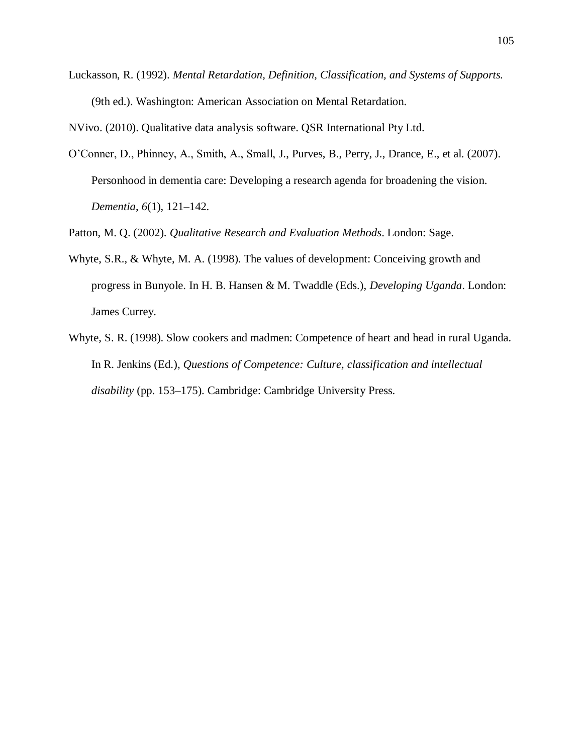Luckasson, R. (1992). *Mental Retardation, Definition, Classification, and Systems of Supports.* (9th ed.). Washington: American Association on Mental Retardation.

NVivo. (2010). Qualitative data analysis software. QSR International Pty Ltd.

O'Conner, D., Phinney, A., Smith, A., Small, J., Purves, B., Perry, J., Drance, E., et al. (2007). Personhood in dementia care: Developing a research agenda for broadening the vision. *Dementia*, *6*(1), 121–142.

Patton, M. Q. (2002). *Qualitative Research and Evaluation Methods*. London: Sage.

- Whyte, S.R., & Whyte, M. A. (1998). The values of development: Conceiving growth and progress in Bunyole. In H. B. Hansen & M. Twaddle (Eds.), *Developing Uganda*. London: James Currey.
- Whyte, S. R. (1998). Slow cookers and madmen: Competence of heart and head in rural Uganda. In R. Jenkins (Ed.), *Questions of Competence: Culture, classification and intellectual disability* (pp. 153–175). Cambridge: Cambridge University Press.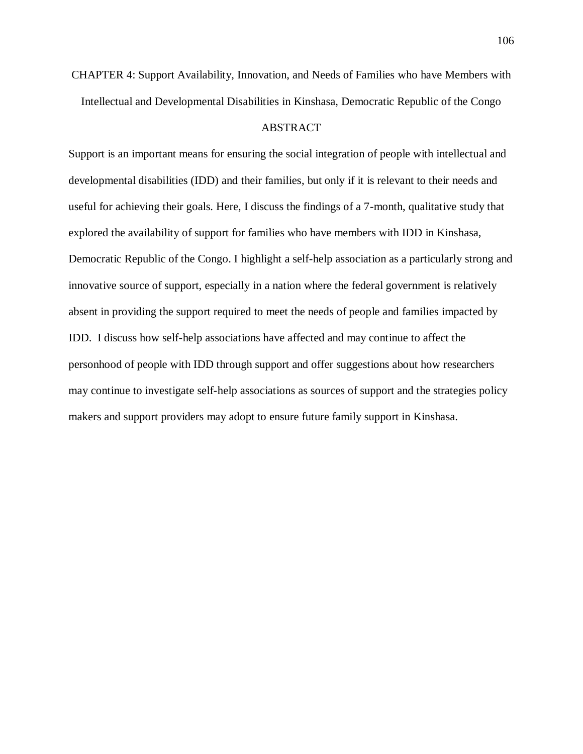CHAPTER 4: Support Availability, Innovation, and Needs of Families who have Members with Intellectual and Developmental Disabilities in Kinshasa, Democratic Republic of the Congo

## ABSTRACT

Support is an important means for ensuring the social integration of people with intellectual and developmental disabilities (IDD) and their families, but only if it is relevant to their needs and useful for achieving their goals. Here, I discuss the findings of a 7-month, qualitative study that explored the availability of support for families who have members with IDD in Kinshasa, Democratic Republic of the Congo. I highlight a self-help association as a particularly strong and innovative source of support, especially in a nation where the federal government is relatively absent in providing the support required to meet the needs of people and families impacted by IDD. I discuss how self-help associations have affected and may continue to affect the personhood of people with IDD through support and offer suggestions about how researchers may continue to investigate self-help associations as sources of support and the strategies policy makers and support providers may adopt to ensure future family support in Kinshasa.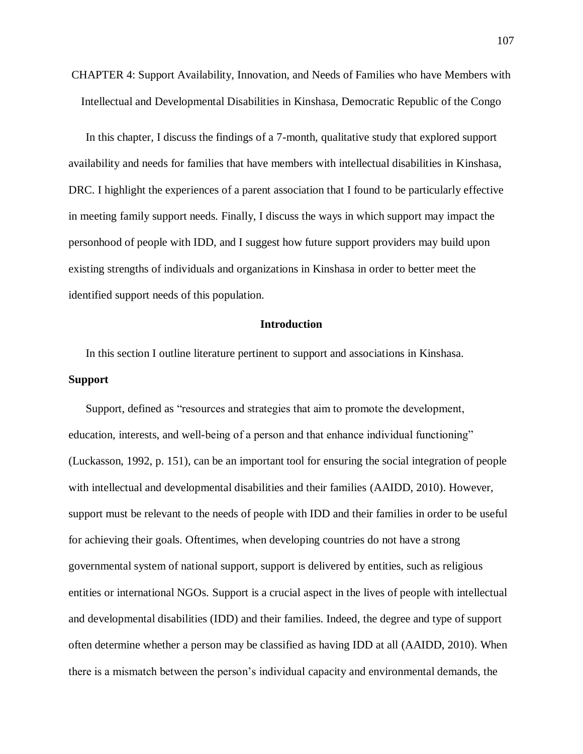CHAPTER 4: Support Availability, Innovation, and Needs of Families who have Members with Intellectual and Developmental Disabilities in Kinshasa, Democratic Republic of the Congo

In this chapter, I discuss the findings of a 7-month, qualitative study that explored support availability and needs for families that have members with intellectual disabilities in Kinshasa, DRC. I highlight the experiences of a parent association that I found to be particularly effective in meeting family support needs. Finally, I discuss the ways in which support may impact the personhood of people with IDD, and I suggest how future support providers may build upon existing strengths of individuals and organizations in Kinshasa in order to better meet the identified support needs of this population.

## **Introduction**

In this section I outline literature pertinent to support and associations in Kinshasa. **Support**

Support, defined as "resources and strategies that aim to promote the development, education, interests, and well-being of a person and that enhance individual functioning" (Luckasson, 1992, p. 151), can be an important tool for ensuring the social integration of people with intellectual and developmental disabilities and their families (AAIDD, 2010). However, support must be relevant to the needs of people with IDD and their families in order to be useful for achieving their goals. Oftentimes, when developing countries do not have a strong governmental system of national support, support is delivered by entities, such as religious entities or international NGOs. Support is a crucial aspect in the lives of people with intellectual and developmental disabilities (IDD) and their families. Indeed, the degree and type of support often determine whether a person may be classified as having IDD at all (AAIDD, 2010). When there is a mismatch between the person's individual capacity and environmental demands, the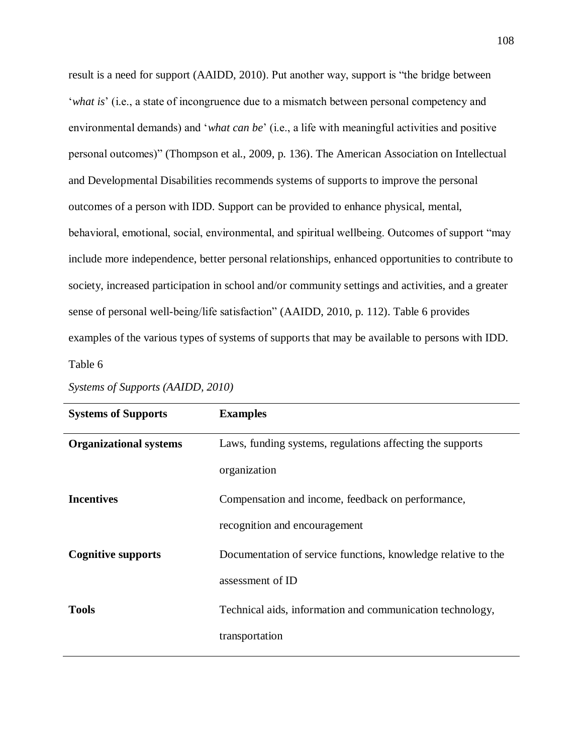result is a need for support (AAIDD, 2010). Put another way, support is "the bridge between '*what is*' (i.e., a state of incongruence due to a mismatch between personal competency and environmental demands) and '*what can be*' (i.e., a life with meaningful activities and positive personal outcomes)" (Thompson et al., 2009, p. 136). The American Association on Intellectual and Developmental Disabilities recommends systems of supports to improve the personal outcomes of a person with IDD. Support can be provided to enhance physical, mental, behavioral, emotional, social, environmental, and spiritual wellbeing. Outcomes of support "may include more independence, better personal relationships, enhanced opportunities to contribute to society, increased participation in school and/or community settings and activities, and a greater sense of personal well-being/life satisfaction" (AAIDD, 2010, p. 112). Table 6 provides examples of the various types of systems of supports that may be available to persons with IDD. Table 6

| <b>Systems of Supports</b>    | <b>Examples</b>                                               |
|-------------------------------|---------------------------------------------------------------|
| <b>Organizational systems</b> | Laws, funding systems, regulations affecting the supports     |
|                               | organization                                                  |
| <b>Incentives</b>             | Compensation and income, feedback on performance,             |
|                               | recognition and encouragement                                 |
| <b>Cognitive supports</b>     | Documentation of service functions, knowledge relative to the |
|                               | assessment of ID                                              |
| <b>Tools</b>                  | Technical aids, information and communication technology,     |
|                               | transportation                                                |

*Systems of Supports (AAIDD, 2010)*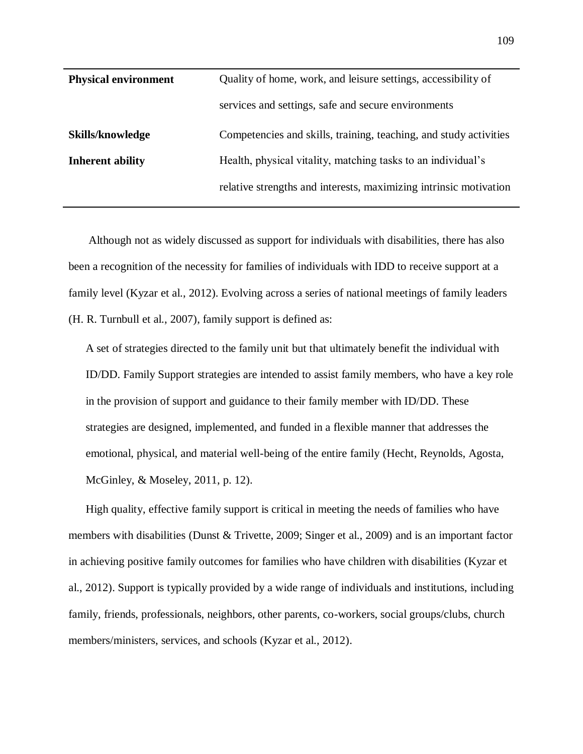| <b>Physical environment</b> | Quality of home, work, and leisure settings, accessibility of     |
|-----------------------------|-------------------------------------------------------------------|
|                             | services and settings, safe and secure environments               |
| <b>Skills/knowledge</b>     | Competencies and skills, training, teaching, and study activities |
| <b>Inherent ability</b>     | Health, physical vitality, matching tasks to an individual's      |
|                             | relative strengths and interests, maximizing intrinsic motivation |

Although not as widely discussed as support for individuals with disabilities, there has also been a recognition of the necessity for families of individuals with IDD to receive support at a family level (Kyzar et al., 2012). Evolving across a series of national meetings of family leaders (H. R. Turnbull et al., 2007), family support is defined as:

A set of strategies directed to the family unit but that ultimately benefit the individual with ID/DD. Family Support strategies are intended to assist family members, who have a key role in the provision of support and guidance to their family member with ID/DD. These strategies are designed, implemented, and funded in a flexible manner that addresses the emotional, physical, and material well-being of the entire family (Hecht, Reynolds, Agosta, McGinley, & Moseley, 2011, p. 12).

High quality, effective family support is critical in meeting the needs of families who have members with disabilities (Dunst & Trivette, 2009; Singer et al., 2009) and is an important factor in achieving positive family outcomes for families who have children with disabilities (Kyzar et al., 2012). Support is typically provided by a wide range of individuals and institutions, including family, friends, professionals, neighbors, other parents, co-workers, social groups/clubs, church members/ministers, services, and schools (Kyzar et al., 2012).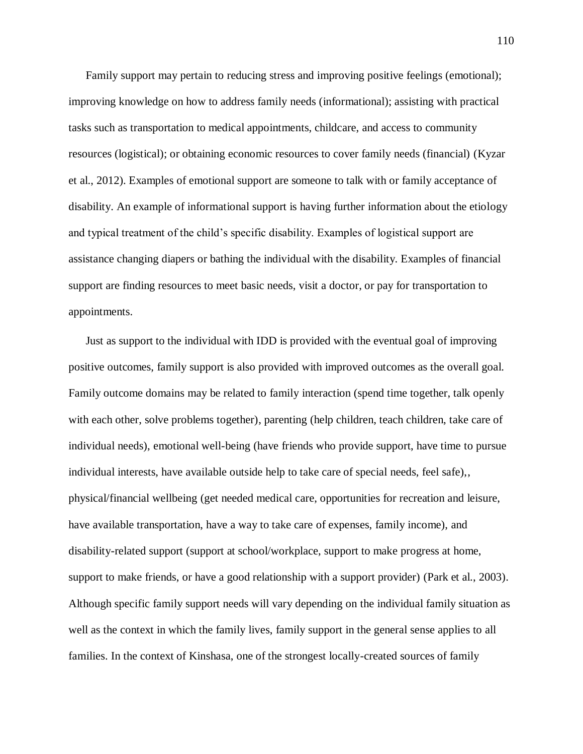Family support may pertain to reducing stress and improving positive feelings (emotional); improving knowledge on how to address family needs (informational); assisting with practical tasks such as transportation to medical appointments, childcare, and access to community resources (logistical); or obtaining economic resources to cover family needs (financial) (Kyzar et al., 2012). Examples of emotional support are someone to talk with or family acceptance of disability. An example of informational support is having further information about the etiology and typical treatment of the child's specific disability. Examples of logistical support are assistance changing diapers or bathing the individual with the disability. Examples of financial support are finding resources to meet basic needs, visit a doctor, or pay for transportation to appointments.

Just as support to the individual with IDD is provided with the eventual goal of improving positive outcomes, family support is also provided with improved outcomes as the overall goal. Family outcome domains may be related to family interaction (spend time together, talk openly with each other, solve problems together), parenting (help children, teach children, take care of individual needs), emotional well-being (have friends who provide support, have time to pursue individual interests, have available outside help to take care of special needs, feel safe),, physical/financial wellbeing (get needed medical care, opportunities for recreation and leisure, have available transportation, have a way to take care of expenses, family income), and disability-related support (support at school/workplace, support to make progress at home, support to make friends, or have a good relationship with a support provider) (Park et al., 2003). Although specific family support needs will vary depending on the individual family situation as well as the context in which the family lives, family support in the general sense applies to all families. In the context of Kinshasa, one of the strongest locally-created sources of family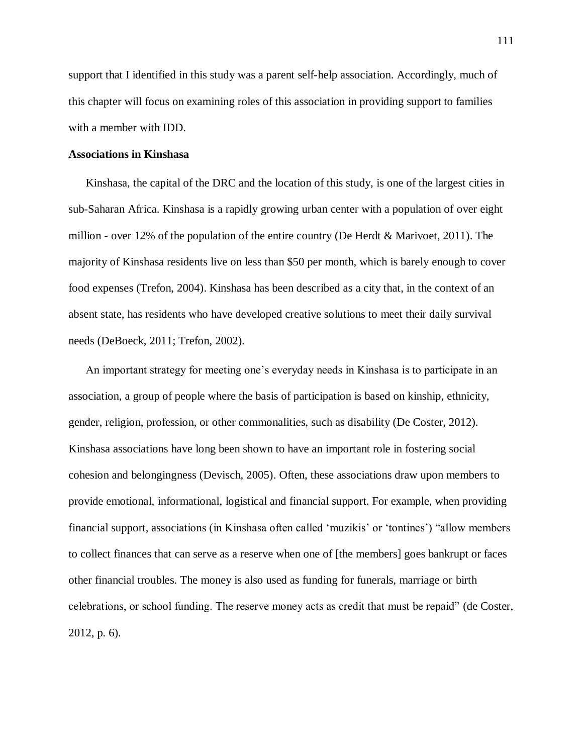support that I identified in this study was a parent self-help association. Accordingly, much of this chapter will focus on examining roles of this association in providing support to families with a member with IDD.

## **Associations in Kinshasa**

Kinshasa, the capital of the DRC and the location of this study, is one of the largest cities in sub-Saharan Africa. Kinshasa is a rapidly growing urban center with a population of over eight million - over 12% of the population of the entire country (De Herdt & Marivoet, 2011). The majority of Kinshasa residents live on less than \$50 per month, which is barely enough to cover food expenses (Trefon, 2004). Kinshasa has been described as a city that, in the context of an absent state, has residents who have developed creative solutions to meet their daily survival needs (DeBoeck, 2011; Trefon, 2002).

An important strategy for meeting one's everyday needs in Kinshasa is to participate in an association, a group of people where the basis of participation is based on kinship, ethnicity, gender, religion, profession, or other commonalities, such as disability (De Coster, 2012). Kinshasa associations have long been shown to have an important role in fostering social cohesion and belongingness (Devisch, 2005). Often, these associations draw upon members to provide emotional, informational, logistical and financial support. For example, when providing financial support, associations (in Kinshasa often called 'muzikis' or 'tontines') "allow members to collect finances that can serve as a reserve when one of [the members] goes bankrupt or faces other financial troubles. The money is also used as funding for funerals, marriage or birth celebrations, or school funding. The reserve money acts as credit that must be repaid" (de Coster, 2012, p. 6).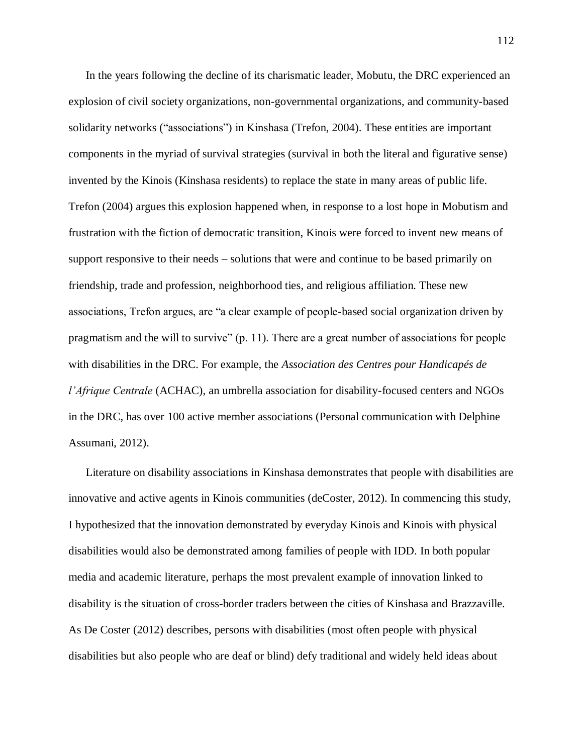In the years following the decline of its charismatic leader, Mobutu, the DRC experienced an explosion of civil society organizations, non-governmental organizations, and community-based solidarity networks ("associations") in Kinshasa (Trefon, 2004). These entities are important components in the myriad of survival strategies (survival in both the literal and figurative sense) invented by the Kinois (Kinshasa residents) to replace the state in many areas of public life. Trefon (2004) argues this explosion happened when, in response to a lost hope in Mobutism and frustration with the fiction of democratic transition, Kinois were forced to invent new means of support responsive to their needs – solutions that were and continue to be based primarily on friendship, trade and profession, neighborhood ties, and religious affiliation. These new associations, Trefon argues, are "a clear example of people-based social organization driven by pragmatism and the will to survive" (p. 11). There are a great number of associations for people with disabilities in the DRC. For example, the *Association des Centres pour Handicapés de l'Afrique Centrale* (ACHAC), an umbrella association for disability-focused centers and NGOs in the DRC, has over 100 active member associations (Personal communication with Delphine Assumani, 2012).

Literature on disability associations in Kinshasa demonstrates that people with disabilities are innovative and active agents in Kinois communities (deCoster, 2012). In commencing this study, I hypothesized that the innovation demonstrated by everyday Kinois and Kinois with physical disabilities would also be demonstrated among families of people with IDD. In both popular media and academic literature, perhaps the most prevalent example of innovation linked to disability is the situation of cross-border traders between the cities of Kinshasa and Brazzaville. As De Coster (2012) describes, persons with disabilities (most often people with physical disabilities but also people who are deaf or blind) defy traditional and widely held ideas about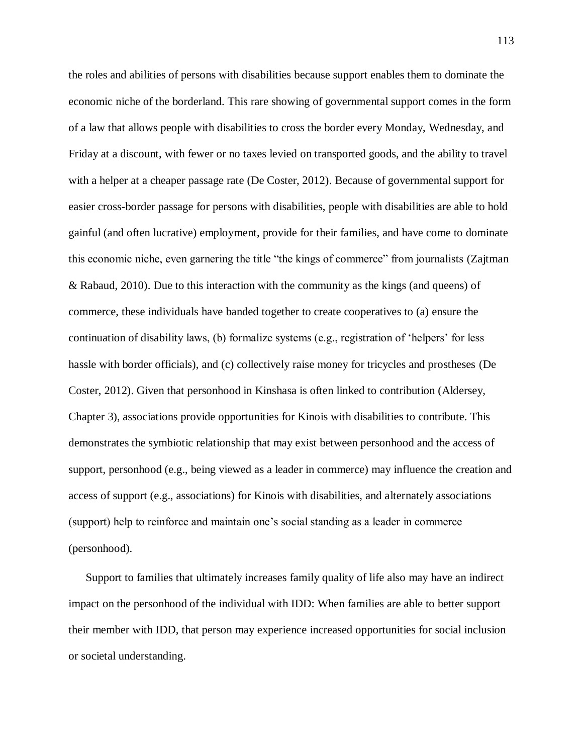the roles and abilities of persons with disabilities because support enables them to dominate the economic niche of the borderland. This rare showing of governmental support comes in the form of a law that allows people with disabilities to cross the border every Monday, Wednesday, and Friday at a discount, with fewer or no taxes levied on transported goods, and the ability to travel with a helper at a cheaper passage rate (De Coster, 2012). Because of governmental support for easier cross-border passage for persons with disabilities, people with disabilities are able to hold gainful (and often lucrative) employment, provide for their families, and have come to dominate this economic niche, even garnering the title "the kings of commerce" from journalists (Zajtman & Rabaud, 2010). Due to this interaction with the community as the kings (and queens) of commerce, these individuals have banded together to create cooperatives to (a) ensure the continuation of disability laws, (b) formalize systems (e.g., registration of 'helpers' for less hassle with border officials), and (c) collectively raise money for tricycles and prostheses (De Coster, 2012). Given that personhood in Kinshasa is often linked to contribution (Aldersey, Chapter 3), associations provide opportunities for Kinois with disabilities to contribute. This demonstrates the symbiotic relationship that may exist between personhood and the access of support, personhood (e.g., being viewed as a leader in commerce) may influence the creation and access of support (e.g., associations) for Kinois with disabilities, and alternately associations (support) help to reinforce and maintain one's social standing as a leader in commerce (personhood).

Support to families that ultimately increases family quality of life also may have an indirect impact on the personhood of the individual with IDD: When families are able to better support their member with IDD, that person may experience increased opportunities for social inclusion or societal understanding.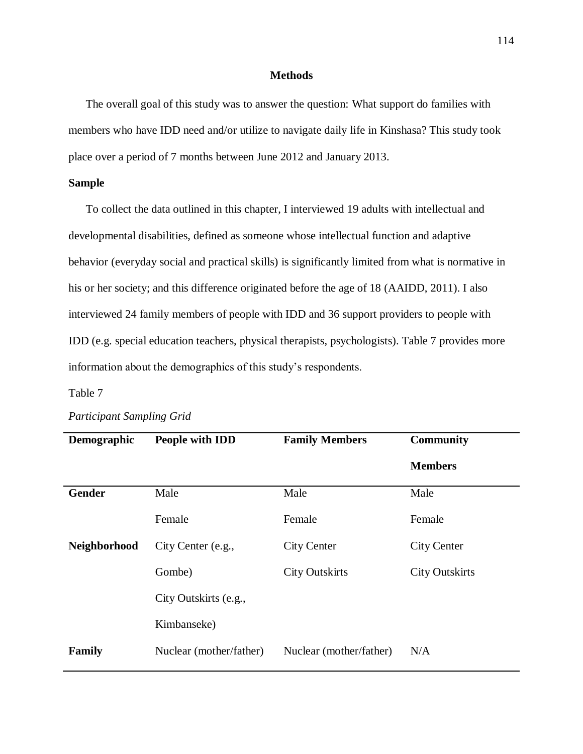## **Methods**

The overall goal of this study was to answer the question: What support do families with members who have IDD need and/or utilize to navigate daily life in Kinshasa? This study took place over a period of 7 months between June 2012 and January 2013.

## **Sample**

To collect the data outlined in this chapter, I interviewed 19 adults with intellectual and developmental disabilities, defined as someone whose intellectual function and adaptive behavior (everyday social and practical skills) is significantly limited from what is normative in his or her society; and this difference originated before the age of 18 (AAIDD, 2011). I also interviewed 24 family members of people with IDD and 36 support providers to people with IDD (e.g. special education teachers, physical therapists, psychologists). Table 7 provides more information about the demographics of this study's respondents.

## Table 7

| Demographic   | People with IDD         | <b>Family Members</b>   | <b>Community</b>      |
|---------------|-------------------------|-------------------------|-----------------------|
|               |                         |                         | <b>Members</b>        |
| <b>Gender</b> | Male                    | Male                    | Male                  |
|               | Female                  | Female                  | Female                |
| Neighborhood  | City Center (e.g.,      | <b>City Center</b>      | <b>City Center</b>    |
|               | Gombe)                  | <b>City Outskirts</b>   | <b>City Outskirts</b> |
|               | City Outskirts (e.g.,   |                         |                       |
|               | Kimbanseke)             |                         |                       |
| Family        | Nuclear (mother/father) | Nuclear (mother/father) | N/A                   |

## *Participant Sampling Grid*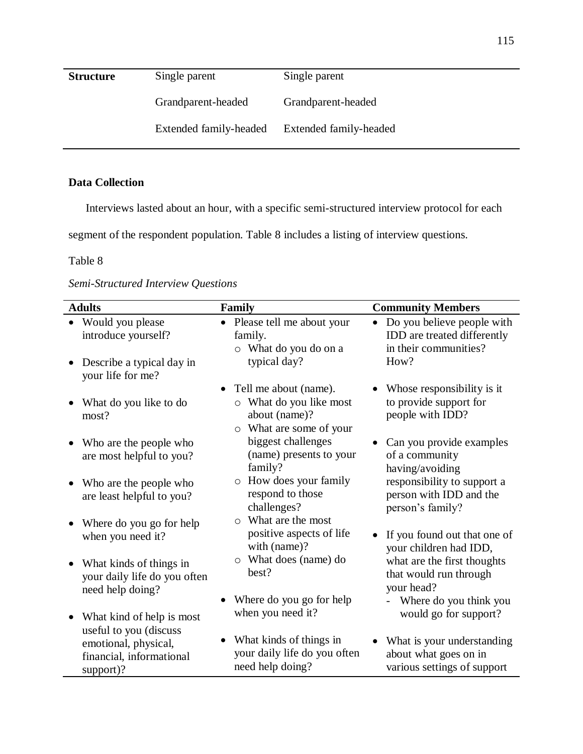| <b>Structure</b> | Single parent          | Single parent          |
|------------------|------------------------|------------------------|
|                  | Grandparent-headed     | Grandparent-headed     |
|                  | Extended family-headed | Extended family-headed |

## **Data Collection**

Interviews lasted about an hour, with a specific semi-structured interview protocol for each

segment of the respondent population. Table 8 includes a listing of interview questions.

## Table 8

*Semi-Structured Interview Questions*

| <b>Adults</b>                                                                           | Family                                                                                                         | <b>Community Members</b>                                                                                |
|-----------------------------------------------------------------------------------------|----------------------------------------------------------------------------------------------------------------|---------------------------------------------------------------------------------------------------------|
| Would you please<br>introduce yourself?<br>Describe a typical day in                    | • Please tell me about your<br>family.<br>o What do you do on a<br>typical day?                                | Do you believe people with<br>$\bullet$<br>IDD are treated differently<br>in their communities?<br>How? |
| your life for me?                                                                       |                                                                                                                |                                                                                                         |
| What do you like to do<br>most?                                                         | Tell me about (name).<br>What do you like most<br>$\circ$<br>about (name)?<br>What are some of your<br>$\circ$ | Whose responsibility is it<br>to provide support for<br>people with IDD?                                |
| Who are the people who<br>are most helpful to you?                                      | biggest challenges<br>(name) presents to your<br>family?                                                       | Can you provide examples<br>of a community<br>having/avoiding                                           |
| Who are the people who<br>are least helpful to you?                                     | How does your family<br>$\circ$<br>respond to those<br>challenges?                                             | responsibility to support a<br>person with IDD and the<br>person's family?                              |
| Where do you go for help<br>when you need it?                                           | $\circ$ What are the most<br>positive aspects of life<br>with (name)?                                          | If you found out that one of<br>your children had IDD,                                                  |
| What kinds of things in<br>your daily life do you often<br>need help doing?             | What does (name) do<br>$\circ$<br>best?                                                                        | what are the first thoughts<br>that would run through<br>your head?                                     |
| What kind of help is most                                                               | Where do you go for help<br>when you need it?                                                                  | Where do you think you<br>would go for support?                                                         |
| useful to you (discuss<br>emotional, physical,<br>financial, informational<br>support)? | What kinds of things in<br>your daily life do you often<br>need help doing?                                    | What is your understanding<br>about what goes on in<br>various settings of support                      |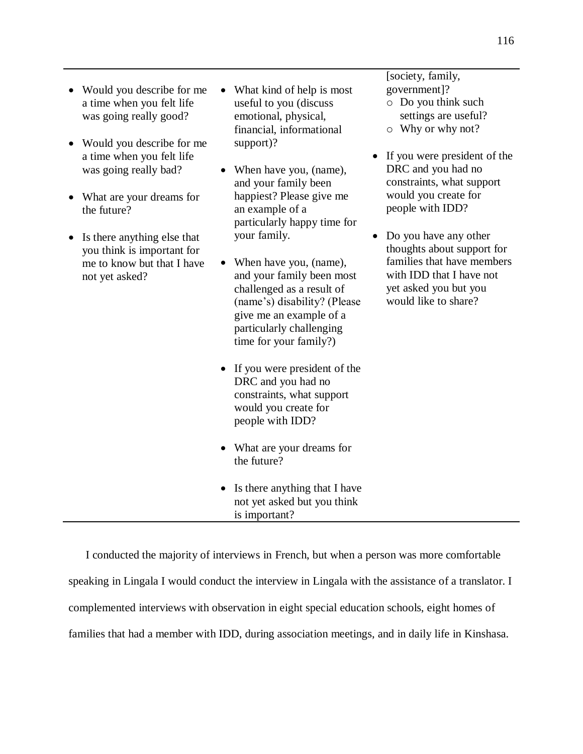- Would you describe for me a time when you felt life was going really good?
- Would you describe for me a time when you felt life was going really bad?
- What are your dreams for the future?
- Is there anything else that you think is important for me to know but that I have not yet asked?
- What kind of help is most useful to you (discuss emotional, physical, financial, informational support)?
- When have you, (name), and your family been happiest? Please give me an example of a particularly happy time for your family.
- When have you, (name), and your family been most challenged as a result of (name's) disability? (Please give me an example of a particularly challenging time for your family?)
- If you were president of the DRC and you had no constraints, what support would you create for people with IDD?
- What are your dreams for the future?
- Is there anything that I have not yet asked but you think is important?

[society, family, government]?

- o Do you think such settings are useful? o Why or why not?
- If you were president of the DRC and you had no constraints, what support would you create for people with IDD?
- Do you have any other thoughts about support for families that have members with IDD that I have not yet asked you but you would like to share?

I conducted the majority of interviews in French, but when a person was more comfortable speaking in Lingala I would conduct the interview in Lingala with the assistance of a translator. I complemented interviews with observation in eight special education schools, eight homes of families that had a member with IDD, during association meetings, and in daily life in Kinshasa.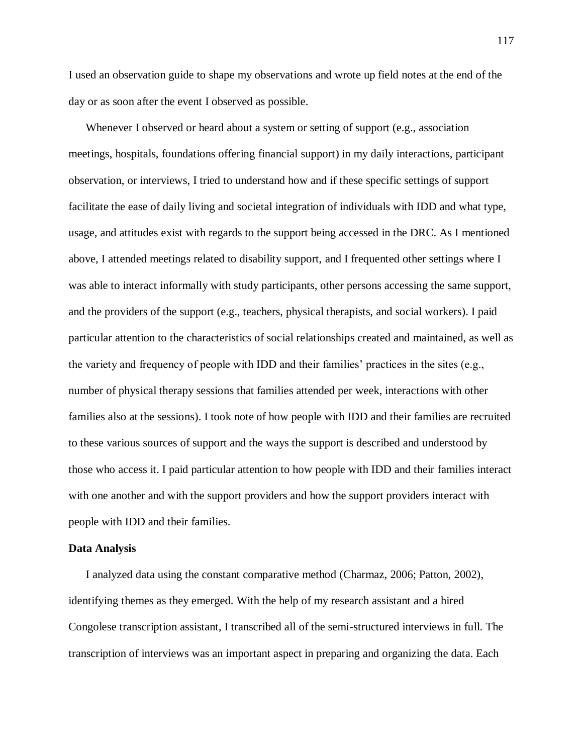I used an observation guide to shape my observations and wrote up field notes at the end of the day or as soon after the event I observed as possible.

Whenever I observed or heard about a system or setting of support (e.g., association meetings, hospitals, foundations offering financial support) in my daily interactions, participant observation, or interviews, I tried to understand how and if these specific settings of support facilitate the ease of daily living and societal integration of individuals with IDD and what type, usage, and attitudes exist with regards to the support being accessed in the DRC. As I mentioned above, I attended meetings related to disability support, and I frequented other settings where I was able to interact informally with study participants, other persons accessing the same support, and the providers of the support (e.g., teachers, physical therapists, and social workers). I paid particular attention to the characteristics of social relationships created and maintained, as well as the variety and frequency of people with IDD and their families' practices in the sites (e.g., number of physical therapy sessions that families attended per week, interactions with other families also at the sessions). I took note of how people with IDD and their families are recruited to these various sources of support and the ways the support is described and understood by those who access it. I paid particular attention to how people with IDD and their families interact with one another and with the support providers and how the support providers interact with people with IDD and their families.

#### **Data Analysis**

I analyzed data using the constant comparative method (Charmaz, 2006; Patton, 2002), identifying themes as they emerged. With the help of my research assistant and a hired Congolese transcription assistant, I transcribed all of the semi-structured interviews in full. The transcription of interviews was an important aspect in preparing and organizing the data. Each

117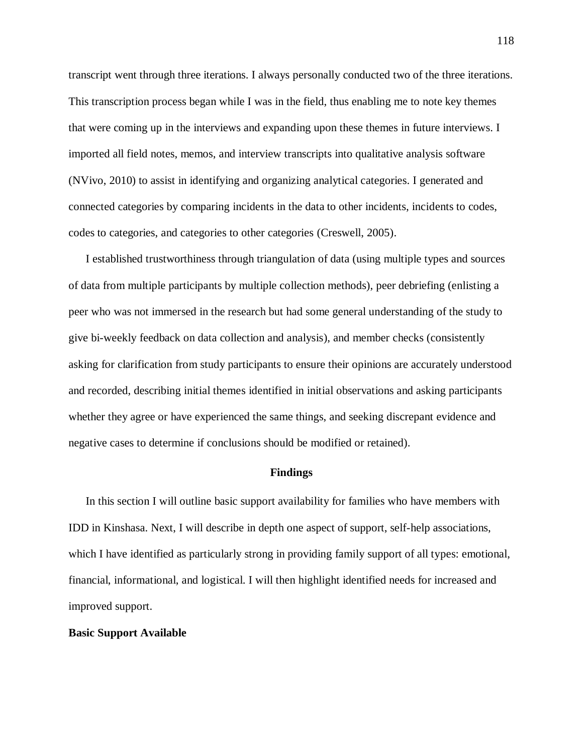transcript went through three iterations. I always personally conducted two of the three iterations. This transcription process began while I was in the field, thus enabling me to note key themes that were coming up in the interviews and expanding upon these themes in future interviews. I imported all field notes, memos, and interview transcripts into qualitative analysis software (NVivo, 2010) to assist in identifying and organizing analytical categories. I generated and connected categories by comparing incidents in the data to other incidents, incidents to codes, codes to categories, and categories to other categories (Creswell, 2005).

I established trustworthiness through triangulation of data (using multiple types and sources of data from multiple participants by multiple collection methods), peer debriefing (enlisting a peer who was not immersed in the research but had some general understanding of the study to give bi-weekly feedback on data collection and analysis), and member checks (consistently asking for clarification from study participants to ensure their opinions are accurately understood and recorded, describing initial themes identified in initial observations and asking participants whether they agree or have experienced the same things, and seeking discrepant evidence and negative cases to determine if conclusions should be modified or retained).

## **Findings**

In this section I will outline basic support availability for families who have members with IDD in Kinshasa. Next, I will describe in depth one aspect of support, self-help associations, which I have identified as particularly strong in providing family support of all types: emotional, financial, informational, and logistical. I will then highlight identified needs for increased and improved support.

## **Basic Support Available**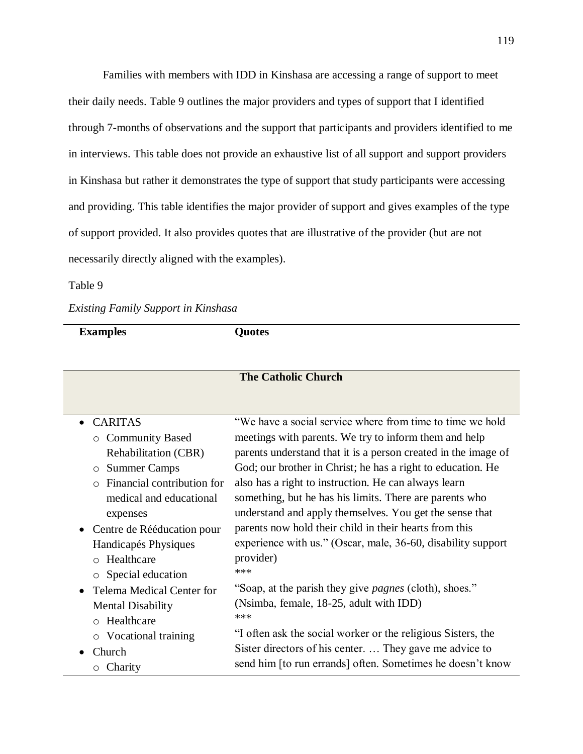Families with members with IDD in Kinshasa are accessing a range of support to meet their daily needs. Table 9 outlines the major providers and types of support that I identified through 7-months of observations and the support that participants and providers identified to me in interviews. This table does not provide an exhaustive list of all support and support providers in Kinshasa but rather it demonstrates the type of support that study participants were accessing and providing. This table identifies the major provider of support and gives examples of the type of support provided. It also provides quotes that are illustrative of the provider (but are not necessarily directly aligned with the examples).

## Table 9

## *Existing Family Support in Kinshasa*

**Examples Quotes**

| <b>The Catholic Church</b>              |                                                                |  |
|-----------------------------------------|----------------------------------------------------------------|--|
|                                         |                                                                |  |
| • CARITAS                               | "We have a social service where from time to time we hold      |  |
|                                         |                                                                |  |
| <b>O</b> Community Based                | meetings with parents. We try to inform them and help          |  |
| Rehabilitation (CBR)                    | parents understand that it is a person created in the image of |  |
| <b>Summer Camps</b><br>$\circ$          | God; our brother in Christ; he has a right to education. He    |  |
| Financial contribution for<br>$\bigcap$ | also has a right to instruction. He can always learn           |  |
| medical and educational                 | something, but he has his limits. There are parents who        |  |
| expenses                                | understand and apply themselves. You get the sense that        |  |
| • Centre de Rééducation pour            | parents now hold their child in their hearts from this         |  |
| Handicapés Physiques                    | experience with us." (Oscar, male, 36-60, disability support   |  |
| o Healthcare                            | provider)                                                      |  |
| o Special education                     | ***                                                            |  |
| <b>Telema Medical Center for</b>        | "Soap, at the parish they give <i>pagnes</i> (cloth), shoes."  |  |
| <b>Mental Disability</b>                | (Nsimba, female, 18-25, adult with IDD)                        |  |
| o Healthcare                            | ***                                                            |  |
| $\circ$ Vocational training             | "I often ask the social worker or the religious Sisters, the   |  |
| Church                                  | Sister directors of his center.  They gave me advice to        |  |
| $\circ$ Charity                         | send him [to run errands] often. Sometimes he doesn't know     |  |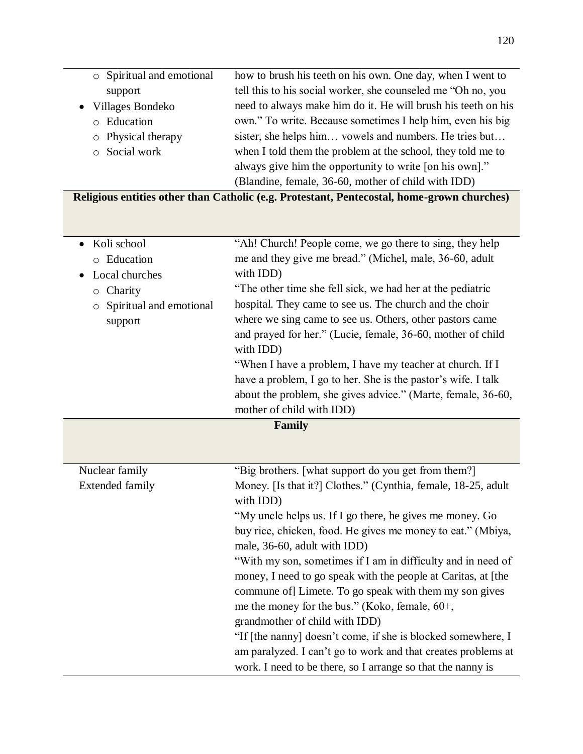|        | o Spiritual and emotional | how to brush his teeth on his own. One day, when I went to    |
|--------|---------------------------|---------------------------------------------------------------|
|        | support                   | tell this to his social worker, she counseled me "Oh no, you  |
|        | • Villages Bondeko        | need to always make him do it. He will brush his teeth on his |
| $\cap$ | Education                 | own." To write. Because sometimes I help him, even his big    |
|        | $\circ$ Physical therapy  | sister, she helps him vowels and numbers. He tries but        |
|        | o Social work             | when I told them the problem at the school, they told me to   |
|        |                           | always give him the opportunity to write [on his own]."       |
|        |                           | (Blandine, female, 36-60, mother of child with IDD)           |

**Religious entities other than Catholic (e.g. Protestant, Pentecostal, home-grown churches)**

| Koli school<br>$\bullet$<br>o Education<br>Local churches<br>$\circ$ Charity<br>Spiritual and emotional<br>$\circ$<br>support | "Ah! Church! People come, we go there to sing, they help<br>me and they give me bread." (Michel, male, 36-60, adult<br>with IDD)<br>"The other time she fell sick, we had her at the pediatric<br>hospital. They came to see us. The church and the choir<br>where we sing came to see us. Others, other pastors came<br>and prayed for her." (Lucie, female, 36-60, mother of child<br>with IDD)<br>"When I have a problem, I have my teacher at church. If I<br>have a problem, I go to her. She is the pastor's wife. I talk<br>about the problem, she gives advice." (Marte, female, 36-60,<br>mother of child with IDD) |  |  |
|-------------------------------------------------------------------------------------------------------------------------------|------------------------------------------------------------------------------------------------------------------------------------------------------------------------------------------------------------------------------------------------------------------------------------------------------------------------------------------------------------------------------------------------------------------------------------------------------------------------------------------------------------------------------------------------------------------------------------------------------------------------------|--|--|
|                                                                                                                               |                                                                                                                                                                                                                                                                                                                                                                                                                                                                                                                                                                                                                              |  |  |
|                                                                                                                               | Family                                                                                                                                                                                                                                                                                                                                                                                                                                                                                                                                                                                                                       |  |  |
| Nuclear family                                                                                                                | "Big brothers. [what support do you get from them?]                                                                                                                                                                                                                                                                                                                                                                                                                                                                                                                                                                          |  |  |
| <b>Extended family</b>                                                                                                        | Money. [Is that it?] Clothes." (Cynthia, female, 18-25, adult<br>with IDD)                                                                                                                                                                                                                                                                                                                                                                                                                                                                                                                                                   |  |  |
|                                                                                                                               | "My uncle helps us. If I go there, he gives me money. Go                                                                                                                                                                                                                                                                                                                                                                                                                                                                                                                                                                     |  |  |
|                                                                                                                               | buy rice, chicken, food. He gives me money to eat." (Mbiya,<br>male, 36-60, adult with IDD)                                                                                                                                                                                                                                                                                                                                                                                                                                                                                                                                  |  |  |
|                                                                                                                               | "With my son, sometimes if I am in difficulty and in need of                                                                                                                                                                                                                                                                                                                                                                                                                                                                                                                                                                 |  |  |
|                                                                                                                               | money, I need to go speak with the people at Caritas, at [the<br>commune of Limete. To go speak with them my son gives                                                                                                                                                                                                                                                                                                                                                                                                                                                                                                       |  |  |
|                                                                                                                               | me the money for the bus." (Koko, female, 60+,                                                                                                                                                                                                                                                                                                                                                                                                                                                                                                                                                                               |  |  |
|                                                                                                                               | grandmother of child with IDD)                                                                                                                                                                                                                                                                                                                                                                                                                                                                                                                                                                                               |  |  |
|                                                                                                                               | "If [the nanny] doesn't come, if she is blocked somewhere, I                                                                                                                                                                                                                                                                                                                                                                                                                                                                                                                                                                 |  |  |
|                                                                                                                               | am paralyzed. I can't go to work and that creates problems at                                                                                                                                                                                                                                                                                                                                                                                                                                                                                                                                                                |  |  |
|                                                                                                                               | work. I need to be there, so I arrange so that the nanny is                                                                                                                                                                                                                                                                                                                                                                                                                                                                                                                                                                  |  |  |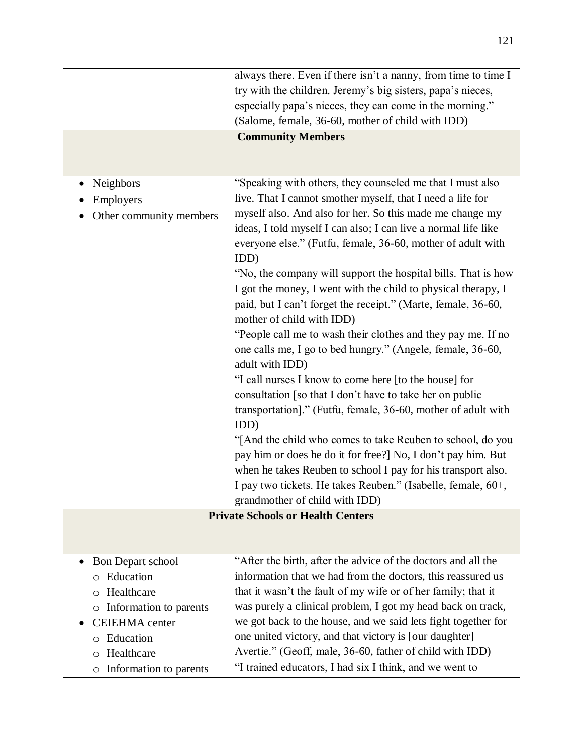|                         | always there. Even if there isn't a nanny, from time to time I |
|-------------------------|----------------------------------------------------------------|
|                         | try with the children. Jeremy's big sisters, papa's nieces,    |
|                         | especially papa's nieces, they can come in the morning."       |
|                         | (Salome, female, 36-60, mother of child with IDD)              |
|                         | <b>Community Members</b>                                       |
|                         |                                                                |
|                         |                                                                |
| Neighbors               | "Speaking with others, they counseled me that I must also      |
| Employers               | live. That I cannot smother myself, that I need a life for     |
| Other community members | myself also. And also for her. So this made me change my       |
|                         | ideas, I told myself I can also; I can live a normal life like |
|                         | everyone else." (Futfu, female, 36-60, mother of adult with    |
|                         | IDD)                                                           |
|                         | "No, the company will support the hospital bills. That is how  |
|                         | I got the money, I went with the child to physical therapy, I  |
|                         | paid, but I can't forget the receipt." (Marte, female, 36-60,  |
|                         | mother of child with IDD)                                      |
|                         | "People call me to wash their clothes and they pay me. If no   |
|                         | one calls me, I go to bed hungry." (Angele, female, 36-60,     |
|                         | adult with IDD)                                                |
|                         | "I call nurses I know to come here [to the house] for          |
|                         | consultation [so that I don't have to take her on public       |
|                         | transportation]." (Futfu, female, 36-60, mother of adult with  |
|                         | IDD)                                                           |
|                         | "[And the child who comes to take Reuben to school, do you     |
|                         | pay him or does he do it for free?] No, I don't pay him. But   |
|                         | when he takes Reuben to school I pay for his transport also.   |
|                         | I pay two tickets. He takes Reuben." (Isabelle, female, 60+,   |
|                         | grandmother of child with IDD)                                 |
|                         | <b>Private Schools or Health Centers</b>                       |
|                         |                                                                |
|                         |                                                                |

| • Bon Depart school      | "After the birth, after the advice of the doctors and all the |
|--------------------------|---------------------------------------------------------------|
| o Education              | information that we had from the doctors, this reassured us   |
| o Healthcare             | that it wasn't the fault of my wife or of her family; that it |
| o Information to parents | was purely a clinical problem, I got my head back on track,   |
| • CEIEHMA center         | we got back to the house, and we said lets fight together for |
| o Education              | one united victory, and that victory is [our daughter]        |
| o Healthcare             | Avertie." (Geoff, male, 36-60, father of child with IDD)      |
| o Information to parents | "I trained educators, I had six I think, and we went to       |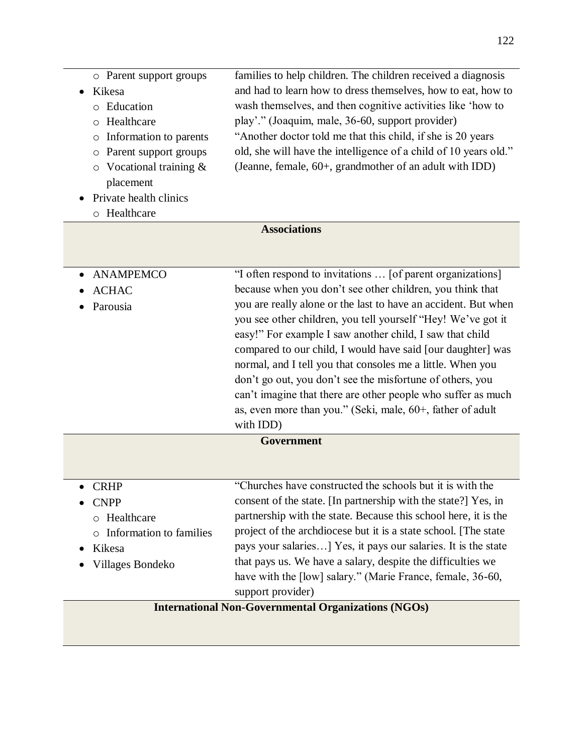|        | o Parent support groups       | families to help children. The children received a diagnosis     |
|--------|-------------------------------|------------------------------------------------------------------|
| Kikesa |                               | and had to learn how to dress themselves, how to eat, how to     |
|        | o Education                   | wash themselves, and then cognitive activities like 'how to      |
|        | o Healthcare                  | play'." (Joaquim, male, 36-60, support provider)                 |
|        | o Information to parents      | "Another doctor told me that this child, if she is 20 years      |
|        | o Parent support groups       | old, she will have the intelligence of a child of 10 years old." |
|        | $\circ$ Vocational training & | (Jeanne, female, 60+, grandmother of an adult with IDD)          |
|        | placement                     |                                                                  |
|        |                               |                                                                  |

- Private health clinics
	- o Healthcare

# **Associations**

| • ANAMPEMCO  | "I often respond to invitations  [of parent organizations]     |
|--------------|----------------------------------------------------------------|
| <b>ACHAC</b> | because when you don't see other children, you think that      |
| Parousia     | you are really alone or the last to have an accident. But when |
|              | you see other children, you tell yourself "Hey! We've got it   |
|              | easy!" For example I saw another child, I saw that child       |
|              | compared to our child, I would have said [our daughter] was    |
|              | normal, and I tell you that consoles me a little. When you     |
|              | don't go out, you don't see the misfortune of others, you      |
|              | can't imagine that there are other people who suffer as much   |
|              | as, even more than you." (Seki, male, 60+, father of adult     |
|              | with IDD)                                                      |
|              | Government                                                     |
|              |                                                                |
|              |                                                                |
| <b>CRHP</b>  | "Churches have constructed the schools but it is with the      |
| <b>CNPP</b>  | consent of the state. In partnership with the state? Yes, in   |

| $\bullet$ CNPP<br>o Healthcare<br>o Information to families<br>• Kikesa<br>• Villages Bondeko | consent of the state. [In partnership with the state?] Yes, in<br>partnership with the state. Because this school here, it is the<br>project of the archdiocese but it is a state school. The state<br>pays your salaries] Yes, it pays our salaries. It is the state<br>that pays us. We have a salary, despite the difficulties we<br>have with the [low] salary." (Marie France, female, 36-60, |
|-----------------------------------------------------------------------------------------------|----------------------------------------------------------------------------------------------------------------------------------------------------------------------------------------------------------------------------------------------------------------------------------------------------------------------------------------------------------------------------------------------------|
|                                                                                               | support provider)                                                                                                                                                                                                                                                                                                                                                                                  |
|                                                                                               |                                                                                                                                                                                                                                                                                                                                                                                                    |

# **International Non-Governmental Organizations (NGOs)**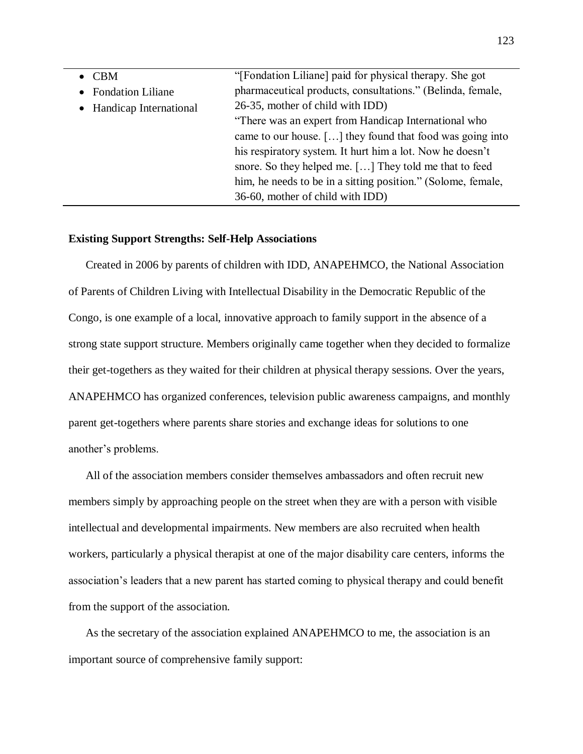| $\bullet$ CBM            | "[Fondation Liliane] paid for physical therapy. She got      |
|--------------------------|--------------------------------------------------------------|
| • Fondation Liliane      | pharmaceutical products, consultations." (Belinda, female,   |
| • Handicap International | 26-35, mother of child with IDD)                             |
|                          | "There was an expert from Handicap International who         |
|                          | came to our house. [] they found that food was going into    |
|                          | his respiratory system. It hurt him a lot. Now he doesn't    |
|                          | snore. So they helped me. [] They told me that to feed       |
|                          | him, he needs to be in a sitting position." (Solome, female, |
|                          | 36-60, mother of child with IDD)                             |

#### **Existing Support Strengths: Self-Help Associations**

Created in 2006 by parents of children with IDD, ANAPEHMCO, the National Association of Parents of Children Living with Intellectual Disability in the Democratic Republic of the Congo, is one example of a local, innovative approach to family support in the absence of a strong state support structure. Members originally came together when they decided to formalize their get-togethers as they waited for their children at physical therapy sessions. Over the years, ANAPEHMCO has organized conferences, television public awareness campaigns, and monthly parent get-togethers where parents share stories and exchange ideas for solutions to one another's problems.

All of the association members consider themselves ambassadors and often recruit new members simply by approaching people on the street when they are with a person with visible intellectual and developmental impairments. New members are also recruited when health workers, particularly a physical therapist at one of the major disability care centers, informs the association's leaders that a new parent has started coming to physical therapy and could benefit from the support of the association.

As the secretary of the association explained ANAPEHMCO to me, the association is an important source of comprehensive family support: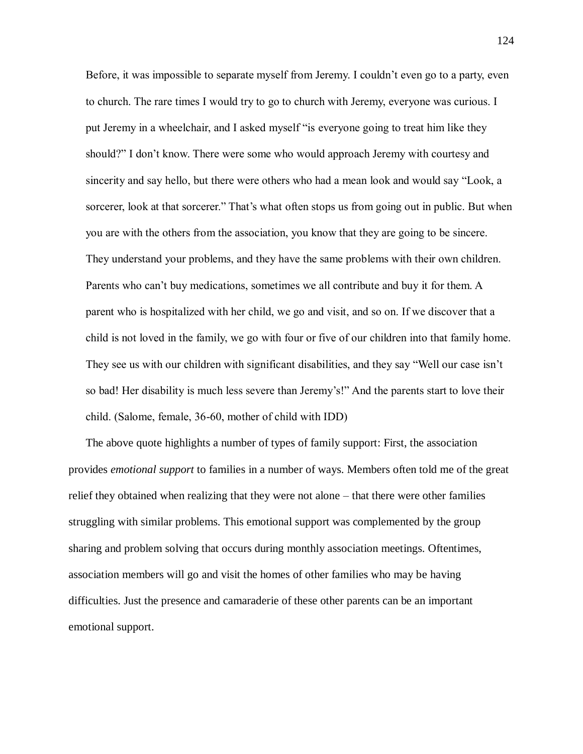Before, it was impossible to separate myself from Jeremy. I couldn't even go to a party, even to church. The rare times I would try to go to church with Jeremy, everyone was curious. I put Jeremy in a wheelchair, and I asked myself "is everyone going to treat him like they should?" I don't know. There were some who would approach Jeremy with courtesy and sincerity and say hello, but there were others who had a mean look and would say "Look, a sorcerer, look at that sorcerer." That's what often stops us from going out in public. But when you are with the others from the association, you know that they are going to be sincere. They understand your problems, and they have the same problems with their own children. Parents who can't buy medications, sometimes we all contribute and buy it for them. A parent who is hospitalized with her child, we go and visit, and so on. If we discover that a child is not loved in the family, we go with four or five of our children into that family home. They see us with our children with significant disabilities, and they say "Well our case isn't so bad! Her disability is much less severe than Jeremy's!" And the parents start to love their child. (Salome, female, 36-60, mother of child with IDD)

The above quote highlights a number of types of family support: First, the association provides *emotional support* to families in a number of ways. Members often told me of the great relief they obtained when realizing that they were not alone – that there were other families struggling with similar problems. This emotional support was complemented by the group sharing and problem solving that occurs during monthly association meetings. Oftentimes, association members will go and visit the homes of other families who may be having difficulties. Just the presence and camaraderie of these other parents can be an important emotional support.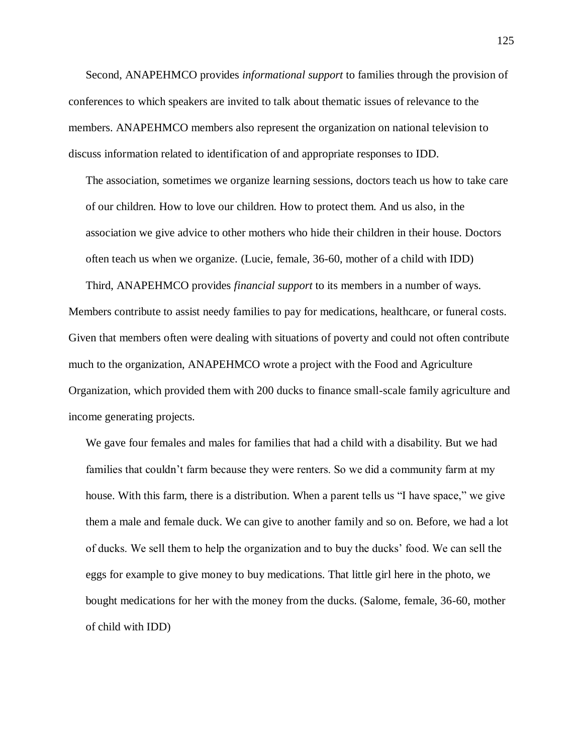Second, ANAPEHMCO provides *informational support* to families through the provision of conferences to which speakers are invited to talk about thematic issues of relevance to the members. ANAPEHMCO members also represent the organization on national television to discuss information related to identification of and appropriate responses to IDD.

The association, sometimes we organize learning sessions, doctors teach us how to take care of our children. How to love our children. How to protect them. And us also, in the association we give advice to other mothers who hide their children in their house. Doctors often teach us when we organize. (Lucie, female, 36-60, mother of a child with IDD)

Third, ANAPEHMCO provides *financial support* to its members in a number of ways. Members contribute to assist needy families to pay for medications, healthcare, or funeral costs. Given that members often were dealing with situations of poverty and could not often contribute much to the organization, ANAPEHMCO wrote a project with the Food and Agriculture Organization, which provided them with 200 ducks to finance small-scale family agriculture and income generating projects.

We gave four females and males for families that had a child with a disability. But we had families that couldn't farm because they were renters. So we did a community farm at my house. With this farm, there is a distribution. When a parent tells us "I have space," we give them a male and female duck. We can give to another family and so on. Before, we had a lot of ducks. We sell them to help the organization and to buy the ducks' food. We can sell the eggs for example to give money to buy medications. That little girl here in the photo, we bought medications for her with the money from the ducks. (Salome, female, 36-60, mother of child with IDD)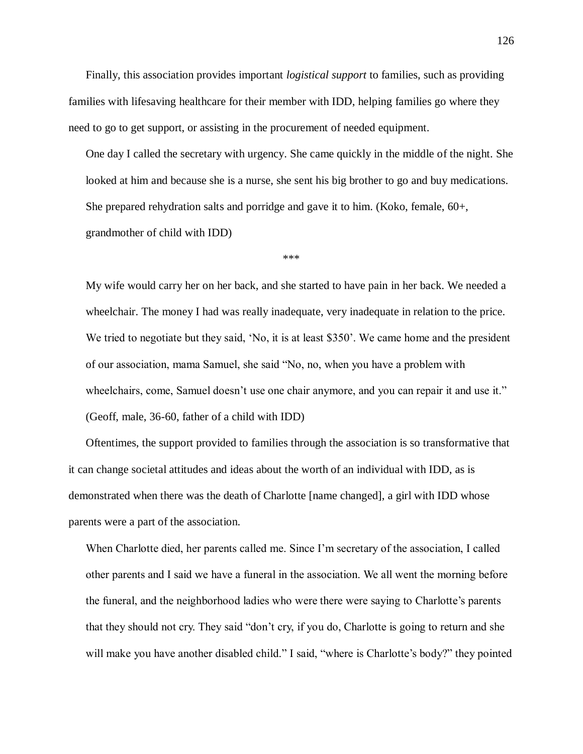Finally, this association provides important *logistical support* to families, such as providing families with lifesaving healthcare for their member with IDD, helping families go where they need to go to get support, or assisting in the procurement of needed equipment.

One day I called the secretary with urgency. She came quickly in the middle of the night. She looked at him and because she is a nurse, she sent his big brother to go and buy medications. She prepared rehydration salts and porridge and gave it to him. (Koko, female, 60+, grandmother of child with IDD)

\*\*\*

My wife would carry her on her back, and she started to have pain in her back. We needed a wheelchair. The money I had was really inadequate, very inadequate in relation to the price. We tried to negotiate but they said, 'No, it is at least \$350'. We came home and the president of our association, mama Samuel, she said "No, no, when you have a problem with wheelchairs, come, Samuel doesn't use one chair anymore, and you can repair it and use it." (Geoff, male, 36-60, father of a child with IDD)

Oftentimes, the support provided to families through the association is so transformative that it can change societal attitudes and ideas about the worth of an individual with IDD, as is demonstrated when there was the death of Charlotte [name changed], a girl with IDD whose parents were a part of the association.

When Charlotte died, her parents called me. Since I'm secretary of the association, I called other parents and I said we have a funeral in the association. We all went the morning before the funeral, and the neighborhood ladies who were there were saying to Charlotte's parents that they should not cry. They said "don't cry, if you do, Charlotte is going to return and she will make you have another disabled child." I said, "where is Charlotte's body?" they pointed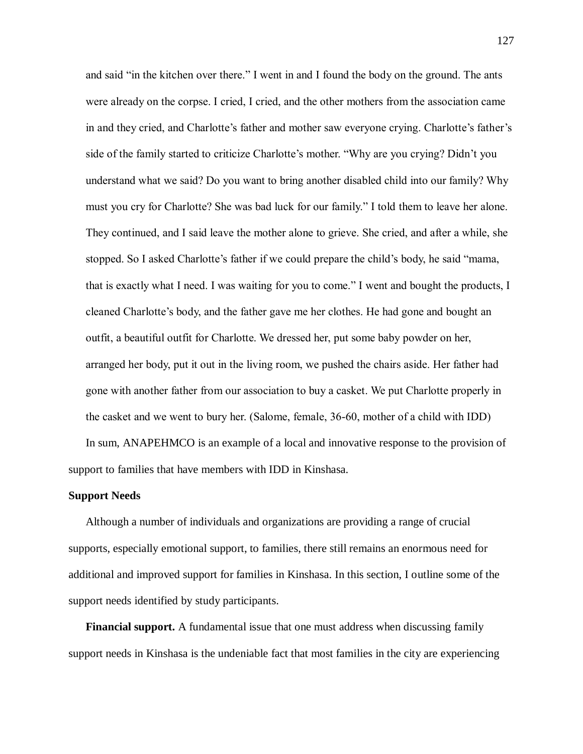and said "in the kitchen over there." I went in and I found the body on the ground. The ants were already on the corpse. I cried, I cried, and the other mothers from the association came in and they cried, and Charlotte's father and mother saw everyone crying. Charlotte's father's side of the family started to criticize Charlotte's mother. "Why are you crying? Didn't you understand what we said? Do you want to bring another disabled child into our family? Why must you cry for Charlotte? She was bad luck for our family." I told them to leave her alone. They continued, and I said leave the mother alone to grieve. She cried, and after a while, she stopped. So I asked Charlotte's father if we could prepare the child's body, he said "mama, that is exactly what I need. I was waiting for you to come." I went and bought the products, I cleaned Charlotte's body, and the father gave me her clothes. He had gone and bought an outfit, a beautiful outfit for Charlotte. We dressed her, put some baby powder on her, arranged her body, put it out in the living room, we pushed the chairs aside. Her father had gone with another father from our association to buy a casket. We put Charlotte properly in the casket and we went to bury her. (Salome, female, 36-60, mother of a child with IDD)

In sum, ANAPEHMCO is an example of a local and innovative response to the provision of support to families that have members with IDD in Kinshasa.

#### **Support Needs**

Although a number of individuals and organizations are providing a range of crucial supports, especially emotional support, to families, there still remains an enormous need for additional and improved support for families in Kinshasa. In this section, I outline some of the support needs identified by study participants.

**Financial support.** A fundamental issue that one must address when discussing family support needs in Kinshasa is the undeniable fact that most families in the city are experiencing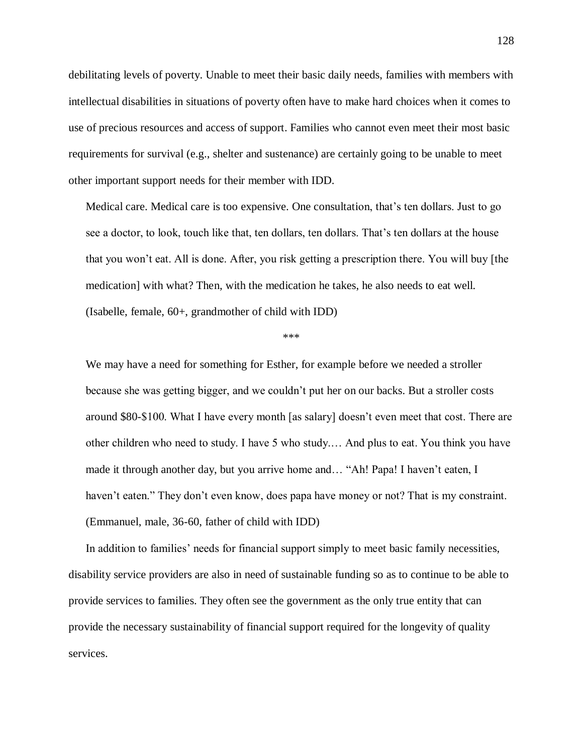debilitating levels of poverty. Unable to meet their basic daily needs, families with members with intellectual disabilities in situations of poverty often have to make hard choices when it comes to use of precious resources and access of support. Families who cannot even meet their most basic requirements for survival (e.g., shelter and sustenance) are certainly going to be unable to meet other important support needs for their member with IDD.

Medical care. Medical care is too expensive. One consultation, that's ten dollars. Just to go see a doctor, to look, touch like that, ten dollars, ten dollars. That's ten dollars at the house that you won't eat. All is done. After, you risk getting a prescription there. You will buy [the medication] with what? Then, with the medication he takes, he also needs to eat well. (Isabelle, female, 60+, grandmother of child with IDD)

#### \*\*\*

We may have a need for something for Esther, for example before we needed a stroller because she was getting bigger, and we couldn't put her on our backs. But a stroller costs around \$80-\$100. What I have every month [as salary] doesn't even meet that cost. There are other children who need to study. I have 5 who study.… And plus to eat. You think you have made it through another day, but you arrive home and… "Ah! Papa! I haven't eaten, I haven't eaten." They don't even know, does papa have money or not? That is my constraint. (Emmanuel, male, 36-60, father of child with IDD)

In addition to families' needs for financial support simply to meet basic family necessities, disability service providers are also in need of sustainable funding so as to continue to be able to provide services to families. They often see the government as the only true entity that can provide the necessary sustainability of financial support required for the longevity of quality services.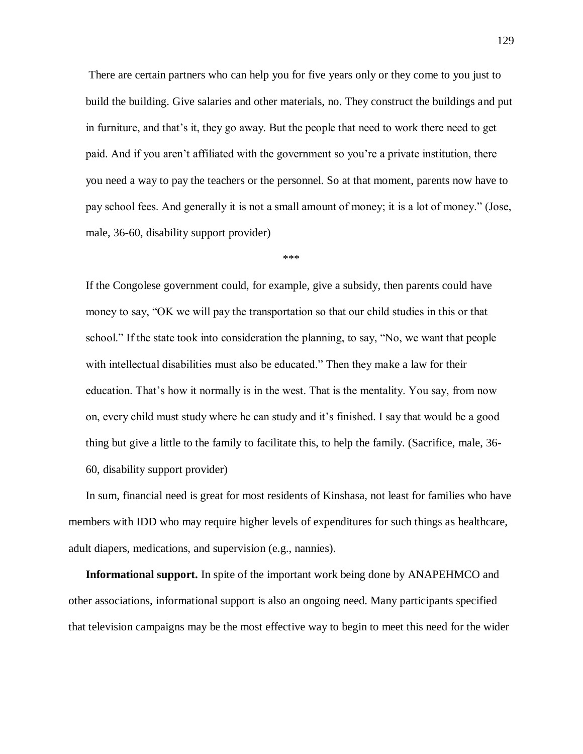There are certain partners who can help you for five years only or they come to you just to build the building. Give salaries and other materials, no. They construct the buildings and put in furniture, and that's it, they go away. But the people that need to work there need to get paid. And if you aren't affiliated with the government so you're a private institution, there you need a way to pay the teachers or the personnel. So at that moment, parents now have to pay school fees. And generally it is not a small amount of money; it is a lot of money." (Jose, male, 36-60, disability support provider)

\*\*\*

If the Congolese government could, for example, give a subsidy, then parents could have money to say, "OK we will pay the transportation so that our child studies in this or that school." If the state took into consideration the planning, to say, "No, we want that people with intellectual disabilities must also be educated." Then they make a law for their education. That's how it normally is in the west. That is the mentality. You say, from now on, every child must study where he can study and it's finished. I say that would be a good thing but give a little to the family to facilitate this, to help the family. (Sacrifice, male, 36- 60, disability support provider)

In sum, financial need is great for most residents of Kinshasa, not least for families who have members with IDD who may require higher levels of expenditures for such things as healthcare, adult diapers, medications, and supervision (e.g., nannies).

**Informational support.** In spite of the important work being done by ANAPEHMCO and other associations, informational support is also an ongoing need. Many participants specified that television campaigns may be the most effective way to begin to meet this need for the wider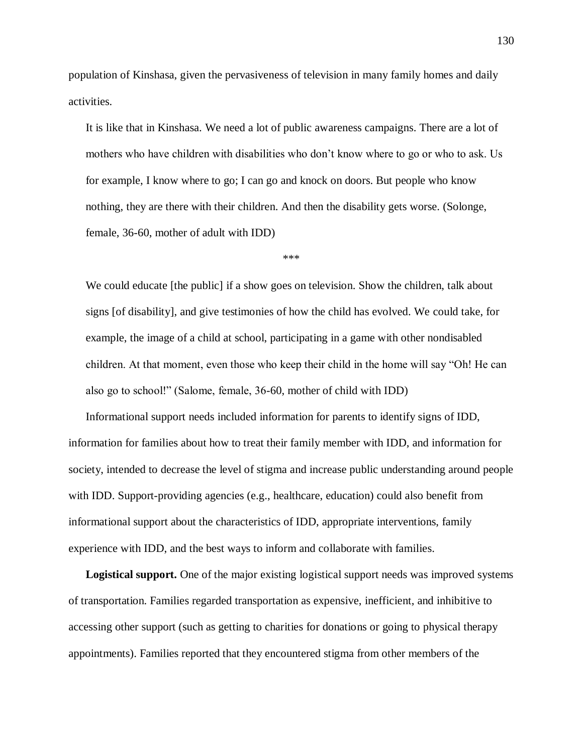population of Kinshasa, given the pervasiveness of television in many family homes and daily activities.

It is like that in Kinshasa. We need a lot of public awareness campaigns. There are a lot of mothers who have children with disabilities who don't know where to go or who to ask. Us for example, I know where to go; I can go and knock on doors. But people who know nothing, they are there with their children. And then the disability gets worse. (Solonge, female, 36-60, mother of adult with IDD)

\*\*\*

We could educate [the public] if a show goes on television. Show the children, talk about signs [of disability], and give testimonies of how the child has evolved. We could take, for example, the image of a child at school, participating in a game with other nondisabled children. At that moment, even those who keep their child in the home will say "Oh! He can also go to school!" (Salome, female, 36-60, mother of child with IDD)

Informational support needs included information for parents to identify signs of IDD, information for families about how to treat their family member with IDD, and information for society, intended to decrease the level of stigma and increase public understanding around people with IDD. Support-providing agencies (e.g., healthcare, education) could also benefit from informational support about the characteristics of IDD, appropriate interventions, family experience with IDD, and the best ways to inform and collaborate with families.

**Logistical support.** One of the major existing logistical support needs was improved systems of transportation. Families regarded transportation as expensive, inefficient, and inhibitive to accessing other support (such as getting to charities for donations or going to physical therapy appointments). Families reported that they encountered stigma from other members of the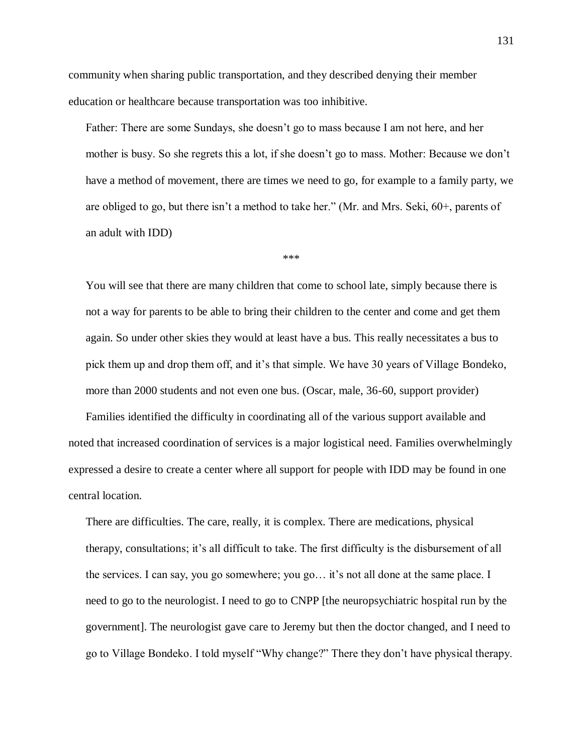community when sharing public transportation, and they described denying their member education or healthcare because transportation was too inhibitive.

Father: There are some Sundays, she doesn't go to mass because I am not here, and her mother is busy. So she regrets this a lot, if she doesn't go to mass. Mother: Because we don't have a method of movement, there are times we need to go, for example to a family party, we are obliged to go, but there isn't a method to take her." (Mr. and Mrs. Seki, 60+, parents of an adult with IDD)

\*\*\*

You will see that there are many children that come to school late, simply because there is not a way for parents to be able to bring their children to the center and come and get them again. So under other skies they would at least have a bus. This really necessitates a bus to pick them up and drop them off, and it's that simple. We have 30 years of Village Bondeko, more than 2000 students and not even one bus. (Oscar, male, 36-60, support provider)

Families identified the difficulty in coordinating all of the various support available and noted that increased coordination of services is a major logistical need. Families overwhelmingly expressed a desire to create a center where all support for people with IDD may be found in one central location.

There are difficulties. The care, really, it is complex. There are medications, physical therapy, consultations; it's all difficult to take. The first difficulty is the disbursement of all the services. I can say, you go somewhere; you go… it's not all done at the same place. I need to go to the neurologist. I need to go to CNPP [the neuropsychiatric hospital run by the government]. The neurologist gave care to Jeremy but then the doctor changed, and I need to go to Village Bondeko. I told myself "Why change?" There they don't have physical therapy.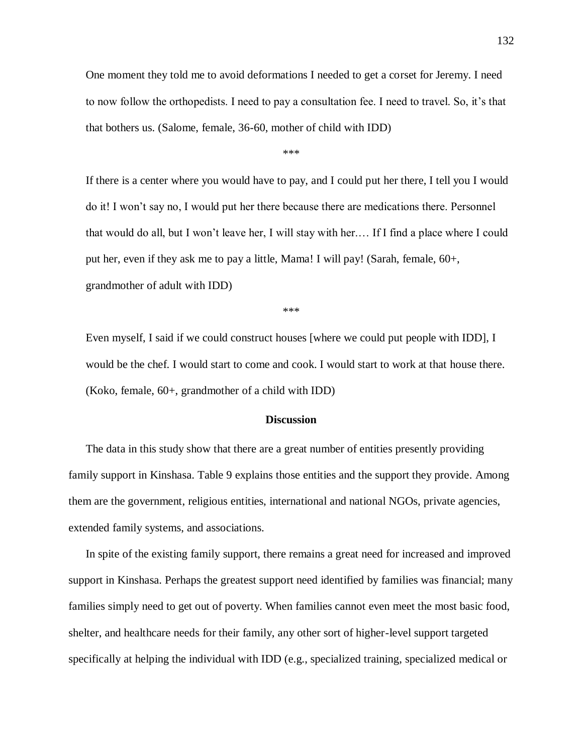One moment they told me to avoid deformations I needed to get a corset for Jeremy. I need to now follow the orthopedists. I need to pay a consultation fee. I need to travel. So, it's that that bothers us. (Salome, female, 36-60, mother of child with IDD)

\*\*\*

If there is a center where you would have to pay, and I could put her there, I tell you I would do it! I won't say no, I would put her there because there are medications there. Personnel that would do all, but I won't leave her, I will stay with her.… If I find a place where I could put her, even if they ask me to pay a little, Mama! I will pay! (Sarah, female, 60+, grandmother of adult with IDD)

\*\*\*

Even myself, I said if we could construct houses [where we could put people with IDD], I would be the chef. I would start to come and cook. I would start to work at that house there. (Koko, female, 60+, grandmother of a child with IDD)

#### **Discussion**

The data in this study show that there are a great number of entities presently providing family support in Kinshasa. Table 9 explains those entities and the support they provide. Among them are the government, religious entities, international and national NGOs, private agencies, extended family systems, and associations.

In spite of the existing family support, there remains a great need for increased and improved support in Kinshasa. Perhaps the greatest support need identified by families was financial; many families simply need to get out of poverty. When families cannot even meet the most basic food, shelter, and healthcare needs for their family, any other sort of higher-level support targeted specifically at helping the individual with IDD (e.g., specialized training, specialized medical or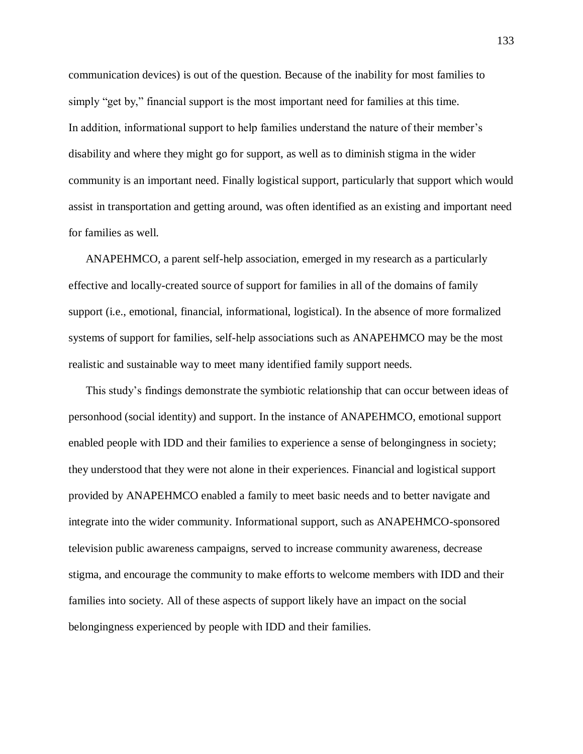communication devices) is out of the question. Because of the inability for most families to simply "get by," financial support is the most important need for families at this time. In addition, informational support to help families understand the nature of their member's disability and where they might go for support, as well as to diminish stigma in the wider community is an important need. Finally logistical support, particularly that support which would assist in transportation and getting around, was often identified as an existing and important need for families as well.

ANAPEHMCO, a parent self-help association, emerged in my research as a particularly effective and locally-created source of support for families in all of the domains of family support (i.e., emotional, financial, informational, logistical). In the absence of more formalized systems of support for families, self-help associations such as ANAPEHMCO may be the most realistic and sustainable way to meet many identified family support needs.

This study's findings demonstrate the symbiotic relationship that can occur between ideas of personhood (social identity) and support. In the instance of ANAPEHMCO, emotional support enabled people with IDD and their families to experience a sense of belongingness in society; they understood that they were not alone in their experiences. Financial and logistical support provided by ANAPEHMCO enabled a family to meet basic needs and to better navigate and integrate into the wider community. Informational support, such as ANAPEHMCO-sponsored television public awareness campaigns, served to increase community awareness, decrease stigma, and encourage the community to make efforts to welcome members with IDD and their families into society. All of these aspects of support likely have an impact on the social belongingness experienced by people with IDD and their families.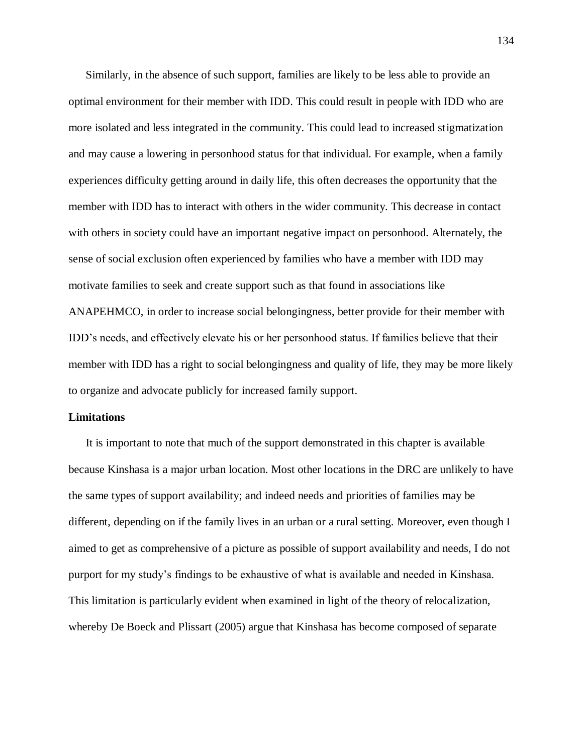Similarly, in the absence of such support, families are likely to be less able to provide an optimal environment for their member with IDD. This could result in people with IDD who are more isolated and less integrated in the community. This could lead to increased stigmatization and may cause a lowering in personhood status for that individual. For example, when a family experiences difficulty getting around in daily life, this often decreases the opportunity that the member with IDD has to interact with others in the wider community. This decrease in contact with others in society could have an important negative impact on personhood. Alternately, the sense of social exclusion often experienced by families who have a member with IDD may motivate families to seek and create support such as that found in associations like ANAPEHMCO, in order to increase social belongingness, better provide for their member with IDD's needs, and effectively elevate his or her personhood status. If families believe that their member with IDD has a right to social belongingness and quality of life, they may be more likely to organize and advocate publicly for increased family support.

## **Limitations**

It is important to note that much of the support demonstrated in this chapter is available because Kinshasa is a major urban location. Most other locations in the DRC are unlikely to have the same types of support availability; and indeed needs and priorities of families may be different, depending on if the family lives in an urban or a rural setting. Moreover, even though I aimed to get as comprehensive of a picture as possible of support availability and needs, I do not purport for my study's findings to be exhaustive of what is available and needed in Kinshasa. This limitation is particularly evident when examined in light of the theory of relocalization, whereby De Boeck and Plissart (2005) argue that Kinshasa has become composed of separate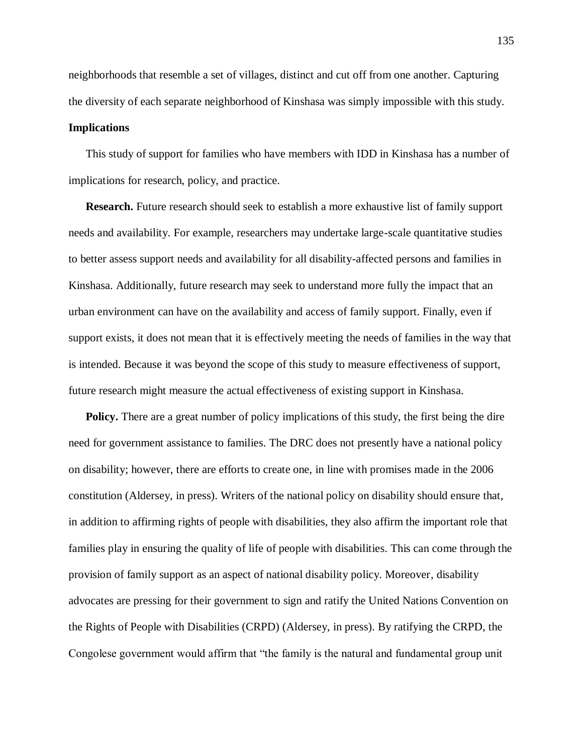neighborhoods that resemble a set of villages, distinct and cut off from one another. Capturing the diversity of each separate neighborhood of Kinshasa was simply impossible with this study.

## **Implications**

This study of support for families who have members with IDD in Kinshasa has a number of implications for research, policy, and practice.

**Research.** Future research should seek to establish a more exhaustive list of family support needs and availability. For example, researchers may undertake large-scale quantitative studies to better assess support needs and availability for all disability-affected persons and families in Kinshasa. Additionally, future research may seek to understand more fully the impact that an urban environment can have on the availability and access of family support. Finally, even if support exists, it does not mean that it is effectively meeting the needs of families in the way that is intended. Because it was beyond the scope of this study to measure effectiveness of support, future research might measure the actual effectiveness of existing support in Kinshasa.

**Policy.** There are a great number of policy implications of this study, the first being the dire need for government assistance to families. The DRC does not presently have a national policy on disability; however, there are efforts to create one, in line with promises made in the 2006 constitution (Aldersey, in press). Writers of the national policy on disability should ensure that, in addition to affirming rights of people with disabilities, they also affirm the important role that families play in ensuring the quality of life of people with disabilities. This can come through the provision of family support as an aspect of national disability policy. Moreover, disability advocates are pressing for their government to sign and ratify the United Nations Convention on the Rights of People with Disabilities (CRPD) (Aldersey, in press). By ratifying the CRPD, the Congolese government would affirm that "the family is the natural and fundamental group unit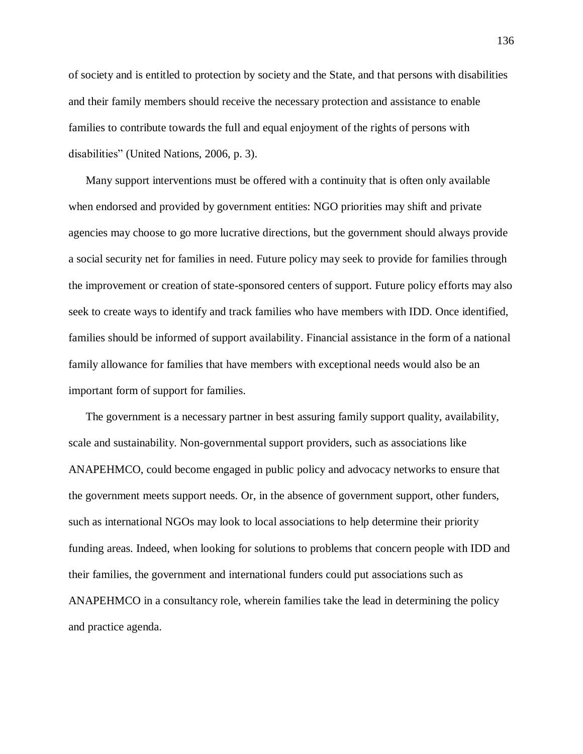of society and is entitled to protection by society and the State, and that persons with disabilities and their family members should receive the necessary protection and assistance to enable families to contribute towards the full and equal enjoyment of the rights of persons with disabilities" (United Nations, 2006, p. 3).

Many support interventions must be offered with a continuity that is often only available when endorsed and provided by government entities: NGO priorities may shift and private agencies may choose to go more lucrative directions, but the government should always provide a social security net for families in need. Future policy may seek to provide for families through the improvement or creation of state-sponsored centers of support. Future policy efforts may also seek to create ways to identify and track families who have members with IDD. Once identified, families should be informed of support availability. Financial assistance in the form of a national family allowance for families that have members with exceptional needs would also be an important form of support for families.

The government is a necessary partner in best assuring family support quality, availability, scale and sustainability. Non-governmental support providers, such as associations like ANAPEHMCO, could become engaged in public policy and advocacy networks to ensure that the government meets support needs. Or, in the absence of government support, other funders, such as international NGOs may look to local associations to help determine their priority funding areas. Indeed, when looking for solutions to problems that concern people with IDD and their families, the government and international funders could put associations such as ANAPEHMCO in a consultancy role, wherein families take the lead in determining the policy and practice agenda.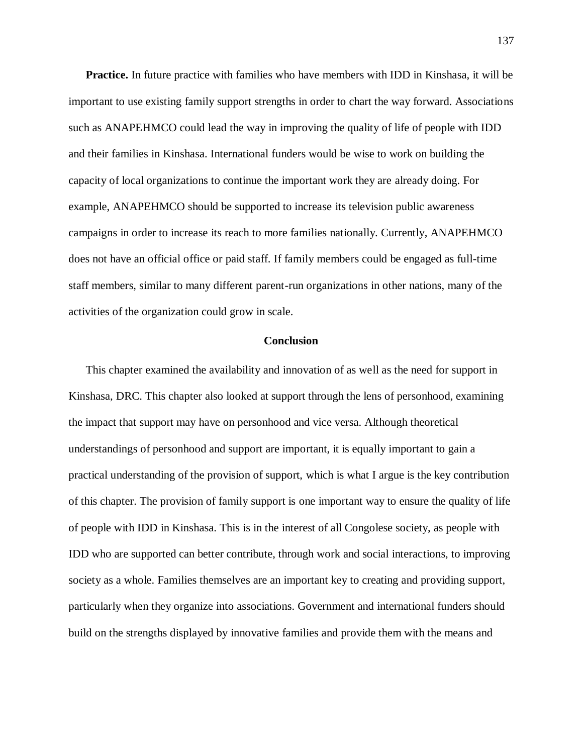**Practice.** In future practice with families who have members with IDD in Kinshasa, it will be important to use existing family support strengths in order to chart the way forward. Associations such as ANAPEHMCO could lead the way in improving the quality of life of people with IDD and their families in Kinshasa. International funders would be wise to work on building the capacity of local organizations to continue the important work they are already doing. For example, ANAPEHMCO should be supported to increase its television public awareness campaigns in order to increase its reach to more families nationally. Currently, ANAPEHMCO does not have an official office or paid staff. If family members could be engaged as full-time staff members, similar to many different parent-run organizations in other nations, many of the activities of the organization could grow in scale.

## **Conclusion**

This chapter examined the availability and innovation of as well as the need for support in Kinshasa, DRC. This chapter also looked at support through the lens of personhood, examining the impact that support may have on personhood and vice versa. Although theoretical understandings of personhood and support are important, it is equally important to gain a practical understanding of the provision of support, which is what I argue is the key contribution of this chapter. The provision of family support is one important way to ensure the quality of life of people with IDD in Kinshasa. This is in the interest of all Congolese society, as people with IDD who are supported can better contribute, through work and social interactions, to improving society as a whole. Families themselves are an important key to creating and providing support, particularly when they organize into associations. Government and international funders should build on the strengths displayed by innovative families and provide them with the means and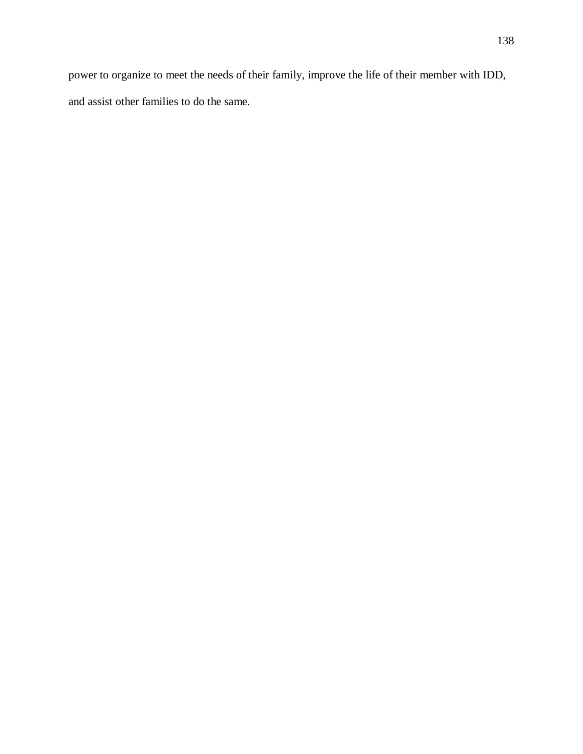power to organize to meet the needs of their family, improve the life of their member with IDD, and assist other families to do the same.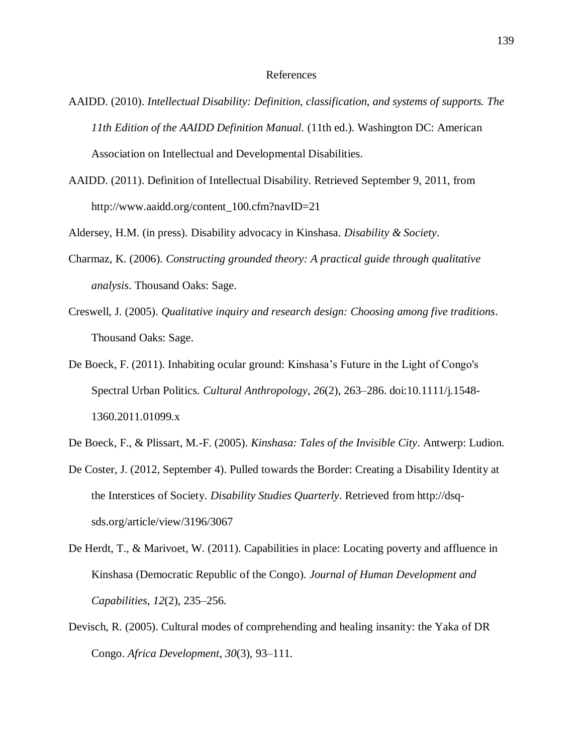## References

- AAIDD. (2010). *Intellectual Disability: Definition, classification, and systems of supports. The 11th Edition of the AAIDD Definition Manual.* (11th ed.). Washington DC: American Association on Intellectual and Developmental Disabilities.
- AAIDD. (2011). Definition of Intellectual Disability. Retrieved September 9, 2011, from http://www.aaidd.org/content\_100.cfm?navID=21
- Aldersey, H.M. (in press). Disability advocacy in Kinshasa. *Disability & Society*.
- Charmaz, K. (2006). *Constructing grounded theory: A practical guide through qualitative analysis*. Thousand Oaks: Sage.
- Creswell, J. (2005). *Qualitative inquiry and research design: Choosing among five traditions*. Thousand Oaks: Sage.
- De Boeck, F. (2011). Inhabiting ocular ground: Kinshasa's Future in the Light of Congo's Spectral Urban Politics. *Cultural Anthropology*, *26*(2), 263–286. doi:10.1111/j.1548- 1360.2011.01099.x
- De Boeck, F., & Plissart, M.-F. (2005). *Kinshasa: Tales of the Invisible City*. Antwerp: Ludion.
- De Coster, J. (2012, September 4). Pulled towards the Border: Creating a Disability Identity at the Interstices of Society. *Disability Studies Quarterly*. Retrieved from http://dsqsds.org/article/view/3196/3067
- De Herdt, T., & Marivoet, W. (2011). Capabilities in place: Locating poverty and affluence in Kinshasa (Democratic Republic of the Congo). *Journal of Human Development and Capabilities*, *12*(2), 235–256.
- Devisch, R. (2005). Cultural modes of comprehending and healing insanity: the Yaka of DR Congo. *Africa Development*, *30*(3), 93–111.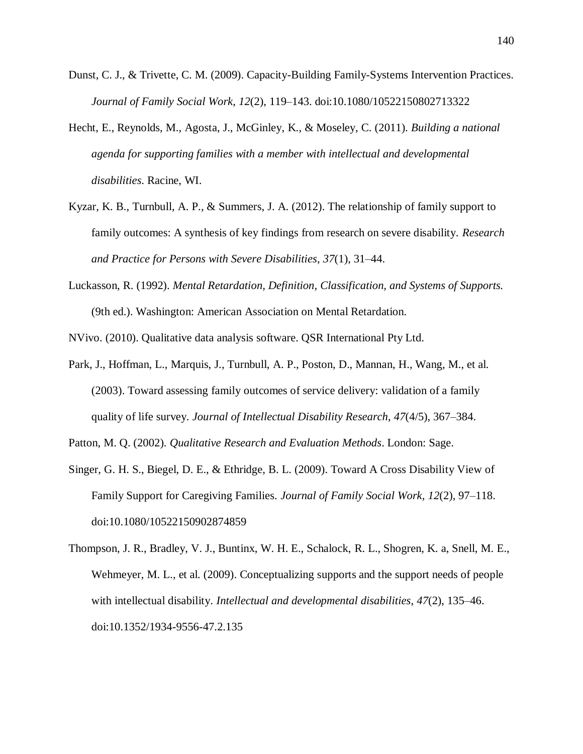- Dunst, C. J., & Trivette, C. M. (2009). Capacity-Building Family-Systems Intervention Practices. *Journal of Family Social Work*, *12*(2), 119–143. doi:10.1080/10522150802713322
- Hecht, E., Reynolds, M., Agosta, J., McGinley, K., & Moseley, C. (2011). *Building a national agenda for supporting families with a member with intellectual and developmental disabilities*. Racine, WI.
- Kyzar, K. B., Turnbull, A. P., & Summers, J. A. (2012). The relationship of family support to family outcomes: A synthesis of key findings from research on severe disability. *Research and Practice for Persons with Severe Disabilities*, *37*(1), 31–44.
- Luckasson, R. (1992). *Mental Retardation, Definition, Classification, and Systems of Supports.* (9th ed.). Washington: American Association on Mental Retardation.
- NVivo. (2010). Qualitative data analysis software. QSR International Pty Ltd.
- Park, J., Hoffman, L., Marquis, J., Turnbull, A. P., Poston, D., Mannan, H., Wang, M., et al. (2003). Toward assessing family outcomes of service delivery: validation of a family quality of life survey. *Journal of Intellectual Disability Research*, *47*(4/5), 367–384.

Patton, M. Q. (2002). *Qualitative Research and Evaluation Methods*. London: Sage.

- Singer, G. H. S., Biegel, D. E., & Ethridge, B. L. (2009). Toward A Cross Disability View of Family Support for Caregiving Families. *Journal of Family Social Work*, *12*(2), 97–118. doi:10.1080/10522150902874859
- Thompson, J. R., Bradley, V. J., Buntinx, W. H. E., Schalock, R. L., Shogren, K. a, Snell, M. E., Wehmeyer, M. L., et al. (2009). Conceptualizing supports and the support needs of people with intellectual disability. *Intellectual and developmental disabilities*, *47*(2), 135–46. doi:10.1352/1934-9556-47.2.135